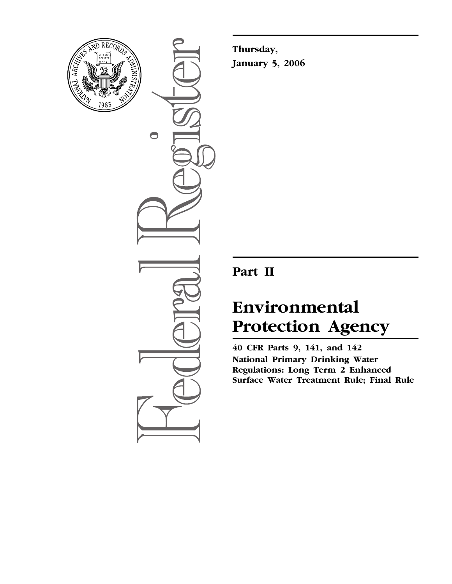

 $\bullet$ 

**Thursday, January 5, 2006** 

## **Part II**

# **Environmental Protection Agency**

**40 CFR Parts 9, 141, and 142 National Primary Drinking Water Regulations: Long Term 2 Enhanced Surface Water Treatment Rule; Final Rule**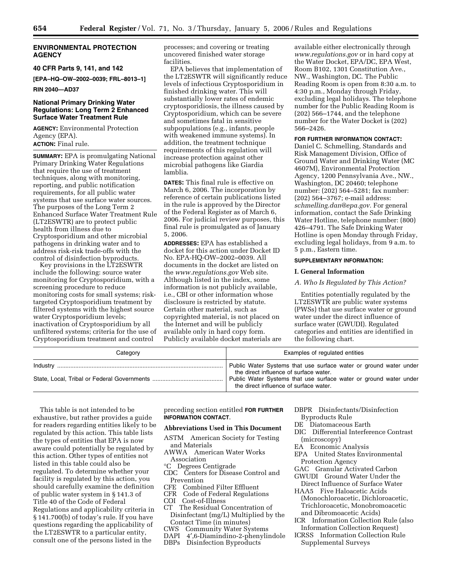## **ENVIRONMENTAL PROTECTION AGENCY**

**40 CFR Parts 9, 141, and 142** 

**[EPA–HQ–OW–2002–0039; FRL–8013–1]** 

**RIN 2040—AD37** 

## **National Primary Drinking Water Regulations: Long Term 2 Enhanced Surface Water Treatment Rule**

**AGENCY:** Environmental Protection Agency (EPA). **ACTION:** Final rule.

**SUMMARY:** EPA is promulgating National Primary Drinking Water Regulations that require the use of treatment techniques, along with monitoring, reporting, and public notification requirements, for all public water systems that use surface water sources. The purposes of the Long Term 2 Enhanced Surface Water Treatment Rule (LT2ESWTR) are to protect public health from illness due to Cryptosporidium and other microbial pathogens in drinking water and to address risk-risk trade-offs with the control of disinfection byproducts.

Key provisions in the LT2ESWTR include the following: source water monitoring for Cryptosporidium, with a screening procedure to reduce monitoring costs for small systems; risktargeted Cryptosporidium treatment by filtered systems with the highest source water Cryptosporidium levels; inactivation of Cryptosporidium by all unfiltered systems; criteria for the use of Cryptosporidium treatment and control

processes; and covering or treating uncovered finished water storage facilities.

EPA believes that implementation of the LT2ESWTR will significantly reduce levels of infectious Cryptosporidium in finished drinking water. This will substantially lower rates of endemic cryptosporidiosis, the illness caused by Cryptosporidium, which can be severe and sometimes fatal in sensitive subpopulations (e.g., infants, people with weakened immune systems). In addition, the treatment technique requirements of this regulation will increase protection against other microbial pathogens like Giardia lamblia.

**DATES:** This final rule is effective on March 6, 2006. The incorporation by reference of certain publications listed in the rule is approved by the Director of the Federal Register as of March 6, 2006. For judicial review purposes, this final rule is promulgated as of January 5, 2006.

**ADDRESSES:** EPA has established a docket for this action under Docket ID No. EPA-HQ-OW–2002–0039. All documents in the docket are listed on the *www.regulations.gov* Web site. Although listed in the index, some information is not publicly available, i.e., CBI or other information whose disclosure is restricted by statute. Certain other material, such as copyrighted material, is not placed on the Internet and will be publicly available only in hard copy form. Publicly available docket materials are

available either electronically through *www.regulations.gov* or in hard copy at the Water Docket, EPA/DC, EPA West, Room B102, 1301 Constitution Ave., NW., Washington, DC. The Public Reading Room is open from 8:30 a.m. to 4:30 p.m., Monday through Friday, excluding legal holidays. The telephone number for the Public Reading Room is (202) 566–1744, and the telephone number for the Water Docket is (202) 566–2426.

## **FOR FURTHER INFORMATION CONTACT:**

Daniel C. Schmelling, Standards and Risk Management Division, Office of Ground Water and Drinking Water (MC 4607M), Environmental Protection Agency, 1200 Pennsylvania Ave., NW., Washington, DC 20460; telephone number: (202) 564–5281; fax number: (202) 564–3767; e-mail address: *schmelling.dan@epa.gov.* For general information, contact the Safe Drinking Water Hotline, telephone number: (800) 426–4791. The Safe Drinking Water Hotline is open Monday through Friday, excluding legal holidays, from 9 a.m. to 5 p.m., Eastern time.

#### **SUPPLEMENTARY INFORMATION:**

## **I. General Information**

### *A. Who Is Regulated by This Action?*

Entities potentially regulated by the LT2ESWTR are public water systems (PWSs) that use surface water or ground water under the direct influence of surface water (GWUDI). Regulated categories and entities are identified in the following chart.

| Categorv | Examples of regulated entities                                                                                                                                                                                             |
|----------|----------------------------------------------------------------------------------------------------------------------------------------------------------------------------------------------------------------------------|
|          | Public Water Systems that use surface water or ground water under<br>the direct influence of surface water.<br>Public Water Systems that use surface water or ground water under<br>the direct influence of surface water. |

This table is not intended to be exhaustive, but rather provides a guide for readers regarding entities likely to be regulated by this action. This table lists the types of entities that EPA is now aware could potentially be regulated by this action. Other types of entities not listed in this table could also be regulated. To determine whether your facility is regulated by this action, you should carefully examine the definition of public water system in § 141.3 of Title 40 of the Code of Federal Regulations and applicability criteria in § 141.700(b) of today's rule. If you have questions regarding the applicability of the LT2ESWTR to a particular entity, consult one of the persons listed in the

preceding section entitled **FOR FURTHER INFORMATION CONTACT**.

## **Abbreviations Used in This Document**

- ASTM American Society for Testing and Materials
- AWWA American Water Works Association<br>C. Degrees C.
- Degrees Centigrade
- CDC Centers for Disease Control and Prevention
- CFE Combined Filter Effluent<br>CFR Code of Federal Regulation
- Code of Federal Regulations
- COI Cost-of-Illness
- CT The Residual Concentration of Disinfectant (mg/L) Multiplied by the Contact Time (in minutes)<br>CWS Community Water Sy
- 
- CWS Community Water Systems
- DAPI 4',6-Diamindino-2-phenylindole<br>DBPs Disinfection Byproducts Disinfection Byproducts
- DBPR Disinfectants/Disinfection Byproducts Rule
- DE Diatomaceous Earth
- DIC Differential Interference Contrast (microscopy)
- EA Economic Analysis
- EPA United States Environmental Protection Agency
- GAC Granular Activated Carbon
- GWUDI Ground Water Under the Direct Influence of Surface Water
- HAA5 Five Haloacetic Acids (Monochloroacetic, Dichloroacetic, Trichloroacetic, Monobromoacetic and Dibromoacetic Acids)
- ICR Information Collection Rule (also Information Collection Request)
- ICRSS Information Collection Rule Supplemental Surveys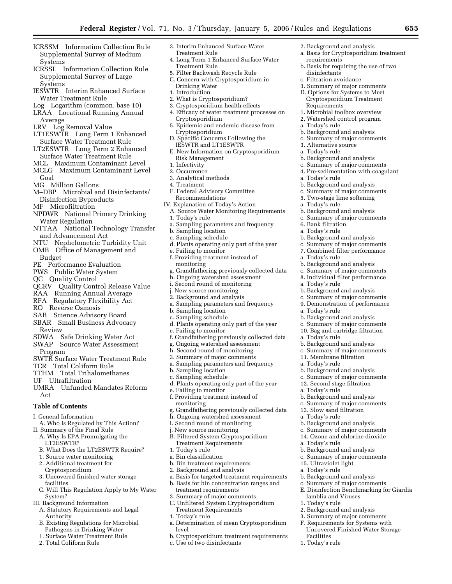2. Background and analysis

requirements

disinfectants c. Filtration avoidance 3. Summary of major comments D. Options for Systems to Meet Cryptosporidium Treatment

Requirements

3. Alternative source a. Today's rule

a. Today's rule

a. Today's rule

a. Today's rule

6. Bank filtration a. Today's rule

a. Today's rule

a. Today's rule

a. Today's rule

a. Today's rule

a. Today's rule

a. Today's rule

Facilities 1. Today's rule

15. Ultraviolet light a. Today's rule

a. Basis for Cryptosporidium treatment

b. Basis for requiring the use of two

1. Microbial toolbox overview 2. Watershed control program

b. Background and analysis c. Summary of major comments

b. Background and analysis c. Summary of major comments 4. Pre-sedimentation with coagulant

b. Background and analysis c. Summary of major comments 5. Two-stage lime softening

b. Background and analysis c. Summary of major comments

b. Background and analysis c. Summary of major comments 7. Combined filter performance

b. Background and analysis c. Summary of major comments 8. Individual filter performance

b. Background and analysis c. Summary of major comments 9. Demonstration of performance

b. Background and analysis c. Summary of major comments 10. Bag and cartridge filtration

b. Background and analysis c. Summary of major comments 11. Membrane filtration a. Today's rule

b. Background and analysis c. Summary of major comments 12. Second stage filtration

b. Background and analysis c. Summary of major comments 13. Slow sand filtration a. Today's rule

b. Background and analysis c. Summary of major comments 14. Ozone and chlorine dioxide

b. Background and analysis c. Summary of major comments

b. Background and analysis c. Summary of major comments E. Disinfection Benchmarking for Giardia

lamblia and Viruses 1. Today's rule

2. Background and analysis 3. Summary of major comments F. Requirements for Systems with Uncovered Finished Water Storage

- ICRSSM Information Collection Rule Supplemental Survey of Medium Systems
- ICRSSL Information Collection Rule Supplemental Survey of Large **Systems**
- IESWTR Interim Enhanced Surface Water Treatment Rule
- Log Logarithm (common, base 10)
- LRAA Locational Running Annual Average
- LRV Log Removal Value
- LT1ESWTR Long Term 1 Enhanced Surface Water Treatment Rule
- LT2ESWTR Long Term 2 Enhanced Surface Water Treatment Rule
- MCL Maximum Contaminant Level MCLG Maximum Contaminant Level
- Goal MG Million Gallons
- M–DBP Microbial and Disinfectants/
- Disinfection Byproducts
- MF Microfiltration
- NPDWR National Primary Drinking Water Regulation
- NTTAA National Technology Transfer and Advancement Act
- NTU Nephelometric Turbidity Unit OMB Office of Management and
- Budget
- PE Performance Evaluation
- PWS Public Water System
- QC Quality Control
- QCRV Quality Control Release Value
- RAA Running Annual Average
- RFA Regulatory Flexibility Act
- RO Reverse Osmosis
- SAB Science Advisory Board SBAR Small Business Advocacy
- Review
- SDWA Safe Drinking Water Act SWAP Source Water Assessment
- Program
- SWTR Surface Water Treatment Rule
- TCR Total Coliform Rule
- TTHM Total Trihalomethanes
- UF Ultrafiltration
- UMRA Unfunded Mandates Reform Act

## **Table of Contents**

- I. General Information
- A. Who Is Regulated by This Action?
- II. Summary of the Final Rule
	- A. Why Is EPA Promulgating the LT2ESWTR?
	- B. What Does the LT2ESWTR Require?
	- 1. Source water monitoring
	- 2. Additional treatment for
	- Cryptosporidium 3. Uncovered finished water storage
	- facilities C. Will This Regulation Apply to My Water
	- System?
- III. Background Information
	- A. Statutory Requirements and Legal Authority
	- B. Existing Regulations for Microbial Pathogens in Drinking Water
	- 1. Surface Water Treatment Rule
	- 2. Total Coliform Rule
- 3. Interim Enhanced Surface Water Treatment Rule
- 4. Long Term 1 Enhanced Surface Water Treatment Rule
- 5. Filter Backwash Recycle Rule
- C. Concern with Cryptosporidium in Drinking Water
- 1. Introduction
- 2. What is Cryptosporidium?
- 3. Cryptosporidium health effects
- 4. Efficacy of water treatment processes on Cryptosporidium
- 5. Epidemic and endemic disease from Cryptosporidium
- D. Specific Concerns Following the IESWTR and LT1ESWTR
- E. New Information on Cryptosporidium Risk Management
- 1. Infectivity
- 2. Occurrence
- 3. Analytical methods
- 4. Treatment
- F. Federal Advisory Committee Recommendations
- IV. Explanation of Today's Action
- A. Source Water Monitoring Requirements 1. Today's rule
- a. Sampling parameters and frequency
- b. Sampling location
- c. Sampling schedule
- d. Plants operating only part of the year
- e. Failing to monitor
- f. Providing treatment instead of monitoring
- g. Grandfathering previously collected data
- h. Ongoing watershed assessment
- i. Second round of monitoring
- j. New source monitoring 2. Background and analysis
- 
- a. Sampling parameters and frequency
- b. Sampling location c. Sampling schedule
- d. Plants operating only part of the year
- e. Failing to monitor
- 
- f. Grandfathering previously collected data g. Ongoing watershed assessment
- h. Second round of monitoring
- 3. Summary of major comments
- a. Sampling parameters and frequency
- b. Sampling location
- c. Sampling schedule
- d. Plants operating only part of the year
- e. Failing to monitor
- f. Providing treatment instead of monitoring
- g. Grandfathering previously collected data h. Ongoing watershed assessment

a. Basis for targeted treatment requirements b. Basis for bin concentration ranges and

a. Determination of mean Cryptosporidium

b. Cryptosporidium treatment requirements

- i. Second round of monitoring
- j. New source monitoring

2. Background and analysis

treatment requirements 3. Summary of major comments C. Unfiltered System Cryptosporidium Treatment Requirements

c. Use of two disinfectants

- B. Filtered System Cryptosporidium
- Treatment Requirements 1. Today's rule
- a. Bin classification

1. Today's rule

level

b. Bin treatment requirements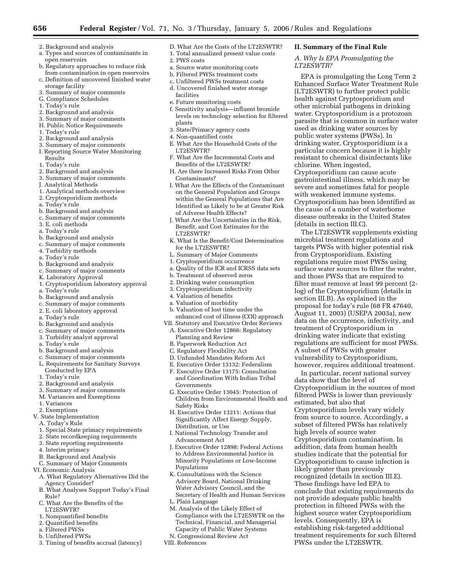**II. Summary of the Final Rule**  *A. Why Is EPA Promulgating the* 

chlorine. When ingested,

(details in section III.C).

A subset of PWSs with greater vulnerability to Cryptosporidium, however, requires additional treatment. In particular, recent national survey

data show that the level of

high levels of source water

likely greater than previously recognized (details in section III.E). These findings have led EPA to conclude that existing requirements do not provide adequate public health protection in filtered PWSs with the highest source water Cryptosporidium

levels. Consequently, EPA is establishing risk-targeted additional treatment requirements for such filtered

PWSs under the LT2ESWTR.

estimated, but also that

Cryptosporidium in the sources of most filtered PWSs is lower than previously

Cryptosporidium levels vary widely from source to source. Accordingly, a subset of filtered PWSs has relatively

Cryptosporidium contamination. In addition, data from human health studies indicate that the potential for Cryptosporidium to cause infection is

Cryptosporidium can cause acute gastrointestinal illness, which may be severe and sometimes fatal for people with weakened immune systems. Cryptosporidium has been identified as the cause of a number of waterborne disease outbreaks in the United States

The LT2ESWTR supplements existing microbial treatment regulations and targets PWSs with higher potential risk from Cryptosporidium. Existing regulations require most PWSs using surface water sources to filter the water, and those PWSs that are required to filter must remove at least 99 percent (2 log) of the Cryptosporidium (details in section III.B). As explained in the proposal for today's rule (68 FR 47640, August 11, 2003) (USEPA 2003a), new data on the occurrence, infectivity, and treatment of Cryptosporidium in drinking water indicate that existing regulations are sufficient for most PWSs.

EPA is promulgating the Long Term 2 Enhanced Surface Water Treatment Rule (LT2ESWTR) to further protect public health against Cryptosporidium and other microbial pathogens in drinking water. Cryptosporidium is a protozoan parasite that is common in surface water used as drinking water sources by public water systems (PWSs). In drinking water, Cryptosporidium is a particular concern because it is highly resistant to chemical disinfectants like

*LT2ESWTR?* 

- 2. Background and analysis
- a. Types and sources of contaminants in open reservoirs
- b. Regulatory approaches to reduce risk from contamination in open reservoirs c. Definition of uncovered finished water
- storage facility 3. Summary of major comments
- G. Compliance Schedules
- 1. Today's rule
- 2. Background and analysis
- 3. Summary of major comments
- H. Public Notice Requirements
- 1. Today's rule
- 2. Background and analysis
- 3. Summary of major comments
- I. Reporting Source Water Monitoring Results
- 1. Today's rule
- 2. Background and analysis
- 3. Summary of major comments
- J. Analytical Methods
- 1. Analytical methods overview
- 2. Cryptosporidium methods
- a. Today's rule
- b. Background and analysis
- c. Summary of major comments
- 3. E. coli methods
- a. Today's rule
- b. Background and analysis
- c. Summary of major comments
- 4. Turbidity methods
- a. Today's rule
- b. Background and analysis
- c. Summary of major comments
- K. Laboratory Approval
- 1. Cryptosporidium laboratory approval
- a. Today's rule
- b. Background and analysis
- c. Summary of major comments
- 2. E. coli laboratory approval
- a. Today's rule
- b. Background and analysis
- c. Summary of major comments
- 3. Turbidity analyst approval
- a. Today's rule
- b. Background and analysis
- c. Summary of major comments
- L. Requirements for Sanitary Surveys Conducted by EPA
- 1. Today's rule
- 2. Background and analysis
- 3. Summary of major comments
- M. Variances and Exemptions
- 1. Variances
- 2. Exemptions
- V. State Implementation
	- A. Today's Rule
	- 1. Special State primacy requirements
	- 2. State recordkeeping requirements
	- 3. State reporting requirements
	- 4. Interim primacy
	- B. Background and Analysis
- C. Summary of Major Comments
- VI. Economic Analysis
	- A. What Regulatory Alternatives Did the Agency Consider?
	- B. What Analyses Support Today's Final Rule?
	- C. What Are the Benefits of the LT2ESWTR?
	- 1. Nonquantified benefits
	- 2. Quantified benefits
	- a. Filtered PWSs
	- b. Unfiltered PWSs
	- 3. Timing of benefits accrual (latency)
- D. What Are the Costs of the LT2ESWTR?
- 1. Total annualized present value costs
- 2. PWS costs
- a. Source water monitoring costs
- b. Filtered PWSs treatment costs
- c. Unfiltered PWSs treatment costs
- d. Uncovered finished water storage facilities
- e. Future monitoring costs
- f. Sensitivity analysis—influent bromide levels on technology selection for filtered plants
- 3. State/Primacy agency costs
- 4. Non-quantified costs
- E. What Are the Household Costs of the LT2ESWTR?
- F. What Are the Incremental Costs and Benefits of the LT2ESWTR?
- H. Are there Increased Risks From Other Contaminants?
- I. What Are the Effects of the Contaminant on the General Population and Groups within the General Populations that Are Identified as Likely to be at Greater Risk of Adverse Health Effects?
- J. What Are the Uncertainties in the Risk, Benefit, and Cost Estimates for the LT2ESWTR?
- K. What Is the Benefit/Cost Determination for the LT2ESWTR?
- L. Summary of Major Comments
- 1. Cryptosporidium occurrence
- a. Quality of the ICR and ICRSS data sets
- b. Treatment of observed zeros
- 2. Drinking water consumption
- 3. Cryptosporidium infectivity
- 4. Valuation of benefits
- a. Valuation of morbidity
- b. Valuation of lost time under the enhanced cost of illness (COI) approach
- VII. Statutory and Executive Order Reviews A. Executive Order 12866: Regulatory
	- Planning and Review
	- B. Paperwork Reduction Act C. Regulatory Flexibility Act

Safety Risks

Populations

L. Plain Language

VIII. References

Distribution, or Use

Advancement Act

- D. Unfunded Mandates Reform Act
- E. Executive Order 13132: Federalism
- F. Executive Order 13175: Consultation and Coordination With Indian Tribal Governments

G. Executive Order 13045: Protection of Children from Environmental Health and

H. Executive Order 13211: Actions that Significantly Affect Energy Supply,

J. Executive Order 12898: Federal Actions to Address Environmental Justice in Minority Populations or Low-Income

I. National Technology Transfer and

K. Consultations with the Science Advisory Board, National Drinking Water Advisory Council, and the Secretary of Health and Human Services

M. Analysis of the Likely Effect of

Compliance with the LT2ESWTR on the Technical, Financial, and Managerial Capacity of Public Water Systems N. Congressional Review Act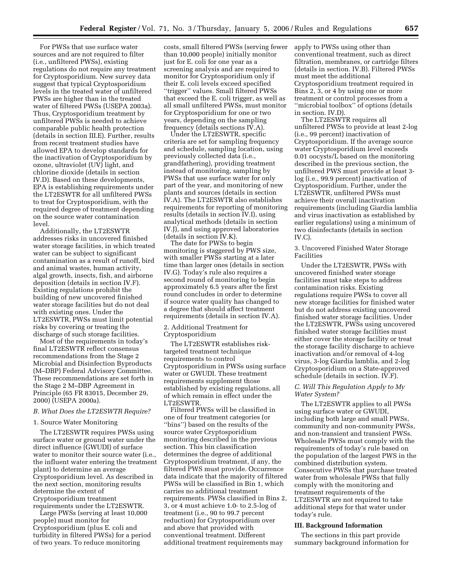For PWSs that use surface water sources and are not required to filter (i.e., unfiltered PWSs), existing regulations do not require any treatment for Cryptosporidium. New survey data suggest that typical Cryptosporidium levels in the treated water of unfiltered PWSs are higher than in the treated water of filtered PWSs (USEPA 2003a). Thus, Cryptosporidium treatment by unfiltered PWSs is needed to achieve comparable public health protection (details in section III.E). Further, results from recent treatment studies have allowed EPA to develop standards for the inactivation of Cryptosporidium by ozone, ultraviolet (UV) light, and chlorine dioxide (details in section IV.D). Based on these developments, EPA is establishing requirements under the LT2ESWTR for all unfiltered PWSs to treat for Cryptosporidium, with the required degree of treatment depending on the source water contamination level.

Additionally, the LT2ESWTR addresses risks in uncovered finished water storage facilities, in which treated water can be subject to significant contamination as a result of runoff, bird and animal wastes, human activity, algal growth, insects, fish, and airborne deposition (details in section IV.F). Existing regulations prohibit the building of new uncovered finished water storage facilities but do not deal with existing ones. Under the LT2ESWTR, PWSs must limit potential risks by covering or treating the discharge of such storage facilities.

Most of the requirements in today's final LT2ESWTR reflect consensus recommendations from the Stage 2 Microbial and Disinfection Byproducts (M–DBP) Federal Advisory Committee. These recommendations are set forth in the Stage 2 M–DBP Agreement in Principle (65 FR 83015, December 29, 2000) (USEPA 2000a).

## *B. What Does the LT2ESWTR Require?*

#### 1. Source Water Monitoring

The LT2ESWTR requires PWSs using surface water or ground water under the direct influence (GWUDI) of surface water to monitor their source water (i.e., the influent water entering the treatment plant) to determine an average Cryptosporidium level. As described in the next section, monitoring results determine the extent of Cryptosporidium treatment requirements under the LT2ESWTR.

Large PWSs (serving at least 10,000 people) must monitor for Cryptosporidium (plus E. coli and turbidity in filtered PWSs) for a period of two years. To reduce monitoring

costs, small filtered PWSs (serving fewer than 10,000 people) initially monitor just for E. coli for one year as a screening analysis and are required to monitor for Cryptosporidium only if their E. coli levels exceed specified ''trigger'' values. Small filtered PWSs that exceed the E. coli trigger, as well as all small unfiltered PWSs, must monitor for Cryptosporidium for one or two years, depending on the sampling frequency (details sections IV.A).

Under the LT2ESWTR, specific criteria are set for sampling frequency and schedule, sampling location, using previously collected data (i.e., grandfathering), providing treatment instead of monitoring, sampling by PWSs that use surface water for only part of the year, and monitoring of new plants and sources (details in section IV.A). The LT2ESWTR also establishes requirements for reporting of monitoring results (details in section IV.I), using analytical methods (details in section IV.J), and using approved laboratories (details in section IV.K).

The date for PWSs to begin monitoring is staggered by PWS size, with smaller PWSs starting at a later time than larger ones (details in section IV.G). Today's rule also requires a second round of monitoring to begin approximately 6.5 years after the first round concludes in order to determine if source water quality has changed to a degree that should affect treatment requirements (details in section IV.A).

2. Additional Treatment for Cryptosporidium

The LT2ESWTR establishes risktargeted treatment technique requirements to control Cryptosporidium in PWSs using surface water or GWUDI. These treatment requirements supplement those established by existing regulations, all of which remain in effect under the LT2ESWTR.

Filtered PWSs will be classified in one of four treatment categories (or ''bins'') based on the results of the source water Cryptosporidium monitoring described in the previous section. This bin classification determines the degree of additional Cryptosporidium treatment, if any, the filtered PWS must provide. Occurrence data indicate that the majority of filtered PWSs will be classified in Bin 1, which carries no additional treatment requirements. PWSs classified in Bins 2, 3, or 4 must achieve 1.0- to 2.5-log of treatment (i.e., 90 to 99.7 percent reduction) for Cryptosporidium over and above that provided with conventional treatment. Different additional treatment requirements may

apply to PWSs using other than conventional treatment, such as direct filtration, membranes, or cartridge filters (details in section. IV.B). Filtered PWSs must meet the additional Cryptosporidium treatment required in Bins 2, 3, or 4 by using one or more treatment or control processes from a ''microbial toolbox'' of options (details in section. IV.D).

The LT2ESWTR requires all unfiltered PWSs to provide at least 2-log (i.e., 99 percent) inactivation of Cryptosporidium. If the average source water Cryptosporidium level exceeds 0.01 oocysts/L based on the monitoring described in the previous section, the unfiltered PWS must provide at least 3 log (i.e., 99.9 percent) inactivation of Cryptosporidium. Further, under the LT2ESWTR, unfiltered PWSs must achieve their overall inactivation requirements (including Giardia lamblia and virus inactivation as established by earlier regulations) using a minimum of two disinfectants (details in section IV.C).

3. Uncovered Finished Water Storage Facilities

Under the LT2ESWTR, PWSs with uncovered finished water storage facilities must take steps to address contamination risks. Existing regulations require PWSs to cover all new storage facilities for finished water but do not address existing uncovered finished water storage facilities. Under the LT2ESWTR, PWSs using uncovered finished water storage facilities must either cover the storage facility or treat the storage facility discharge to achieve inactivation and/or removal of 4-log virus, 3-log Giardia lamblia, and 2-log Cryptosporidium on a State-approved schedule (details in section. IV.F).

## *C. Will This Regulation Apply to My Water System?*

The LT2ESWTR applies to all PWSs using surface water or GWUDI, including both large and small PWSs, community and non-community PWSs, and non-transient and transient PWSs. Wholesale PWSs must comply with the requirements of today's rule based on the population of the largest PWS in the combined distribution system. Consecutive PWSs that purchase treated water from wholesale PWSs that fully comply with the monitoring and treatment requirements of the LT2ESWTR are not required to take additional steps for that water under today's rule.

#### **III. Background Information**

The sections in this part provide summary background information for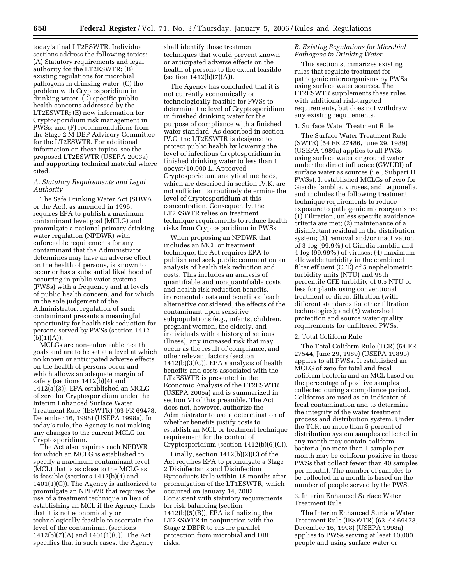today's final LT2ESWTR. Individual sections address the following topics: (A) Statutory requirements and legal authority for the LT2ESWTR; (B) existing regulations for microbial pathogens in drinking water; (C) the problem with Cryptosporidium in drinking water; (D) specific public health concerns addressed by the LT2ESWTR; (E) new information for Cryptosporidium risk management in PWSs; and (F) recommendations from the Stage 2 M-DBP Advisory Committee for the LT2ESWTR. For additional information on these topics, see the proposed LT2ESWTR (USEPA 2003a) and supporting technical material where cited.

## *A. Statutory Requirements and Legal Authority*

The Safe Drinking Water Act (SDWA or the Act), as amended in 1996, requires EPA to publish a maximum contaminant level goal (MCLG) and promulgate a national primary drinking water regulation (NPDWR) with enforceable requirements for any contaminant that the Administrator determines may have an adverse effect on the health of persons, is known to occur or has a substantial likelihood of occurring in public water systems (PWSs) with a frequency and at levels of public health concern, and for which, in the sole judgement of the Administrator, regulation of such contaminant presents a meaningful opportunity for health risk reduction for persons served by PWSs (section 1412  $(b)(1)(A)).$ 

MCLGs are non-enforceable health goals and are to be set at a level at which no known or anticipated adverse effects on the health of persons occur and which allows an adequate margin of safety (sections 1412(b)(4) and 1412(a)(3)). EPA established an MCLG of zero for Cryptosporidium under the Interim Enhanced Surface Water Treatment Rule (IESWTR) (63 FR 69478, December 16, 1998) (USEPA 1998a). In today's rule, the Agency is not making any changes to the current MCLG for Cryptosporidium.

The Act also requires each NPDWR for which an MCLG is established to specify a maximum contaminant level (MCL) that is as close to the MCLG as is feasible (sections 1412(b)(4) and 1401(1)(C)). The Agency is authorized to promulgate an NPDWR that requires the use of a treatment technique in lieu of establishing an MCL if the Agency finds that it is not economically or technologically feasible to ascertain the level of the contaminant (sections 1412(b)(7)(A) and 1401(1)(C)). The Act specifies that in such cases, the Agency

shall identify those treatment techniques that would prevent known or anticipated adverse effects on the health of persons to the extent feasible  $(section 1412(b)(7)(A)).$ 

The Agency has concluded that it is not currently economically or technologically feasible for PWSs to determine the level of Cryptosporidium in finished drinking water for the purpose of compliance with a finished water standard. As described in section IV.C, the LT2ESWTR is designed to protect public health by lowering the level of infectious Cryptosporidium in finished drinking water to less than 1 oocyst/10,000 L. Approved Cryptosporidium analytical methods, which are described in section IV.K, are not sufficient to routinely determine the level of Cryptosporidium at this concentration. Consequently, the LT2ESWTR relies on treatment technique requirements to reduce health risks from Cryptosporidium in PWSs.

When proposing an NPDWR that includes an MCL or treatment technique, the Act requires EPA to publish and seek public comment on an analysis of health risk reduction and costs. This includes an analysis of quantifiable and nonquantifiable costs and health risk reduction benefits, incremental costs and benefits of each alternative considered, the effects of the contaminant upon sensitive subpopulations (e.g., infants, children, pregnant women, the elderly, and individuals with a history of serious illness), any increased risk that may occur as the result of compliance, and other relevant factors (section  $1412(b)(3)(C)$ ). EPA's analysis of health benefits and costs associated with the LT2ESWTR is presented in the Economic Analysis of the LT2ESWTR (USEPA 2005a) and is summarized in section VI of this preamble. The Act does not, however, authorize the Administrator to use a determination of whether benefits justify costs to establish an MCL or treatment technique requirement for the control of Cryptosporidium (section 1412(b)(6)(C)).

Finally, section 1412(b)(2)(C) of the Act requires EPA to promulgate a Stage 2 Disinfectants and Disinfection Byproducts Rule within 18 months after promulgation of the LT1ESWTR, which occurred on January 14, 2002. Consistent with statutory requirements for risk balancing (section 1412(b)(5)(B)), EPA is finalizing the LT2ESWTR in conjunction with the Stage 2 DBPR to ensure parallel protection from microbial and DBP risks.

## *B. Existing Regulations for Microbial Pathogens in Drinking Water*

This section summarizes existing rules that regulate treatment for pathogenic microorganisms by PWSs using surface water sources. The LT2ESWTR supplements these rules with additional risk-targeted requirements, but does not withdraw any existing requirements.

## 1. Surface Water Treatment Rule

The Surface Water Treatment Rule (SWTR) (54 FR 27486, June 29, 1989) (USEPA 1989a) applies to all PWSs using surface water or ground water under the direct influence (GWUDI) of surface water as sources (i.e., Subpart H PWSs). It established MCLGs of zero for Giardia lamblia, viruses, and Legionella, and includes the following treatment technique requirements to reduce exposure to pathogenic microorganisms: (1) Filtration, unless specific avoidance criteria are met; (2) maintenance of a disinfectant residual in the distribution system; (3) removal and/or inactivation of 3-log (99.9%) of Giardia lamblia and 4-log (99.99%) of viruses; (4) maximum allowable turbidity in the combined filter effluent (CFE) of 5 nephelometric turbidity units (NTU) and 95th percentile CFE turbidity of 0.5 NTU or less for plants using conventional treatment or direct filtration (with different standards for other filtration technologies); and (5) watershed protection and source water quality requirements for unfiltered PWSs.

#### 2. Total Coliform Rule

The Total Coliform Rule (TCR) (54 FR 27544, June 29, 1989) (USEPA 1989b) applies to all PWSs. It established an MCLG of zero for total and fecal coliform bacteria and an MCL based on the percentage of positive samples collected during a compliance period. Coliforms are used as an indicator of fecal contamination and to determine the integrity of the water treatment process and distribution system. Under the TCR, no more than 5 percent of distribution system samples collected in any month may contain coliform bacteria (no more than 1 sample per month may be coliform positive in those PWSs that collect fewer than 40 samples per month). The number of samples to be collected in a month is based on the number of people served by the PWS.

#### 3. Interim Enhanced Surface Water Treatment Rule

The Interim Enhanced Surface Water Treatment Rule (IESWTR) (63 FR 69478, December 16, 1998) (USEPA 1998a) applies to PWSs serving at least 10,000 people and using surface water or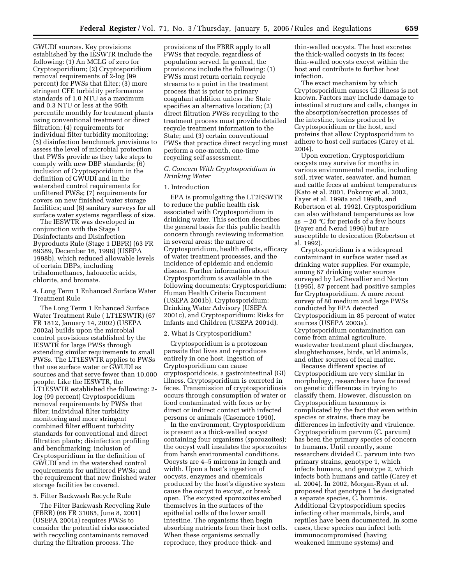GWUDI sources. Key provisions established by the IESWTR include the following: (1) An MCLG of zero for Cryptosporidium; (2) Cryptosporidium removal requirements of 2-log (99 percent) for PWSs that filter; (3) more stringent CFE turbidity performance standards of 1.0 NTU as a maximum and 0.3 NTU or less at the 95th percentile monthly for treatment plants using conventional treatment or direct filtration; (4) requirements for individual filter turbidity monitoring; (5) disinfection benchmark provisions to assess the level of microbial protection that PWSs provide as they take steps to comply with new DBP standards; (6) inclusion of Cryptosporidium in the definition of GWUDI and in the watershed control requirements for unfiltered PWSs; (7) requirements for covers on new finished water storage facilities; and (8) sanitary surveys for all surface water systems regardless of size.

The IESWTR was developed in conjunction with the Stage 1 Disinfectants and Disinfection Byproducts Rule (Stage 1 DBPR) (63 FR 69389, December 16, 1998) (USEPA 1998b), which reduced allowable levels of certain DBPs, including trihalomethanes, haloacetic acids, chlorite, and bromate.

4. Long Term 1 Enhanced Surface Water Treatment Rule

The Long Term 1 Enhanced Surface Water Treatment Rule ( LT1ESWTR) (67 FR 1812, January 14, 2002) (USEPA 2002a) builds upon the microbial control provisions established by the IESWTR for large PWSs through extending similar requirements to small PWSs. The LT1ESWTR applies to PWSs that use surface water or GWUDI as sources and that serve fewer than 10,000 people. Like the IESWTR, the LT1ESWTR established the following: 2 log (99 percent) Cryptosporidium removal requirements by PWSs that filter; individual filter turbidity monitoring and more stringent combined filter effluent turbidity standards for conventional and direct filtration plants; disinfection profiling and benchmarking; inclusion of Cryptosporidium in the definition of GWUDI and in the watershed control requirements for unfiltered PWSs; and the requirement that new finished water storage facilities be covered.

#### 5. Filter Backwash Recycle Rule

The Filter Backwash Recycling Rule (FBRR) (66 FR 31085, June 8, 2001) (USEPA 2001a) requires PWSs to consider the potential risks associated with recycling contaminants removed during the filtration process. The

provisions of the FBRR apply to all PWSs that recycle, regardless of population served. In general, the provisions include the following: (1) PWSs must return certain recycle streams to a point in the treatment process that is prior to primary coagulant addition unless the State specifies an alternative location; (2) direct filtration PWSs recycling to the treatment process must provide detailed recycle treatment information to the State; and (3) certain conventional PWSs that practice direct recycling must perform a one-month, one-time recycling self assessment.

## *C. Concern With Cryptosporidium in Drinking Water*

## 1. Introduction

EPA is promulgating the LT2ESWTR to reduce the public health risk associated with Cryptosporidium in drinking water. This section describes the general basis for this public health concern through reviewing information in several areas: the nature of Cryptosporidium, health effects, efficacy of water treatment processes, and the incidence of epidemic and endemic disease. Further information about Cryptosporidium is available in the following documents: Cryptosporidium: Human Health Criteria Document (USEPA 2001b), Cryptosporidium: Drinking Water Advisory (USEPA 2001c), and Cryptosporidium: Risks for Infants and Children (USEPA 2001d).

#### 2. What Is Cryptosporidium?

Cryptosporidium is a protozoan parasite that lives and reproduces entirely in one host. Ingestion of Cryptosporidium can cause cryptosporidiosis, a gastrointestinal (GI) illness. Cryptosporidium is excreted in feces. Transmission of cryptosporidiosis occurs through consumption of water or food contaminated with feces or by direct or indirect contact with infected persons or animals (Casemore 1990).

In the environment, Cryptosporidium is present as a thick-walled oocyst containing four organisms (sporozoites); the oocyst wall insulates the sporozoites from harsh environmental conditions. Oocysts are 4–5 microns in length and width. Upon a host's ingestion of oocysts, enzymes and chemicals produced by the host's digestive system cause the oocyst to excyst, or break open. The excysted sporozoites embed themselves in the surfaces of the epithelial cells of the lower small intestine. The organisms then begin absorbing nutrients from their host cells. When these organisms sexually reproduce, they produce thick- and

thin-walled oocysts. The host excretes the thick-walled oocysts in its feces; thin-walled oocysts excyst within the host and contribute to further host infection.

The exact mechanism by which Cryptosporidium causes GI illness is not known. Factors may include damage to intestinal structure and cells, changes in the absorption/secretion processes of the intestine, toxins produced by Cryptosporidium or the host, and proteins that allow Cryptosporidium to adhere to host cell surfaces (Carey et al. 2004).

Upon excretion, Cryptosporidium oocysts may survive for months in various environmental media, including soil, river water, seawater, and human and cattle feces at ambient temperatures (Kato et al. 2001, Pokorny et al. 2002, Fayer et al. 1998a and 1998b, and Robertson et al. 1992). Cryptosporidium can also withstand temperatures as low as  $-20$  °C for periods of a few hours (Fayer and Nerad 1996) but are susceptible to desiccation (Robertson et al. 1992).

Cryptosporidium is a widespread contaminant in surface water used as drinking water supplies. For example, among 67 drinking water sources surveyed by LeChevallier and Norton (1995), 87 percent had positive samples for Cryptosporidium. A more recent survey of 80 medium and large PWSs conducted by EPA detected Cryptosporidium in 85 percent of water sources (USEPA 2003a). Cryptosporidium contamination can come from animal agriculture, wastewater treatment plant discharges, slaughterhouses, birds, wild animals, and other sources of fecal matter.

Because different species of Cryptosporidium are very similar in morphology, researchers have focused on genetic differences in trying to classify them. However, discussion on Cryptosporidium taxonomy is complicated by the fact that even within species or strains, there may be differences in infectivity and virulence. Cryptosporidium parvum (C. parvum) has been the primary species of concern to humans. Until recently, some researchers divided C. parvum into two primary strains, genotype 1, which infects humans, and genotype 2, which infects both humans and cattle (Carey et al. 2004). In 2002, Morgan-Ryan et al. proposed that genotype 1 be designated a separate species, C. hominis. Additional Cryptosporidium species infecting other mammals, birds, and reptiles have been documented. In some cases, these species can infect both immunocompromised (having weakened immune systems) and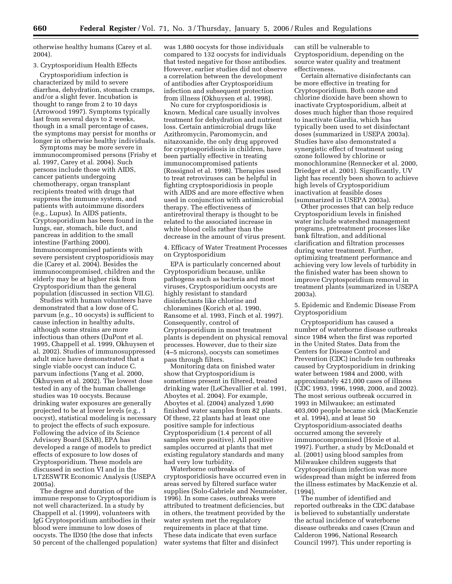otherwise healthy humans (Carey et al. 2004).

## 3. Cryptosporidium Health Effects

Cryptosporidium infection is characterized by mild to severe diarrhea, dehydration, stomach cramps, and/or a slight fever. Incubation is thought to range from 2 to 10 days (Arrowood 1997). Symptoms typically last from several days to 2 weeks, though in a small percentage of cases, the symptoms may persist for months or longer in otherwise healthy individuals.

Symptoms may be more severe in immunocompromised persons (Frisby et al. 1997, Carey et al. 2004). Such persons include those with AIDS, cancer patients undergoing chemotherapy, organ transplant recipients treated with drugs that suppress the immune system, and patients with autoimmune disorders (e.g., Lupus). In AIDS patients, Cryptosporidium has been found in the lungs, ear, stomach, bile duct, and pancreas in addition to the small intestine (Farthing 2000). Immunocompromised patients with severe persistent cryptosporidiosis may die (Carey et al. 2004). Besides the immunocompromised, children and the elderly may be at higher risk from Cryptosporidium than the general population (discussed in section VII.G).

Studies with human volunteers have demonstrated that a low dose of C. parvum (e.g., 10 oocysts) is sufficient to cause infection in healthy adults, although some strains are more infectious than others (DuPont et al. 1995, Chappell et al. 1999, Okhuysen et al. 2002). Studies of immunosuppressed adult mice have demonstrated that a single viable oocyst can induce C. parvum infections (Yang et al. 2000, Okhuysen et al. 2002). The lowest dose tested in any of the human challenge studies was 10 oocysts. Because drinking water exposures are generally projected to be at lower levels (e.g., 1 oocyst), statistical modeling is necessary to project the effects of such exposure. Following the advice of its Science Advisory Board (SAB), EPA has developed a range of models to predict effects of exposure to low doses of Cryptosporidium. These models are discussed in section VI and in the LT2ESWTR Economic Analysis (USEPA 2005a).

The degree and duration of the immune response to Cryptosporidium is not well characterized. In a study by Chappell et al. (1999), volunteers with IgG Cryptosporidium antibodies in their blood were immune to low doses of oocysts. The ID50 (the dose that infects 50 percent of the challenged population) was 1,880 oocysts for those individuals compared to 132 oocysts for individuals that tested negative for those antibodies. However, earlier studies did not observe a correlation between the development of antibodies after Cryptosporidium infection and subsequent protection from illness (Okhuysen et al. 1998).

No cure for cryptosporidiosis is known. Medical care usually involves treatment for dehydration and nutrient loss. Certain antimicrobial drugs like Azithromycin, Paromomycin, and nitazoxanide, the only drug approved for cryptosporidiosis in children, have been partially effective in treating immunocompromised patients (Rossignol et al. 1998). Therapies used to treat retroviruses can be helpful in fighting cryptosporidiosis in people with AIDS and are more effective when used in conjunction with antimicrobial therapy. The effectiveness of antiretroviral therapy is thought to be related to the associated increase in white blood cells rather than the decrease in the amount of virus present.

4. Efficacy of Water Treatment Processes on Cryptosporidium

EPA is particularly concerned about Cryptosporidium because, unlike pathogens such as bacteria and most viruses, Cryptosporidium oocysts are highly resistant to standard disinfectants like chlorine and chloramines (Korich et al. 1990, Ransome et al. 1993, Finch et al. 1997). Consequently, control of Cryptosporidium in most treatment plants is dependent on physical removal processes. However, due to their size (4–5 microns), oocysts can sometimes pass through filters.

Monitoring data on finished water show that Cryptosporidium is sometimes present in filtered, treated drinking water (LeChevallier et al. 1991, Aboytes et al. 2004). For example, Aboytes et al. (2004) analyzed 1,690 finished water samples from 82 plants. Of these, 22 plants had at least one positive sample for infectious Cryptosporidium (1.4 percent of all samples were positive). All positive samples occurred at plants that met existing regulatory standards and many had very low turbidity.

Waterborne outbreaks of cryptosporidiosis have occurred even in areas served by filtered surface water supplies (Solo-Gabriele and Neumeister, 1996). In some cases, outbreaks were attributed to treatment deficiencies, but in others, the treatment provided by the water system met the regulatory requirements in place at that time. These data indicate that even surface water systems that filter and disinfect

can still be vulnerable to Cryptosporidium, depending on the source water quality and treatment effectiveness.

Certain alternative disinfectants can be more effective in treating for Cryptosporidium. Both ozone and chlorine dioxide have been shown to inactivate Cryptosporidium, albeit at doses much higher than those required to inactivate Giardia, which has typically been used to set disinfectant doses (summarized in USEPA 2003a). Studies have also demonstrated a synergistic effect of treatment using ozone followed by chlorine or monochloramine (Rennecker et al. 2000, Driedger et al. 2001). Significantly, UV light has recently been shown to achieve high levels of Cryptosporidium inactivation at feasible doses (summarized in USEPA 2003a).

Other processes that can help reduce Cryptosporidium levels in finished water include watershed management programs, pretreatment processes like bank filtration, and additional clarification and filtration processes during water treatment. Further, optimizing treatment performance and achieving very low levels of turbidity in the finished water has been shown to improve Cryptosporidium removal in treatment plants (summarized in USEPA 2003a).

5. Epidemic and Endemic Disease From Cryptosporidium

Cryptosporidium has caused a number of waterborne disease outbreaks since 1984 when the first was reported in the United States. Data from the Centers for Disease Control and Prevention (CDC) include ten outbreaks caused by Cryptosporidium in drinking water between 1984 and 2000, with approximately 421,000 cases of illness (CDC 1993, 1996, 1998, 2000, and 2002). The most serious outbreak occurred in 1993 in Milwaukee; an estimated 403,000 people became sick (MacKenzie et al. 1994), and at least 50 Cryptosporidium-associated deaths occurred among the severely immunocompromised (Hoxie et al. 1997). Further, a study by McDonald et al. (2001) using blood samples from Milwaukee children suggests that Cryptosporidium infection was more widespread than might be inferred from the illness estimates by MacKenzie et al. (1994).

The number of identified and reported outbreaks in the CDC database is believed to substantially understate the actual incidence of waterborne disease outbreaks and cases (Craun and Calderon 1996, National Research Council 1997). This under reporting is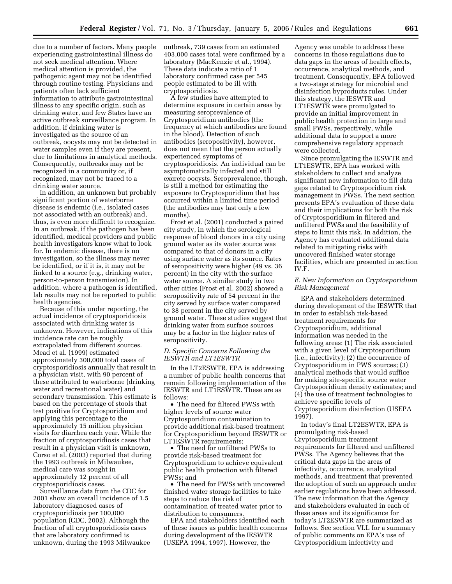due to a number of factors. Many people experiencing gastrointestinal illness do not seek medical attention. Where medical attention is provided, the pathogenic agent may not be identified through routine testing. Physicians and patients often lack sufficient information to attribute gastrointestinal illness to any specific origin, such as drinking water, and few States have an active outbreak surveillance program. In addition, if drinking water is investigated as the source of an outbreak, oocysts may not be detected in water samples even if they are present, due to limitations in analytical methods. Consequently, outbreaks may not be recognized in a community or, if recognized, may not be traced to a drinking water source.

In addition, an unknown but probably significant portion of waterborne disease is endemic (i.e., isolated cases not associated with an outbreak) and, thus, is even more difficult to recognize. In an outbreak, if the pathogen has been identified, medical providers and public health investigators know what to look for. In endemic disease, there is no investigation, so the illness may never be identified, or if it is, it may not be linked to a source (e.g., drinking water, person-to-person transmission). In addition, where a pathogen is identified, lab results may not be reported to public health agencies.

Because of this under reporting, the actual incidence of cryptosporidiosis associated with drinking water is unknown. However, indications of this incidence rate can be roughly extrapolated from different sources. Mead et al. (1999) estimated approximately 300,000 total cases of cryptosporidiosis annually that result in a physician visit, with 90 percent of these attributed to waterborne (drinking water and recreational water) and secondary transmission. This estimate is based on the percentage of stools that test positive for Cryptosporidium and applying this percentage to the approximately 15 million physician visits for diarrhea each year. While the fraction of cryptosporidiosis cases that result in a physician visit is unknown, Corso et al. (2003) reported that during the 1993 outbreak in Milwaukee, medical care was sought in approximately 12 percent of all cryptosporidiosis cases.

Surveillance data from the CDC for 2001 show an overall incidence of 1.5 laboratory diagnosed cases of cryptosporidiosis per 100,000 population (CDC, 2002). Although the fraction of all cryptosporidiosis cases that are laboratory confirmed is unknown, during the 1993 Milwaukee outbreak, 739 cases from an estimated 403,000 cases total were confirmed by a laboratory (MacKenzie et al., 1994). These data indicate a ratio of 1 laboratory confirmed case per 545 people estimated to be ill with cryptosporidiosis.

A few studies have attempted to determine exposure in certain areas by measuring seroprevalence of Cryptosporidium antibodies (the frequency at which antibodies are found in the blood). Detection of such antibodies (seropositivity), however, does not mean that the person actually experienced symptoms of cryptosporidiosis. An individual can be asymptomatically infected and still excrete oocysts. Seroprevalence, though, is still a method for estimating the exposure to Cryptosporidium that has occurred within a limited time period (the antibodies may last only a few months).

Frost et al. (2001) conducted a paired city study, in which the serological response of blood donors in a city using ground water as its water source was compared to that of donors in a city using surface water as its source. Rates of seropositivity were higher (49 vs. 36 percent) in the city with the surface water source. A similar study in two other cities (Frost et al. 2002) showed a seropositivity rate of 54 percent in the city served by surface water compared to 38 percent in the city served by ground water. These studies suggest that drinking water from surface sources may be a factor in the higher rates of seropositivity.

#### *D. Specific Concerns Following the IESWTR and LT1ESWTR*

In the LT2ESWTR, EPA is addressing a number of public health concerns that remain following implementation of the IESWTR and LT1ESWTR. These are as follows:

• The need for filtered PWSs with higher levels of source water Cryptosporidium contamination to provide additional risk-based treatment for Cryptosporidium beyond IESWTR or LT1ESWTR requirements;

• The need for unfiltered PWSs to provide risk-based treatment for Cryptosporidium to achieve equivalent public health protection with filtered PWSs; and

• The need for PWSs with uncovered finished water storage facilities to take steps to reduce the risk of contamination of treated water prior to distribution to consumers.

EPA and stakeholders identified each of these issues as public health concerns during development of the IESWTR (USEPA 1994, 1997). However, the

Agency was unable to address these concerns in those regulations due to data gaps in the areas of health effects, occurrence, analytical methods, and treatment. Consequently, EPA followed a two-stage strategy for microbial and disinfection byproducts rules. Under this strategy, the IESWTR and LT1ESWTR were promulgated to provide an initial improvement in public health protection in large and small PWSs, respectively, while additional data to support a more comprehensive regulatory approach were collected.

Since promulgating the IESWTR and LT1ESWTR, EPA has worked with stakeholders to collect and analyze significant new information to fill data gaps related to Cryptosporidium risk management in PWSs. The next section presents EPA's evaluation of these data and their implications for both the risk of Cryptosporidium in filtered and unfiltered PWSs and the feasibility of steps to limit this risk. In addition, the Agency has evaluated additional data related to mitigating risks with uncovered finished water storage facilities, which are presented in section IV.F.

## *E. New Information on Cryptosporidium Risk Management*

EPA and stakeholders determined during development of the IESWTR that in order to establish risk-based treatment requirements for Cryptosporidium, additional information was needed in the following areas: (1) The risk associated with a given level of Cryptosporidium (i.e., infectivity); (2) the occurrence of Cryptosporidium in PWS sources; (3) analytical methods that would suffice for making site-specific source water Cryptosporidium density estimates; and (4) the use of treatment technologies to achieve specific levels of Cryptosporidium disinfection (USEPA 1997).

In today's final LT2ESWTR, EPA is promulgating risk-based Cryptosporidium treatment requirements for filtered and unfiltered PWSs. The Agency believes that the critical data gaps in the areas of infectivity, occurrence, analytical methods, and treatment that prevented the adoption of such an approach under earlier regulations have been addressed. The new information that the Agency and stakeholders evaluated in each of these areas and its significance for today's LT2ESWTR are summarized as follows. See section VI.L for a summary of public comments on EPA's use of Cryptosporidium infectivity and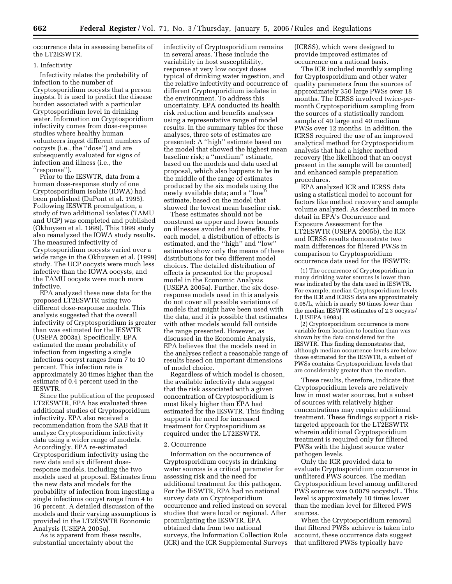occurrence data in assessing benefits of the LT2ESWTR.

#### 1. Infectivity

Infectivity relates the probability of infection to the number of Cryptosporidium oocysts that a person ingests. It is used to predict the disease burden associated with a particular Cryptosporidium level in drinking water. Information on Cryptosporidium infectivity comes from dose-response studies where healthy human volunteers ingest different numbers of oocysts (i.e., the ''dose'') and are subsequently evaluated for signs of infection and illness (i.e., the ''response'').

Prior to the IESWTR, data from a human dose-response study of one Cryptosporidium isolate (IOWA) had been published (DuPont et al. 1995). Following IESWTR promulgation, a study of two additional isolates (TAMU and UCP) was completed and published (Okhuysen et al. 1999). This 1999 study also reanalyzed the IOWA study results. The measured infectivity of Cryptosporidium oocysts varied over a wide range in the Okhuysen et al. (1999) study. The UCP oocysts were much less infective than the IOWA oocysts, and the TAMU oocysts were much more infective.

EPA analyzed these new data for the proposed LT2ESWTR using two different dose-response models. This analysis suggested that the overall infectivity of Cryptosporidium is greater than was estimated for the IESWTR (USEPA 2003a). Specifically, EPA estimated the mean probability of infection from ingesting a single infectious oocyst ranges from 7 to 10 percent. This infection rate is approximately 20 times higher than the estimate of 0.4 percent used in the IESWTR.

Since the publication of the proposed LT2ESWTR, EPA has evaluated three additional studies of Cryptosporidium infectivity. EPA also received a recommendation from the SAB that it analyze Cryptosporidium infectivity data using a wider range of models. Accordingly, EPA re-estimated Cryptosporidium infectivity using the new data and six different doseresponse models, including the two models used at proposal. Estimates from the new data and models for the probability of infection from ingesting a single infectious oocyst range from 4 to 16 percent. A detailed discussion of the models and their varying assumptions is provided in the LT2ESWTR Economic Analysis (USEPA 2005a).

As is apparent from these results, substantial uncertainty about the

infectivity of Cryptosporidium remains in several areas. These include the variability in host susceptibility, response at very low oocyst doses typical of drinking water ingestion, and the relative infectivity and occurrence of different Cryptosporidium isolates in the environment. To address this uncertainty, EPA conducted its health risk reduction and benefits analyses using a representative range of model results. In the summary tables for these analyses, three sets of estimates are presented: A ''high'' estimate based on the model that showed the highest mean baseline risk; a ''medium'' estimate, based on the models and data used at proposal, which also happens to be in the middle of the range of estimates produced by the six models using the newly available data; and a ''low'' estimate, based on the model that showed the lowest mean baseline risk.

These estimates should not be construed as upper and lower bounds on illnesses avoided and benefits. For each model, a distribution of effects is estimated, and the ''high'' and ''low'' estimates show only the means of these distributions for two different model choices. The detailed distribution of effects is presented for the proposal model in the Economic Analysis (USEPA 2005a). Further, the six doseresponse models used in this analysis do not cover all possible variations of models that might have been used with the data, and it is possible that estimates with other models would fall outside the range presented. However, as discussed in the Economic Analysis, EPA believes that the models used in the analyses reflect a reasonable range of results based on important dimensions of model choice.

Regardless of which model is chosen, the available infectivity data suggest that the risk associated with a given concentration of Cryptosporidium is most likely higher than EPA had estimated for the IESWTR. This finding supports the need for increased treatment for Cryptosporidium as required under the LT2ESWTR.

#### 2. Occurrence

Information on the occurrence of Cryptosporidium oocysts in drinking water sources is a critical parameter for assessing risk and the need for additional treatment for this pathogen. For the IESWTR, EPA had no national survey data on Cryptosporidium occurrence and relied instead on several studies that were local or regional. After promulgating the IESWTR, EPA obtained data from two national surveys, the Information Collection Rule (ICR) and the ICR Supplemental Surveys (ICRSS), which were designed to provide improved estimates of occurrence on a national basis.

The ICR included monthly sampling for Cryptosporidium and other water quality parameters from the sources of approximately 350 large PWSs over 18 months. The ICRSS involved twice-permonth Cryptosporidium sampling from the sources of a statistically random sample of 40 large and 40 medium PWSs over 12 months. In addition, the ICRSS required the use of an improved analytical method for Cryptosporidium analysis that had a higher method recovery (the likelihood that an oocyst present in the sample will be counted) and enhanced sample preparation procedures.

EPA analyzed ICR and ICRSS data using a statistical model to account for factors like method recovery and sample volume analyzed. As described in more detail in EPA's Occurrence and Exposure Assessment for the LT2ESWTR (USEPA 2005b), the ICR and ICRSS results demonstrate two main differences for filtered PWSs in comparison to Cryptosporidium occurrence data used for the IESWTR:

(1) The occurrence of Cryptosporidium in many drinking water sources is lower than was indicated by the data used in IESWTR. For example, median Cryptosporidium levels for the ICR and ICRSS data are approximately 0.05/L, which is nearly 50 times lower than the median IESWTR estimates of 2.3 oocysts/ L (USEPA 1998a).

(2) Cryptosporidium occurrence is more variable from location to location than was shown by the data considered for the IESWTR. This finding demonstrates that, although median occurrence levels are below those estimated for the IESWTR, a subset of PWSs contains Cryptosporidium levels that are considerably greater than the median.

These results, therefore, indicate that Cryptosporidium levels are relatively low in most water sources, but a subset of sources with relatively higher concentrations may require additional treatment. These findings support a risktargeted approach for the LT2ESWTR wherein additional Cryptosporidium treatment is required only for filtered PWSs with the highest source water pathogen levels.

Only the ICR provided data to evaluate Cryptosporidium occurrence in unfiltered PWS sources. The median Cryptosporidium level among unfiltered PWS sources was 0.0079 oocysts/L. This level is approximately 10 times lower than the median level for filtered PWS sources.

When the Cryptosporidium removal that filtered PWSs achieve is taken into account, these occurrence data suggest that unfiltered PWSs typically have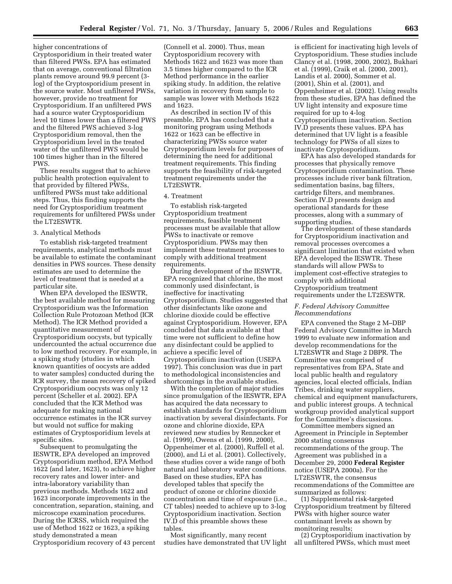higher concentrations of Cryptosporidium in their treated water than filtered PWSs. EPA has estimated that on average, conventional filtration plants remove around 99.9 percent (3 log) of the Cryptosporidium present in the source water. Most unfiltered PWSs, however, provide no treatment for Cryptosporidium. If an unfiltered PWS had a source water Cryptosporidium level 10 times lower than a filtered PWS and the filtered PWS achieved 3-log Cryptosporidium removal, then the Cryptosporidium level in the treated water of the unfiltered PWS would be 100 times higher than in the filtered PWS.

These results suggest that to achieve public health protection equivalent to that provided by filtered PWSs, unfiltered PWSs must take additional steps. Thus, this finding supports the need for Cryptosporidium treatment requirements for unfiltered PWSs under the LT2ESWTR.

#### 3. Analytical Methods

To establish risk-targeted treatment requirements, analytical methods must be available to estimate the contaminant densities in PWS sources. These density estimates are used to determine the level of treatment that is needed at a particular site.

When EPA developed the IESWTR, the best available method for measuring Cryptosporidium was the Information Collection Rule Protozoan Method (ICR Method). The ICR Method provided a quantitative measurement of Cryptosporidium oocysts, but typically undercounted the actual occurrence due to low method recovery. For example, in a spiking study (studies in which known quantities of oocysts are added to water samples) conducted during the ICR survey, the mean recovery of spiked Cryptosporidium oocysts was only 12 percent (Scheller et al. 2002). EPA concluded that the ICR Method was adequate for making national occurrence estimates in the ICR survey but would not suffice for making estimates of Cryptosporidium levels at specific sites.

Subsequent to promulgating the IESWTR, EPA developed an improved Cryptosporidium method, EPA Method 1622 (and later, 1623), to achieve higher recovery rates and lower inter- and intra-laboratory variability than previous methods. Methods 1622 and 1623 incorporate improvements in the concentration, separation, staining, and microscope examination procedures. During the ICRSS, which required the use of Method 1622 or 1623, a spiking study demonstrated a mean Cryptosporidium recovery of 43 percent

(Connell et al. 2000). Thus, mean Cryptosporidium recovery with Methods 1622 and 1623 was more than 3.5 times higher compared to the ICR Method performance in the earlier spiking study. In addition, the relative variation in recovery from sample to sample was lower with Methods 1622 and 1623.

As described in section IV of this preamble, EPA has concluded that a monitoring program using Methods 1622 or 1623 can be effective in characterizing PWSs source water Cryptosporidium levels for purposes of determining the need for additional treatment requirements. This finding supports the feasibility of risk-targeted treatment requirements under the LT2ESWTR.

#### 4. Treatment

To establish risk-targeted Cryptosporidium treatment requirements, feasible treatment processes must be available that allow PWSs to inactivate or remove Cryptosporidium. PWSs may then implement these treatment processes to comply with additional treatment requirements.

During development of the IESWTR, EPA recognized that chlorine, the most commonly used disinfectant, is ineffective for inactivating Cryptosporidium. Studies suggested that other disinfectants like ozone and chlorine dioxide could be effective against Cryptosporidium. However, EPA concluded that data available at that time were not sufficient to define how any disinfectant could be applied to achieve a specific level of Cryptosporidium inactivation (USEPA 1997). This conclusion was due in part to methodological inconsistencies and shortcomings in the available studies.

With the completion of major studies since promulgation of the IESWTR, EPA has acquired the data necessary to establish standards for Cryptosporidium inactivation by several disinfectants. For ozone and chlorine dioxide, EPA reviewed new studies by Rennecker et al. (1999), Owens et al. (1999, 2000), Oppenheimer et al. (2000), Ruffell et al. (2000), and Li et al. (2001). Collectively, these studies cover a wide range of both natural and laboratory water conditions. Based on these studies, EPA has developed tables that specify the product of ozone or chlorine dioxide concentration and time of exposure (i.e., CT tables) needed to achieve up to 3-log Cryptosporidium inactivation. Section IV.D of this preamble shows these tables.

Most significantly, many recent studies have demonstrated that UV light is efficient for inactivating high levels of Cryptosporidium. These studies include Clancy et al. (1998, 2000, 2002), Bukhari et al. (1999), Craik et al. (2000, 2001), Landis et al. 2000), Sommer et al. (2001), Shin et al. (2001), and Oppenheimer et al. (2002). Using results from these studies, EPA has defined the UV light intensity and exposure time required for up to 4-log Cryptosporidium inactivation. Section IV.D presents these values. EPA has determined that UV light is a feasible technology for PWSs of all sizes to inactivate Cryptosporidium.

EPA has also developed standards for processes that physically remove Cryptosporidium contamination. These processes include river bank filtration, sedimentation basins, bag filters, cartridge filters, and membranes. Section IV.D presents design and operational standards for these processes, along with a summary of supporting studies.

The development of these standards for Cryptosporidium inactivation and removal processes overcomes a significant limitation that existed when EPA developed the IESWTR. These standards will allow PWSs to implement cost-effective strategies to comply with additional Cryptosporidium treatment requirements under the LT2ESWTR.

#### *F. Federal Advisory Committee Recommendations*

EPA convened the Stage 2 M–DBP Federal Advisory Committee in March 1999 to evaluate new information and develop recommendations for the LT2ESWTR and Stage 2 DBPR. The Committee was comprised of representatives from EPA, State and local public health and regulatory agencies, local elected officials, Indian Tribes, drinking water suppliers, chemical and equipment manufacturers, and public interest groups. A technical workgroup provided analytical support for the Committee's discussions.

Committee members signed an Agreement in Principle in September 2000 stating consensus recommendations of the group. The Agreement was published in a December 29, 2000 **Federal Register**  notice (USEPA 2000a). For the LT2ESWTR, the consensus recommendations of the Committee are summarized as follows:

(1) Supplemental risk-targeted Cryptosporidium treatment by filtered PWSs with higher source water contaminant levels as shown by monitoring results;

(2) Cryptosporidium inactivation by all unfiltered PWSs, which must meet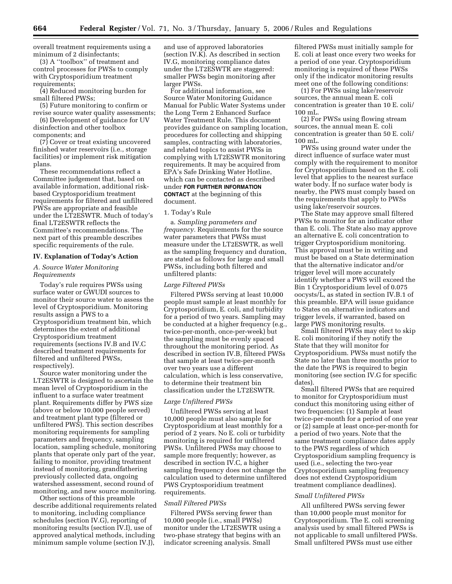overall treatment requirements using a minimum of 2 disinfectants;

(3) A ''toolbox'' of treatment and control processes for PWSs to comply with Cryptosporidium treatment requirements;

(4) Reduced monitoring burden for small filtered PWSs;

(5) Future monitoring to confirm or revise source water quality assessments;

(6) Development of guidance for UV disinfection and other toolbox components; and

(7) Cover or treat existing uncovered finished water reservoirs (i.e., storage facilities) or implement risk mitigation plans.

These recommendations reflect a Committee judgement that, based on available information, additional riskbased Cryptosporidium treatment requirements for filtered and unfiltered PWSs are appropriate and feasible under the LT2ESWTR. Much of today's final LT2ESWTR reflects the Committee's recommendations. The next part of this preamble describes specific requirements of the rule.

#### **IV. Explanation of Today's Action**

## *A. Source Water Monitoring Requirements*

Today's rule requires PWSs using surface water or GWUDI sources to monitor their source water to assess the level of Cryptosporidium. Monitoring results assign a PWS to a Cryptosporidium treatment bin, which determines the extent of additional Cryptosporidium treatment requirements (sections IV.B and IV.C described treatment requirements for filtered and unfiltered PWSs, respectively).

Source water monitoring under the LT2ESWTR is designed to ascertain the mean level of Cryptosporidium in the influent to a surface water treatment plant. Requirements differ by PWS size (above or below 10,000 people served) and treatment plant type (filtered or unfiltered PWS). This section describes monitoring requirements for sampling parameters and frequency, sampling location, sampling schedule, monitoring plants that operate only part of the year, failing to monitor, providing treatment instead of monitoring, grandfathering previously collected data, ongoing watershed assessment, second round of monitoring, and new source monitoring.

Other sections of this preamble describe additional requirements related to monitoring, including compliance schedules (section IV.G), reporting of monitoring results (section IV.I), use of approved analytical methods, including minimum sample volume (section IV.J),

and use of approved laboratories (section IV.K). As described in section IV.G, monitoring compliance dates under the LT2ESWTR are staggered: smaller PWSs begin monitoring after larger PWSs.

For additional information, see Source Water Monitoring Guidance Manual for Public Water Systems under the Long Term 2 Enhanced Surface Water Treatment Rule. This document provides guidance on sampling location, procedures for collecting and shipping samples, contracting with laboratories, and related topics to assist PWSs in complying with LT2ESWTR monitoring requirements. It may be acquired from EPA's Safe Drinking Water Hotline, which can be contacted as described under **FOR FURTHER INFORMATION CONTACT** at the beginning of this document.

#### 1. Today's Rule

a. *Sampling parameters and frequency.* Requirements for the source water parameters that PWSs must measure under the LT2ESWTR, as well as the sampling frequency and duration, are stated as follows for large and small PWSs, including both filtered and unfiltered plants:

#### *Large Filtered PWSs*

Filtered PWSs serving at least 10,000 people must sample at least monthly for Cryptosporidium, E. coli, and turbidity for a period of two years. Sampling may be conducted at a higher frequency (e.g., twice-per-month, once-per-week) but the sampling must be evenly spaced throughout the monitoring period. As described in section IV.B, filtered PWSs that sample at least twice-per-month over two years use a different calculation, which is less conservative, to determine their treatment bin classification under the LT2ESWTR.

## *Large Unfiltered PWSs*

Unfiltered PWSs serving at least 10,000 people must also sample for Cryptosporidium at least monthly for a period of 2 years. No E. coli or turbidity monitoring is required for unfiltered PWSs. Unfiltered PWSs may choose to sample more frequently; however, as described in section IV.C, a higher sampling frequency does not change the calculation used to determine unfiltered PWS Cryptosporidium treatment requirements.

#### *Small Filtered PWSs*

Filtered PWSs serving fewer than 10,000 people (i.e., small PWSs) monitor under the LT2ESWTR using a two-phase strategy that begins with an indicator screening analysis. Small

filtered PWSs must initially sample for E. coli at least once every two weeks for a period of one year. Cryptosporidium monitoring is required of these PWSs only if the indicator monitoring results meet one of the following conditions:

(1) For PWSs using lake/reservoir sources, the annual mean E. coli concentration is greater than 10 E. coli/ 100 mL.

(2) For PWSs using flowing stream sources, the annual mean E. coli concentration is greater than 50 E. coli/ 100 mL.

PWSs using ground water under the direct influence of surface water must comply with the requirement to monitor for Cryptosporidium based on the E. coli level that applies to the nearest surface water body. If no surface water body is nearby, the PWS must comply based on the requirements that apply to PWSs using lake/reservoir sources.

The State may approve small filtered PWSs to monitor for an indicator other than E. coli. The State also may approve an alternative E. coli concentration to trigger Cryptosporidium monitoring. This approval must be in writing and must be based on a State determination that the alternative indicator and/or trigger level will more accurately identify whether a PWS will exceed the Bin 1 Cryptosporidium level of 0.075 oocysts/L, as stated in section IV.B.1 of this preamble. EPA will issue guidance to States on alternative indicators and trigger levels, if warranted, based on large PWS monitoring results.

Small filtered PWSs may elect to skip E. coli monitoring if they notify the State that they will monitor for Cryptosporidium. PWSs must notify the State no later than three months prior to the date the PWS is required to begin monitoring (see section IV.G for specific dates).

Small filtered PWSs that are required to monitor for Cryptosporidium must conduct this monitoring using either of two frequencies: (1) Sample at least twice-per-month for a period of one year or (2) sample at least once-per-month for a period of two years. Note that the same treatment compliance dates apply to the PWS regardless of which Cryptosporidium sampling frequency is used (i.e., selecting the two-year Cryptosporidium sampling frequency does not extend Cryptosporidium treatment compliance deadlines).

#### *Small Unfiltered PWSs*

All unfiltered PWSs serving fewer than 10,000 people must monitor for Cryptosporidium. The E. coli screening analysis used by small filtered PWSs is not applicable to small unfiltered PWSs. Small unfiltered PWSs must use either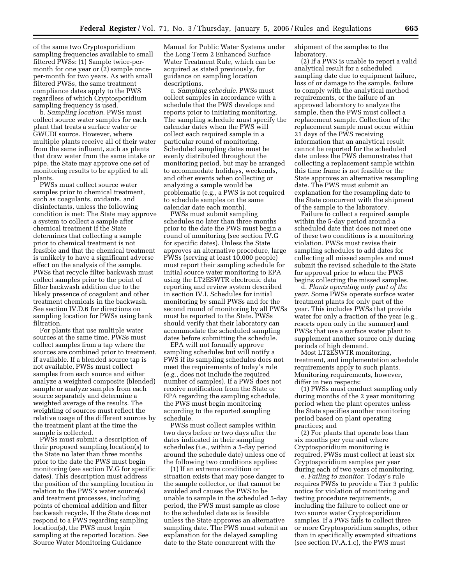of the same two Cryptosporidium sampling frequencies available to small filtered PWSs: (1) Sample twice-permonth for one year or (2) sample onceper-month for two years. As with small filtered PWSs, the same treatment compliance dates apply to the PWS regardless of which Cryptosporidium sampling frequency is used.

b. *Sampling location.* PWSs must collect source water samples for each plant that treats a surface water or GWUDI source. However, where multiple plants receive all of their water from the same influent, such as plants that draw water from the same intake or pipe, the State may approve one set of monitoring results to be applied to all plants.

PWSs must collect source water samples prior to chemical treatment, such as coagulants, oxidants, and disinfectants, unless the following condition is met: The State may approve a system to collect a sample after chemical treatment if the State determines that collecting a sample prior to chemical treatment is not feasible and that the chemical treatment is unlikely to have a significant adverse effect on the analysis of the sample. PWSs that recycle filter backwash must collect samples prior to the point of filter backwash addition due to the likely presence of coagulant and other treatment chemicals in the backwash. See section IV.D.6 for directions on sampling location for PWSs using bank filtration.

For plants that use multiple water sources at the same time, PWSs must collect samples from a tap where the sources are combined prior to treatment, if available. If a blended source tap is not available, PWSs must collect samples from each source and either analyze a weighted composite (blended) sample or analyze samples from each source separately and determine a weighted average of the results. The weighting of sources must reflect the relative usage of the different sources by the treatment plant at the time the sample is collected.

PWSs must submit a description of their proposed sampling location(s) to the State no later than three months prior to the date the PWS must begin monitoring (see section IV.G for specific dates). This description must address the position of the sampling location in relation to the PWS's water source(s) and treatment processes, including points of chemical addition and filter backwash recycle. If the State does not respond to a PWS regarding sampling location(s), the PWS must begin sampling at the reported location. See Source Water Monitoring Guidance

Manual for Public Water Systems under the Long Term 2 Enhanced Surface Water Treatment Rule, which can be acquired as stated previously, for guidance on sampling location descriptions.

c. *Sampling schedule.* PWSs must collect samples in accordance with a schedule that the PWS develops and reports prior to initiating monitoring. The sampling schedule must specify the calendar dates when the PWS will collect each required sample in a particular round of monitoring. Scheduled sampling dates must be evenly distributed throughout the monitoring period, but may be arranged to accommodate holidays, weekends, and other events when collecting or analyzing a sample would be problematic (e.g., a PWS is not required to schedule samples on the same calendar date each month).

PWSs must submit sampling schedules no later than three months prior to the date the PWS must begin a round of monitoring (see section IV.G for specific dates). Unless the State approves an alternative procedure, large PWSs (serving at least 10,000 people) must report their sampling schedule for initial source water monitoring to EPA using the LT2ESWTR electronic data reporting and review system described in section IV.I. Schedules for initial monitoring by small PWSs and for the second round of monitoring by all PWSs must be reported to the State. PWSs should verify that their laboratory can accommodate the scheduled sampling dates before submitting the schedule.

EPA will not formally approve sampling schedules but will notify a PWS if its sampling schedules does not meet the requirements of today's rule (e.g., does not include the required number of samples). If a PWS does not receive notification from the State or EPA regarding the sampling schedule, the PWS must begin monitoring according to the reported sampling schedule.

PWSs must collect samples within two days before or two days after the dates indicated in their sampling schedules (i.e., within a 5-day period around the schedule date) unless one of the following two conditions applies:

(1) If an extreme condition or situation exists that may pose danger to the sample collector, or that cannot be avoided and causes the PWS to be unable to sample in the scheduled 5-day period, the PWS must sample as close to the scheduled date as is feasible unless the State approves an alternative sampling date. The PWS must submit an explanation for the delayed sampling date to the State concurrent with the

shipment of the samples to the laboratory.

(2) If a PWS is unable to report a valid analytical result for a scheduled sampling date due to equipment failure, loss of or damage to the sample, failure to comply with the analytical method requirements, or the failure of an approved laboratory to analyze the sample, then the PWS must collect a replacement sample. Collection of the replacement sample must occur within 21 days of the PWS receiving information that an analytical result cannot be reported for the scheduled date unless the PWS demonstrates that collecting a replacement sample within this time frame is not feasible or the State approves an alternative resampling date. The PWS must submit an explanation for the resampling date to the State concurrent with the shipment of the sample to the laboratory.

Failure to collect a required sample within the 5-day period around a scheduled date that does not meet one of these two conditions is a monitoring violation. PWSs must revise their sampling schedules to add dates for collecting all missed samples and must submit the revised schedule to the State for approval prior to when the PWS begins collecting the missed samples.

d. *Plants operating only part of the year.* Some PWSs operate surface water treatment plants for only part of the year. This includes PWSs that provide water for only a fraction of the year (e.g., resorts open only in the summer) and PWSs that use a surface water plant to supplement another source only during periods of high demand.

Most LT2ESWTR monitoring, treatment, and implementation schedule requirements apply to such plants. Monitoring requirements, however, differ in two respects:

(1) PWSs must conduct sampling only during months of the 2 year monitoring period when the plant operates unless the State specifies another monitoring period based on plant operating practices; and

(2) For plants that operate less than six months per year and where Cryptosporidium monitoring is required, PWSs must collect at least six Cryptosporidium samples per year during each of two years of monitoring.

e. *Failing to monitor.* Today's rule requires PWSs to provide a Tier 3 public notice for violation of monitoring and testing procedure requirements, including the failure to collect one or two source water Cryptosporidium samples. If a PWS fails to collect three or more Cryptosporidium samples, other than in specifically exempted situations (see section IV.A.1.c), the PWS must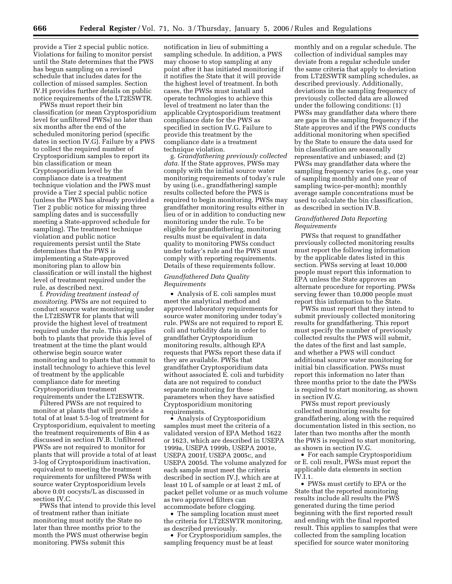provide a Tier 2 special public notice. Violations for failing to monitor persist until the State determines that the PWS has begun sampling on a revised schedule that includes dates for the collection of missed samples. Section IV.H provides further details on public notice requirements of the LT2ESWTR.

PWSs must report their bin classification (or mean Cryptosporidium level for unfiltered PWSs) no later than six months after the end of the scheduled monitoring period (specific dates in section IV.G). Failure by a PWS to collect the required number of Cryptosporidium samples to report its bin classification or mean Cryptosporidium level by the compliance date is a treatment technique violation and the PWS must provide a Tier 2 special public notice (unless the PWS has already provided a Tier 2 public notice for missing three sampling dates and is successfully meeting a State-approved schedule for sampling). The treatment technique violation and public notice requirements persist until the State determines that the PWS is implementing a State-approved monitoring plan to allow bin classification or will install the highest level of treatment required under the rule, as described next.

f. *Providing treatment instead of monitoring.* PWSs are not required to conduct source water monitoring under the LT2ESWTR for plants that will provide the highest level of treatment required under the rule. This applies both to plants that provide this level of treatment at the time the plant would otherwise begin source water monitoring and to plants that commit to install technology to achieve this level of treatment by the applicable compliance date for meeting Cryptosporidium treatment requirements under the LT2ESWTR.

Filtered PWSs are not required to monitor at plants that will provide a total of at least 5.5-log of treatment for Cryptosporidium, equivalent to meeting the treatment requirements of Bin 4 as discussed in section IV.B. Unfiltered PWSs are not required to monitor for plants that will provide a total of at least 3-log of Cryptosporidium inactivation, equivalent to meeting the treatment requirements for unfiltered PWSs with source water Cryptosporidium levels above 0.01 oocysts/L as discussed in section IV.C.

PWSs that intend to provide this level of treatment rather than initiate monitoring must notify the State no later than three months prior to the month the PWS must otherwise begin monitoring. PWSs submit this

notification in lieu of submitting a sampling schedule. In addition, a PWS may choose to stop sampling at any point after it has initiated monitoring if it notifies the State that it will provide the highest level of treatment. In both cases, the PWSs must install and operate technologies to achieve this level of treatment no later than the applicable Cryptosporidium treatment compliance date for the PWS as specified in section IV.G. Failure to provide this treatment by the compliance date is a treatment technique violation.

g. *Grandfathering previously collected data.* If the State approves, PWSs may comply with the initial source water monitoring requirements of today's rule by using (i.e., grandfathering) sample results collected before the PWS is required to begin monitoring. PWSs may grandfather monitoring results either in lieu of or in addition to conducting new monitoring under the rule. To be eligible for grandfathering, monitoring results must be equivalent in data quality to monitoring PWSs conduct under today's rule and the PWS must comply with reporting requirements. Details of these requirements follow.

## *Grandfathered Data Quality Requirements*

• Analysis of E. coli samples must meet the analytical method and approved laboratory requirements for source water monitoring under today's rule. PWSs are not required to report E. coli and turbidity data in order to grandfather Cryptosporidium monitoring results, although EPA requests that PWSs report these data if they are available. PWSs that grandfather Cryptosporidium data without associated E. coli and turbidity data are not required to conduct separate monitoring for these parameters when they have satisfied Cryptosporidium monitoring requirements.

• Analysis of Cryptosporidium samples must meet the criteria of a validated version of EPA Method 1622 or 1623, which are described in USEPA 1999a, USEPA 1999b, USEPA 2001e, USEPA 2001f, USEPA 2005c, and USEPA 2005d. The volume analyzed for each sample must meet the criteria described in section IV.J, which are at least 10 L of sample or at least 2 mL of packet pellet volume or as much volume as two approved filters can accommodate before clogging.

• The sampling location must meet the criteria for LT2ESWTR monitoring, as described previously.

• For Cryptosporidium samples, the sampling frequency must be at least

monthly and on a regular schedule. The collection of individual samples may deviate from a regular schedule under the same criteria that apply to deviation from LT2ESWTR sampling schedules, as described previously. Additionally, deviations in the sampling frequency of previously collected data are allowed under the following conditions: (1) PWSs may grandfather data where there are gaps in the sampling frequency if the State approves and if the PWS conducts additional monitoring when specified by the State to ensure the data used for bin classification are seasonally representative and unbiased; and (2) PWSs may grandfather data where the sampling frequency varies (e.g., one year of sampling monthly and one year of sampling twice-per-month); monthly average sample concentrations must be used to calculate the bin classification, as described in section IV.B.

## *Grandfathered Data Reporting Requirements*

PWSs that request to grandfather previously collected monitoring results must report the following information by the applicable dates listed in this section. PWSs serving at least 10,000 people must report this information to EPA unless the State approves an alternate procedure for reporting. PWSs serving fewer than 10,000 people must report this information to the State.

PWSs must report that they intend to submit previously collected monitoring results for grandfathering. This report must specify the number of previously collected results the PWS will submit, the dates of the first and last sample, and whether a PWS will conduct additional source water monitoring for initial bin classification. PWSs must report this information no later than three months prior to the date the PWSs is required to start monitoring, as shown in section IV.G.

PWSs must report previously collected monitoring results for grandfathering, along with the required documentation listed in this section, no later than two months after the month the PWS is required to start monitoring, as shown in section IV.G.

• For each sample Cryptosporidium or E. coli result, PWSs must report the applicable data elements in section IV $I$ 1.

• PWSs must certify to EPA or the State that the reported monitoring results include all results the PWS generated during the time period beginning with the first reported result and ending with the final reported result. This applies to samples that were collected from the sampling location specified for source water monitoring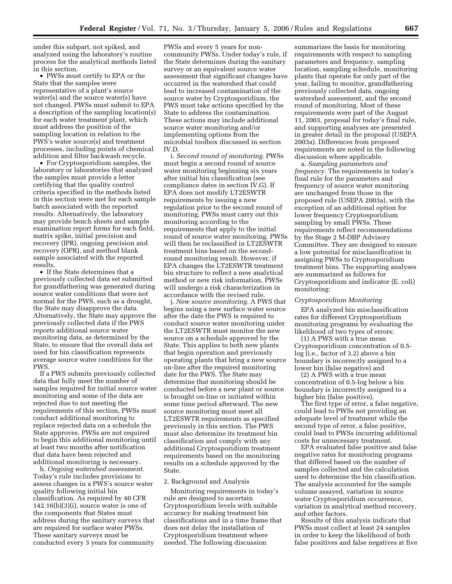under this subpart, not spiked, and analyzed using the laboratory's routine process for the analytical methods listed in this section.

• PWSs must certify to EPA or the State that the samples were representative of a plant's source water(s) and the source water(s) have not changed. PWSs must submit to EPA a description of the sampling location(s) for each water treatment plant, which must address the position of the sampling location in relation to the PWS's water source(s) and treatment processes, including points of chemical addition and filter backwash recycle.

• For Cryptosporidium samples, the laboratory or laboratories that analyzed the samples must provide a letter certifying that the quality control criteria specified in the methods listed in this section were met for each sample batch associated with the reported results. Alternatively, the laboratory may provide bench sheets and sample examination report forms for each field, matrix spike, initial precision and recovery (IPR), ongoing precision and recovery (OPR), and method blank sample associated with the reported results.

• If the State determines that a previously collected data set submitted for grandfathering was generated during source water conditions that were not normal for the PWS, such as a drought, the State may disapprove the data. Alternatively, the State may approve the previously collected data if the PWS reports additional source water monitoring data, as determined by the State, to ensure that the overall data set used for bin classification represents average source water conditions for the PWS.

If a PWS submits previously collected data that fully meet the number of samples required for initial source water monitoring and some of the data are rejected due to not meeting the requirements of this section, PWSs must conduct additional monitoring to replace rejected data on a schedule the State approves. PWSs are not required to begin this additional monitoring until at least two months after notification that data have been rejected and additional monitoring is necessary.

h. *Ongoing watershed assessment.*  Today's rule includes provisions to assess changes in a PWS's source water quality following initial bin classification. As required by 40 CFR  $142.16(b)(3)(i)$ , source water is one of the components that States must address during the sanitary surveys that are required for surface water PWSs. These sanitary surveys must be conducted every 3 years for community

PWSs and every 5 years for noncommunity PWSs. Under today's rule, if the State determines during the sanitary survey or an equivalent source water assessment that significant changes have occurred in the watershed that could lead to increased contamination of the source water by Cryptosporidium, the PWS must take actions specified by the State to address the contamination. These actions may include additional source water monitoring and/or implementing options from the microbial toolbox discussed in section IV.D.

i. *Second round of monitoring.* PWSs must begin a second round of source water monitoring beginning six years after initial bin classification (see compliance dates in section IV.G). If EPA does not modify LT2ESWTR requirements by issuing a new regulation prior to the second round of monitoring, PWSs must carry out this monitoring according to the requirements that apply to the initial round of source water monitoring. PWSs will then be reclassified in LT2ESWTR treatment bins based on the secondround monitoring result. However, if EPA changes the LT2ESWTR treatment bin structure to reflect a new analytical method or new risk information, PWSs will undergo a risk characterization in accordance with the revised rule.

j. *New source monitoring.* A PWS that begins using a new surface water source after the date the PWS is required to conduct source water monitoring under the LT2ESWTR must monitor the new source on a schedule approved by the State. This applies to both new plants that begin operation and previously operating plants that bring a new source on-line after the required monitoring date for the PWS. The State may determine that monitoring should be conducted before a new plant or source is brought on-line or initiated within some time period afterward. The new source monitoring must meet all LT2ESWTR requirements as specified previously in this section. The PWS must also determine its treatment bin classification and comply with any additional Cryptosporidium treatment requirements based on the monitoring results on a schedule approved by the State.

#### 2. Background and Analysis

Monitoring requirements in today's rule are designed to ascertain Cryptosporidium levels with suitable accuracy for making treatment bin classifications and in a time frame that does not delay the installation of Cryptosporidium treatment where needed. The following discussion

summarizes the basis for monitoring requirements with respect to sampling parameters and frequency, sampling location, sampling schedule, monitoring plants that operate for only part of the year, failing to monitor, grandfathering previously collected data, ongoing watershed assessment, and the second round of monitoring. Most of these requirements were part of the August 11, 2003, proposal for today's final rule, and supporting analyses are presented in greater detail in the proposal (USEPA 2003a). Differences from proposed requirements are noted in the following discussion where applicable.

a. *Sampling parameters and frequency.* The requirements in today's final rule for the parameters and frequency of source water monitoring are unchanged from those in the proposed rule (USEPA 2003a), with the exception of an additional option for lower frequency Cryptosporidium sampling by small PWSs. These requirements reflect recommendations by the Stage 2 M-DBP Advisory Committee. They are designed to ensure a low potential for misclassification in assigning PWSs to Cryptosporidium treatment bins. The supporting analyses are summarized as follows for Cryptosporidium and indicator (E. coli) monitoring:

## *Cryptosporidium Monitoring*

EPA analyzed bin misclassification rates for different Cryptosporidium monitoring programs by evaluating the likelihood of two types of errors:

(1) A PWS with a true mean Cryptosporidium concentration of 0.5 log (i.e., factor of 3.2) above a bin boundary is incorrectly assigned to a lower bin (false negative) and

(2) A PWS with a true mean concentration of 0.5-log below a bin boundary is incorrectly assigned to a higher bin (false positive).

The first type of error, a false negative, could lead to PWSs not providing an adequate level of treatment while the second type of error, a false positive, could lead to PWSs incurring additional costs for unnecessary treatment.

EPA evaluated false positive and false negative rates for monitoring programs that differed based on the number of samples collected and the calculation used to determine the bin classification. The analysis accounted for the sample volume assayed, variation in source water Cryptosporidium occurrence, variation in analytical method recovery, and other factors.

Results of this analysis indicate that PWSs must collect at least 24 samples in order to keep the likelihood of both false positives and false negatives at five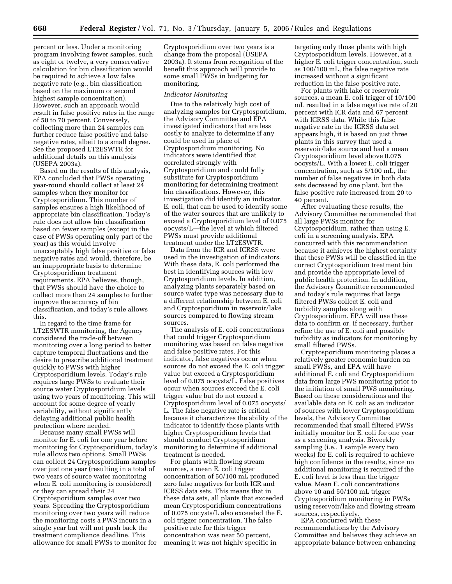percent or less. Under a monitoring program involving fewer samples, such as eight or twelve, a very conservative calculation for bin classification would be required to achieve a low false negative rate (e.g., bin classification based on the maximum or second highest sample concentration). However, such an approach would result in false positive rates in the range of 50 to 70 percent. Conversely, collecting more than 24 samples can further reduce false positive and false negative rates, albeit to a small degree. See the proposed LT2ESWTR for additional details on this analysis (USEPA 2003a).

Based on the results of this analysis, EPA concluded that PWSs operating year-round should collect at least 24 samples when they monitor for Cryptosporidium. This number of samples ensures a high likelihood of appropriate bin classification. Today's rule does not allow bin classification based on fewer samples (except in the case of PWSs operating only part of the year) as this would involve unacceptably high false positive or false negative rates and would, therefore, be an inappropriate basis to determine Cryptosporidium treatment requirements. EPA believes, though, that PWSs should have the choice to collect more than 24 samples to further improve the accuracy of bin classification, and today's rule allows this.

In regard to the time frame for LT2ESWTR monitoring, the Agency considered the trade-off between monitoring over a long period to better capture temporal fluctuations and the desire to prescribe additional treatment quickly to PWSs with higher Cryptosporidium levels. Today's rule requires large PWSs to evaluate their source water Cryptosporidium levels using two years of monitoring. This will account for some degree of yearly variability, without significantly delaying additional public health protection where needed.

Because many small PWSs will monitor for E. coli for one year before monitoring for Cryptosporidium, today's rule allows two options. Small PWSs can collect 24 Cryptosporidium samples over just one year (resulting in a total of two years of source water monitoring when E. coli monitoring is considered) or they can spread their 24 Cryptosporidium samples over two years. Spreading the Cryptosporidium monitoring over two years will reduce the monitoring costs a PWS incurs in a single year but will not push back the treatment compliance deadline. This allowance for small PWSs to monitor for

Cryptosporidium over two years is a change from the proposal (USEPA 2003a). It stems from recognition of the benefit this approach will provide to some small PWSs in budgeting for monitoring.

#### *Indicator Monitoring*

Due to the relatively high cost of analyzing samples for Cryptosporidium, the Advisory Committee and EPA investigated indicators that are less costly to analyze to determine if any could be used in place of Cryptosporidium monitoring. No indicators were identified that correlated strongly with Cryptosporidium and could fully substitute for Cryptosporidium monitoring for determining treatment bin classifications. However, this investigation did identify an indicator, E. coli, that can be used to identify some of the water sources that are unlikely to exceed a Cryptosporidium level of 0.075 oocysts/L—the level at which filtered PWSs must provide additional treatment under the LT2ESWTR.

Data from the ICR and ICRSS were used in the investigation of indicators. With these data, E. coli performed the best in identifying sources with low Cryptosporidium levels. In addition, analyzing plants separately based on source water type was necessary due to a different relationship between E. coli and Cryptosporidium in reservoir/lake sources compared to flowing stream sources.

The analysis of E. coli concentrations that could trigger Cryptosporidium monitoring was based on false negative and false positive rates. For this indicator, false negatives occur when sources do not exceed the E. coli trigger value but exceed a Cryptosporidium level of 0.075 oocysts/L. False positives occur when sources exceed the E. coli trigger value but do not exceed a Cryptosporidium level of 0.075 oocysts/ L. The false negative rate is critical because it characterizes the ability of the indicator to identify those plants with higher Cryptosporidium levels that should conduct Cryptosporidium monitoring to determine if additional treatment is needed.

For plants with flowing stream sources, a mean E. coli trigger concentration of 50/100 mL produced zero false negatives for both ICR and ICRSS data sets. This means that in these data sets, all plants that exceeded mean Cryptosporidium concentrations of 0.075 oocysts/L also exceeded the E. coli trigger concentration. The false positive rate for this trigger concentration was near 50 percent, meaning it was not highly specific in

targeting only those plants with high Cryptosporidium levels. However, at a higher E. coli trigger concentration, such as 100/100 mL, the false negative rate increased without a significant reduction in the false positive rate.

For plants with lake or reservoir sources, a mean E. coli trigger of 10/100 mL resulted in a false negative rate of 20 percent with ICR data and 67 percent with ICRSS data. While this false negative rate in the ICRSS data set appears high, it is based on just three plants in this survey that used a reservoir/lake source and had a mean Cryptosporidium level above 0.075 oocysts/L. With a lower E. coli trigger concentration, such as 5/100 mL, the number of false negatives in both data sets decreased by one plant, but the false positive rate increased from 20 to 40 percent.

After evaluating these results, the Advisory Committee recommended that all large PWSs monitor for Cryptosporidium, rather than using E. coli in a screening analysis. EPA concurred with this recommendation because it achieves the highest certainty that these PWSs will be classified in the correct Cryptosporidium treatment bin and provide the appropriate level of public health protection. In addition, the Advisory Committee recommended and today's rule requires that large filtered PWSs collect E. coli and turbidity samples along with Cryptosporidium. EPA will use these data to confirm or, if necessary, further refine the use of E. coli and possibly turbidity as indicators for monitoring by small filtered PWSs.

Cryptosporidium monitoring places a relatively greater economic burden on small PWSs, and EPA will have additional E. coli and Cryptosporidium data from large PWS monitoring prior to the initiation of small PWS monitoring. Based on these considerations and the available data on E. coli as an indicator of sources with lower Cryptosporidium levels, the Advisory Committee recommended that small filtered PWSs initially monitor for E. coli for one year as a screening analysis. Biweekly sampling (i.e., 1 sample every two weeks) for E. coli is required to achieve high confidence in the results, since no additional monitoring is required if the E. coli level is less than the trigger value. Mean E. coli concentrations above 10 and 50/100 mL trigger Cryptosporidium monitoring in PWSs using reservoir/lake and flowing stream sources, respectively.

EPA concurred with these recommendations by the Advisory Committee and believes they achieve an appropriate balance between enhancing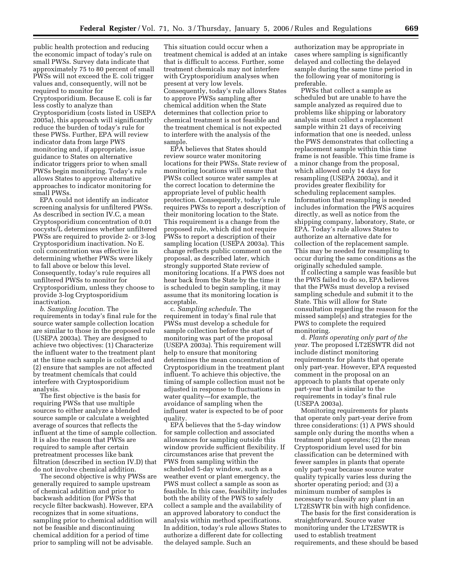public health protection and reducing the economic impact of today's rule on small PWSs. Survey data indicate that approximately 75 to 80 percent of small PWSs will not exceed the E. coli trigger values and, consequently, will not be required to monitor for Cryptosporidium. Because E. coli is far less costly to analyze than Cryptosporidium (costs listed in USEPA 2005a), this approach will significantly reduce the burden of today's rule for these PWSs. Further, EPA will review indicator data from large PWS monitoring and, if appropriate, issue guidance to States on alternative indicator triggers prior to when small PWSs begin monitoring. Today's rule allows States to approve alternative approaches to indicator monitoring for small PWSs.

EPA could not identify an indicator screening analysis for unfiltered PWSs. As described in section IV.C, a mean Cryptosporidium concentration of 0.01 oocysts/L determines whether unfiltered PWSs are required to provide 2- or 3-log Cryptosporidium inactivation. No E. coli concentration was effective in determining whether PWSs were likely to fall above or below this level. Consequently, today's rule requires all unfiltered PWSs to monitor for Cryptosporidium, unless they choose to provide 3-log Cryptosporidium inactivation.

*b. Sampling location.* The requirements in today's final rule for the source water sample collection location are similar to those in the proposed rule (USEPA 2003a). They are designed to achieve two objectives: (1) Characterize the influent water to the treatment plant at the time each sample is collected and (2) ensure that samples are not affected by treatment chemicals that could interfere with Cryptosporidium analysis.

The first objective is the basis for requiring PWSs that use multiple sources to either analyze a blended source sample or calculate a weighted average of sources that reflects the influent at the time of sample collection. It is also the reason that PWSs are required to sample after certain pretreatment processes like bank filtration (described in section IV.D) that do not involve chemical addition.

The second objective is why PWSs are generally required to sample upstream of chemical addition and prior to backwash addition (for PWSs that recycle filter backwash). However, EPA recognizes that in some situations, sampling prior to chemical addition will not be feasible and discontinuing chemical addition for a period of time prior to sampling will not be advisable.

This situation could occur when a treatment chemical is added at an intake that is difficult to access. Further, some treatment chemicals may not interfere with Cryptosporidium analyses when present at very low levels. Consequently, today's rule allows States to approve PWSs sampling after chemical addition when the State determines that collection prior to chemical treatment is not feasible and the treatment chemical is not expected to interfere with the analysis of the sample.

EPA believes that States should review source water monitoring locations for their PWSs. State review of monitoring locations will ensure that PWSs collect source water samples at the correct location to determine the appropriate level of public health protection. Consequently, today's rule requires PWSs to report a description of their monitoring location to the State. This requirement is a change from the proposed rule, which did not require PWSs to report a description of their sampling location (USEPA 2003a). This change reflects public comment on the proposal, as described later, which strongly supported State review of monitoring locations. If a PWS does not hear back from the State by the time it is scheduled to begin sampling, it may assume that its monitoring location is acceptable.

c. *Sampling schedule.* The requirement in today's final rule that PWSs must develop a schedule for sample collection before the start of monitoring was part of the proposal (USEPA 2003a). This requirement will help to ensure that monitoring determines the mean concentration of Cryptosporidium in the treatment plant influent. To achieve this objective, the timing of sample collection must not be adjusted in response to fluctuations in water quality—for example, the avoidance of sampling when the influent water is expected to be of poor quality.

EPA believes that the 5-day window for sample collection and associated allowances for sampling outside this window provide sufficient flexibility. If circumstances arise that prevent the PWS from sampling within the scheduled 5-day window, such as a weather event or plant emergency, the PWS must collect a sample as soon as feasible. In this case, feasibility includes both the ability of the PWS to safely collect a sample and the availability of an approved laboratory to conduct the analysis within method specifications. In addition, today's rule allows States to authorize a different date for collecting the delayed sample. Such an

authorization may be appropriate in cases where sampling is significantly delayed and collecting the delayed sample during the same time period in the following year of monitoring is preferable.

PWSs that collect a sample as scheduled but are unable to have the sample analyzed as required due to problems like shipping or laboratory analysis must collect a replacement sample within 21 days of receiving information that one is needed, unless the PWS demonstrates that collecting a replacement sample within this time frame is not feasible. This time frame is a minor change from the proposal, which allowed only 14 days for resampling (USEPA 2003a), and it provides greater flexibility for scheduling replacement samples. Information that resampling is needed includes information the PWS acquires directly, as well as notice from the shipping company, laboratory, State, or EPA. Today's rule allows States to authorize an alternative date for collection of the replacement sample. This may be needed for resampling to occur during the same conditions as the originally scheduled sample.

If collecting a sample was feasible but the PWS failed to do so, EPA believes that the PWSs must develop a revised sampling schedule and submit it to the State. This will allow for State consultation regarding the reason for the missed sample(s) and strategies for the PWS to complete the required monitoring.

d. *Plants operating only part of the year.* The proposed LT2ESWTR did not include distinct monitoring requirements for plants that operate only part-year. However, EPA requested comment in the proposal on an approach to plants that operate only part-year that is similar to the requirements in today's final rule (USEPA 2003a).

Monitoring requirements for plants that operate only part-year derive from three considerations: (1) A PWS should sample only during the months when a treatment plant operates; (2) the mean Cryptosporidium level used for bin classification can be determined with fewer samples in plants that operate only part-year because source water quality typically varies less during the shorter operating period; and (3) a minimum number of samples is necessary to classify any plant in an LT2ESWTR bin with high confidence.

The basis for the first consideration is straightforward. Source water monitoring under the LT2ESWTR is used to establish treatment requirements, and these should be based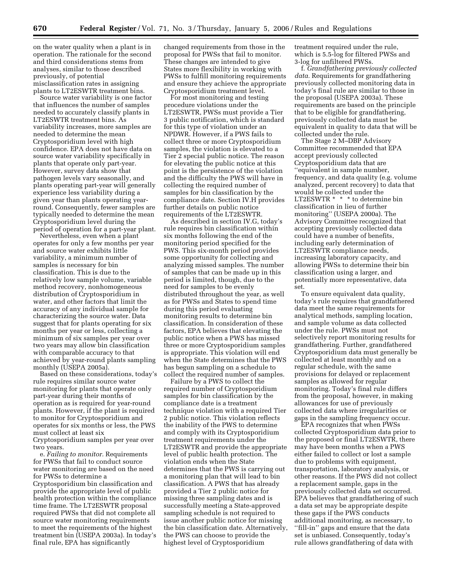on the water quality when a plant is in operation. The rationale for the second and third considerations stems from analyses, similar to those described previously, of potential misclassification rates in assigning plants to LT2ESWTR treatment bins.

Source water variability is one factor that influences the number of samples needed to accurately classify plants in LT2ESWTR treatment bins. As variability increases, more samples are needed to determine the mean Cryptosporidium level with high confidence. EPA does not have data on source water variability specifically in plants that operate only part-year. However, survey data show that pathogen levels vary seasonally, and plants operating part-year will generally experience less variability during a given year than plants operating yearround. Consequently, fewer samples are typically needed to determine the mean Cryptosporidium level during the period of operation for a part-year plant.

Nevertheless, even when a plant operates for only a few months per year and source water exhibits little variability, a minimum number of samples is necessary for bin classification. This is due to the relatively low sample volume, variable method recovery, nonhomogeneous distribution of Cryptosporidium in water, and other factors that limit the accuracy of any individual sample for characterizing the source water. Data suggest that for plants operating for six months per year or less, collecting a minimum of six samples per year over two years may allow bin classification with comparable accuracy to that achieved by year-round plants sampling monthly (USEPA 2005a).

Based on these considerations, today's rule requires similar source water monitoring for plants that operate only part-year during their months of operation as is required for year-round plants. However, if the plant is required to monitor for Cryptosporidium and operates for six months or less, the PWS must collect at least six Cryptosporidium samples per year over two years.

e. *Failing to monitor.* Requirements for PWSs that fail to conduct source water monitoring are based on the need for PWSs to determine a Cryptosporidium bin classification and provide the appropriate level of public health protection within the compliance time frame. The LT2ESWTR proposal required PWSs that did not complete all source water monitoring requirements to meet the requirements of the highest treatment bin (USEPA 2003a). In today's final rule, EPA has significantly

changed requirements from those in the proposal for PWSs that fail to monitor. These changes are intended to give States more flexibility in working with PWSs to fulfill monitoring requirements and ensure they achieve the appropriate Cryptosporidium treatment level.

For most monitoring and testing procedure violations under the LT2ESWTR, PWSs must provide a Tier 3 public notification, which is standard for this type of violation under an NPDWR. However, if a PWS fails to collect three or more Cryptosporidium samples, the violation is elevated to a Tier 2 special public notice. The reason for elevating the public notice at this point is the persistence of the violation and the difficulty the PWS will have in collecting the required number of samples for bin classification by the compliance date. Section IV.H provides further details on public notice requirements of the LT2ESWTR.

As described in section IV.G, today's rule requires bin classification within six months following the end of the monitoring period specified for the PWS. This six-month period provides some opportunity for collecting and analyzing missed samples. The number of samples that can be made up in this period is limited, though, due to the need for samples to be evenly distributed throughout the year, as well as for PWSs and States to spend time during this period evaluating monitoring results to determine bin classification. In consideration of these factors, EPA believes that elevating the public notice when a PWS has missed three or more Cryptosporidium samples is appropriate. This violation will end when the State determines that the PWS has begun sampling on a schedule to collect the required number of samples.

Failure by a PWS to collect the required number of Cryptosporidium samples for bin classification by the compliance date is a treatment technique violation with a required Tier 2 public notice. This violation reflects the inability of the PWS to determine and comply with its Cryptosporidium treatment requirements under the LT2ESWTR and provide the appropriate level of public health protection. The violation ends when the State determines that the PWS is carrying out a monitoring plan that will lead to bin classification. A PWS that has already provided a Tier 2 public notice for missing three sampling dates and is successfully meeting a State-approved sampling schedule is not required to issue another public notice for missing the bin classification date. Alternatively, the PWS can choose to provide the highest level of Cryptosporidium

treatment required under the rule, which is 5.5-log for filtered PWSs and 3-log for unfiltered PWSs.

f. *Grandfathering previously collected data.* Requirements for grandfathering previously collected monitoring data in today's final rule are similar to those in the proposal (USEPA 2003a). These requirements are based on the principle that to be eligible for grandfathering, previously collected data must be equivalent in quality to data that will be collected under the rule.

The Stage 2 M–DBP Advisory Committee recommended that EPA accept previously collected Cryptosporidium data that are ''equivalent in sample number, frequency, and data quality (e.g. volume analyzed, percent recovery) to data that would be collected under the LT2ESWTR \* \* \* to determine bin classification in lieu of further monitoring'' (USEPA 2000a). The Advisory Committee recognized that accepting previously collected data could have a number of benefits, including early determination of LT2ESWTR compliance needs, increasing laboratory capacity, and allowing PWSs to determine their bin classification using a larger, and potentially more representative, data set.

To ensure equivalent data quality, today's rule requires that grandfathered data meet the same requirements for analytical methods, sampling location, and sample volume as data collected under the rule. PWSs must not selectively report monitoring results for grandfathering. Further, grandfathered Cryptosporidium data must generally be collected at least monthly and on a regular schedule, with the same provisions for delayed or replacement samples as allowed for regular monitoring. Today's final rule differs from the proposal, however, in making allowances for use of previously collected data where irregularities or gaps in the sampling frequency occur.

EPA recognizes that when PWSs collected Cryptosporidium data prior to the proposed or final LT2ESWTR, there may have been months when a PWS either failed to collect or lost a sample due to problems with equipment, transportation, laboratory analysis, or other reasons. If the PWS did not collect a replacement sample, gaps in the previously collected data set occurred. EPA believes that grandfathering of such a data set may be appropriate despite these gaps if the PWS conducts additional monitoring, as necessary, to ''fill-in'' gaps and ensure that the data set is unbiased. Consequently, today's rule allows grandfathering of data with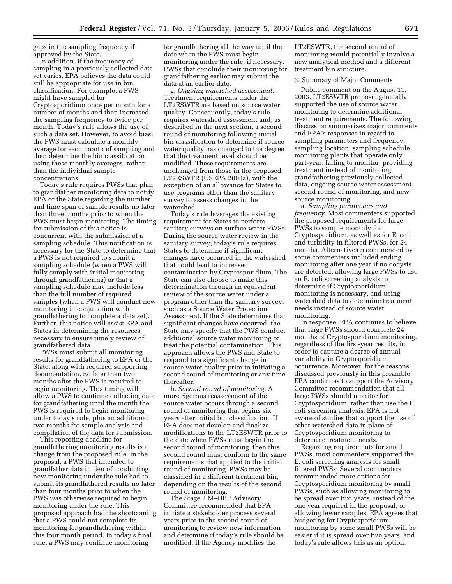gaps in the sampling frequency if approved by the State.

In addition, if the frequency of sampling in a previously collected data set varies, EPA believes the data could still be appropriate for use in bin classification. For example, a PWS might have sampled for Cryptosporidium once per month for a number of months and then increased the sampling frequency to twice per month. Today's rule allows the use of such a data set. However, to avoid bias, the PWS must calculate a monthly average for each month of sampling and then determine the bin classification using these monthly averages, rather than the individual sample concentrations.

Today's rule requires PWSs that plan to grandfather monitoring data to notify EPA or the State regarding the number and time span of sample results no later than three months prior to when the PWS must begin monitoring. The timing for submission of this notice is concurrent with the submission of a sampling schedule. This notification is necessary for the State to determine that a PWS is not required to submit a sampling schedule (when a PWS will fully comply with initial monitoring through grandfathering) or that a sampling schedule may include less than the full number of required samples (when a PWS will conduct new monitoring in conjunction with grandfathering to complete a data set). Further, this notice will assist EPA and States in determining the resources necessary to ensure timely review of grandfathered data.

PWSs must submit all monitoring results for grandfathering to EPA or the State, along with required supporting documentation, no later than two months after the PWS is required to begin monitoring. This timing will allow a PWS to continue collecting data for grandfathering until the month the PWS is required to begin monitoring under today's rule, plus an additional two months for sample analysis and compilation of the data for submission.

This reporting deadline for grandfathering monitoring results is a change from the proposed rule. In the proposal, a PWS that intended to grandfather data in lieu of conducting new monitoring under the rule had to submit its grandfathered results no later than four months prior to when the PWS was otherwise required to begin monitoring under the rule. This proposed approach had the shortcoming that a PWS could not complete its monitoring for grandfathering within this four month period. In today's final rule, a PWS may continue monitoring

for grandfathering all the way until the date when the PWS must begin monitoring under the rule, if necessary. PWSs that conclude their monitoring for grandfathering earlier may submit the data at an earlier date.

g. *Ongoing watershed assessment.*  Treatment requirements under the LT2ESWTR are based on source water quality. Consequently, today's rule requires watershed assessment and, as described in the next section, a second round of monitoring following initial bin classification to determine if source water quality has changed to the degree that the treatment level should be modified. These requirements are unchanged from those in the proposed LT2ESWTR (USEPA 2003a), with the exception of an allowance for States to use programs other than the sanitary survey to assess changes in the watershed.

Today's rule leverages the existing requirement for States to perform sanitary surveys on surface water PWSs. During the source water review in the sanitary survey, today's rule requires States to determine if significant changes have occurred in the watershed that could lead to increased contamination by Cryptosporidium. The State can also choose to make this determination through an equivalent review of the source water under a program other than the sanitary survey, such as a Source Water Protection Assessment. If the State determines that significant changes have occurred, the State may specify that the PWS conduct additional source water monitoring or treat the potential contamination. This approach allows the PWS and State to respond to a significant change in source water quality prior to initiating a second round of monitoring or any time thereafter.

h. *Second round of monitoring.* A more rigorous reassessment of the source water occurs through a second round of monitoring that begins six years after initial bin classification. If EPA does not develop and finalize modifications to the LT2ESWTR prior to the date when PWSs must begin the second round of monitoring, then this second round must conform to the same requirements that applied to the initial round of monitoring. PWSs may be classified in a different treatment bin, depending on the results of the second round of monitoring.

The Stage 2 M-DBP Advisory Committee recommended that EPA initiate a stakeholder process several years prior to the second round of monitoring to review new information and determine if today's rule should be modified. If the Agency modifies the

LT2ESWTR, the second round of monitoring would potentially involve a new analytical method and a different treatment bin structure.

#### 3. Summary of Major Comments

Public comment on the August 11, 2003, LT2ESWTR proposal generally supported the use of source water monitoring to determine additional treatment requirements. The following discussion summarizes major comments and EPA's responses in regard to sampling parameters and frequency, sampling location, sampling schedule, monitoring plants that operate only part-year, failing to monitor, providing treatment instead of monitoring, grandfathering previously collected data, ongoing source water assessment, second round of monitoring, and new source monitoring.

a. *Sampling parameters and frequency.* Most commenters supported the proposed requirements for large PWSs to sample monthly for Cryptosporidium, as well as for E. coli and turbidity in filtered PWSs, for 24 months. Alternatives recommended by some commenters included ending monitoring after one year if no oocysts are detected, allowing large PWSs to use an E. coli screening analysis to determine if Cryptosporidium monitoring is necessary, and using watershed data to determine treatment needs instead of source water monitoring.

In response, EPA continues to believe that large PWSs should complete 24 months of Cryptosporidium monitoring, regardless of the first-year results, in order to capture a degree of annual variability in Cryptosporidium occurrence. Moreover, for the reasons discussed previously in this preamble, EPA continues to support the Advisory Committee recommendation that all large PWSs should monitor for Cryptosporidium, rather than use the E. coli screening analysis. EPA is not aware of studies that support the use of other watershed data in place of Cryptosporidium monitoring to determine treatment needs.

Regarding requirements for small PWSs, most commenters supported the E. coli screening analysis for small filtered PWSs. Several commenters recommended more options for Cryptosporidium monitoring by small PWSs, such as allowing monitoring to be spread over two years, instead of the one year required in the proposal, or allowing fewer samples. EPA agrees that budgeting for Cryptosporidium monitoring by some small PWSs will be easier if it is spread over two years, and today's rule allows this as an option.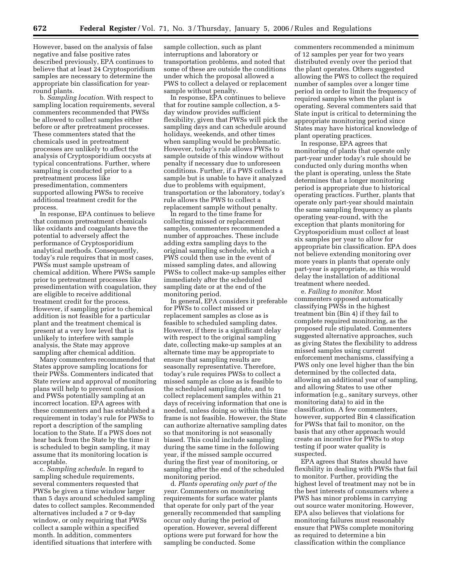However, based on the analysis of false negative and false positive rates described previously, EPA continues to believe that at least 24 Cryptosporidium samples are necessary to determine the appropriate bin classification for yearround plants.

b. *Sampling location.* With respect to sampling location requirements, several commenters recommended that PWSs be allowed to collect samples either before or after pretreatment processes. These commenters stated that the chemicals used in pretreatment processes are unlikely to affect the analysis of Cryptosporidium oocysts at typical concentrations. Further, where sampling is conducted prior to a pretreatment process like presedimentation, commenters supported allowing PWSs to receive additional treatment credit for the process.

In response, EPA continues to believe that common pretreatment chemicals like oxidants and coagulants have the potential to adversely affect the performance of Cryptosporidium analytical methods. Consequently, today's rule requires that in most cases, PWSs must sample upstream of chemical addition. Where PWSs sample prior to pretreatment processes like presedimentation with coagulation, they are eligible to receive additional treatment credit for the process. However, if sampling prior to chemical addition is not feasible for a particular plant and the treatment chemical is present at a very low level that is unlikely to interfere with sample analysis, the State may approve sampling after chemical addition.

Many commenters recommended that States approve sampling locations for their PWSs. Commenters indicated that State review and approval of monitoring plans will help to prevent confusion and PWSs potentially sampling at an incorrect location. EPA agrees with these commenters and has established a requirement in today's rule for PWSs to report a description of the sampling location to the State. If a PWS does not hear back from the State by the time it is scheduled to begin sampling, it may assume that its monitoring location is acceptable.

c. *Sampling schedule.* In regard to sampling schedule requirements, several commenters requested that PWSs be given a time window larger than 5 days around scheduled sampling dates to collect samples. Recommended alternatives included a 7 or 9-day window, or only requiring that PWSs collect a sample within a specified month. In addition, commenters identified situations that interfere with

sample collection, such as plant interruptions and laboratory or transportation problems, and noted that some of these are outside the conditions under which the proposal allowed a PWS to collect a delayed or replacement sample without penalty.

In response, EPA continues to believe that for routine sample collection, a 5 day window provides sufficient flexibility, given that PWSs will pick the sampling days and can schedule around holidays, weekends, and other times when sampling would be problematic. However, today's rule allows PWSs to sample outside of this window without penalty if necessary due to unforeseen conditions. Further, if a PWS collects a sample but is unable to have it analyzed due to problems with equipment, transportation or the laboratory, today's rule allows the PWS to collect a replacement sample without penalty.

In regard to the time frame for collecting missed or replacement samples, commenters recommended a number of approaches. These include adding extra sampling days to the original sampling schedule, which a PWS could then use in the event of missed sampling dates, and allowing PWSs to collect make-up samples either immediately after the scheduled sampling date or at the end of the monitoring period.

In general, EPA considers it preferable for PWSs to collect missed or replacement samples as close as is feasible to scheduled sampling dates. However, if there is a significant delay with respect to the original sampling date, collecting make-up samples at an alternate time may be appropriate to ensure that sampling results are seasonally representative. Therefore, today's rule requires PWSs to collect a missed sample as close as is feasible to the scheduled sampling date, and to collect replacement samples within 21 days of receiving information that one is needed, unless doing so within this time frame is not feasible. However, the State can authorize alternative sampling dates so that monitoring is not seasonally biased. This could include sampling during the same time in the following year, if the missed sample occurred during the first year of monitoring, or sampling after the end of the scheduled monitoring period.

d. *Plants operating only part of the year.* Commenters on monitoring requirements for surface water plants that operate for only part of the year generally recommended that sampling occur only during the period of operation. However, several different options were put forward for how the sampling be conducted. Some

commenters recommended a minimum of 12 samples per year for two years distributed evenly over the period that the plant operates. Others suggested allowing the PWS to collect the required number of samples over a longer time period in order to limit the frequency of required samples when the plant is operating. Several commenters said that State input is critical to determining the appropriate monitoring period since States may have historical knowledge of plant operating practices.

In response, EPA agrees that monitoring of plants that operate only part-year under today's rule should be conducted only during months when the plant is operating, unless the State determines that a longer monitoring period is appropriate due to historical operating practices. Further, plants that operate only part-year should maintain the same sampling frequency as plants operating year-round, with the exception that plants monitoring for Cryptosporidium must collect at least six samples per year to allow for appropriate bin classification. EPA does not believe extending monitoring over more years in plants that operate only part-year is appropriate, as this would delay the installation of additional treatment where needed.

e. *Failing to monitor.* Most commenters opposed automatically classifying PWSs in the highest treatment bin (Bin 4) if they fail to complete required monitoring, as the proposed rule stipulated. Commenters suggested alternative approaches, such as giving States the flexibility to address missed samples using current enforcement mechanisms, classifying a PWS only one level higher than the bin determined by the collected data, allowing an additional year of sampling, and allowing States to use other information (e.g., sanitary surveys, other monitoring data) to aid in the classification. A few commenters, however, supported Bin 4 classification for PWSs that fail to monitor, on the basis that any other approach would create an incentive for PWSs to stop testing if poor water quality is suspected.

EPA agrees that States should have flexibility in dealing with PWSs that fail to monitor. Further, providing the highest level of treatment may not be in the best interests of consumers where a PWS has minor problems in carrying out source water monitoring. However, EPA also believes that violations for monitoring failures must reasonably ensure that PWSs complete monitoring as required to determine a bin classification within the compliance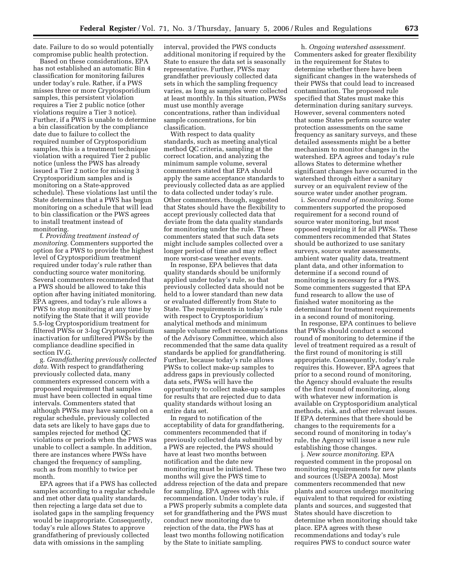date. Failure to do so would potentially compromise public health protection.

Based on these considerations, EPA has not established an automatic Bin 4 classification for monitoring failures under today's rule. Rather, if a PWS misses three or more Cryptosporidium samples, this persistent violation requires a Tier 2 public notice (other violations require a Tier 3 notice). Further, if a PWS is unable to determine a bin classification by the compliance date due to failure to collect the required number of Cryptosporidium samples, this is a treatment technique violation with a required Tier 2 public notice (unless the PWS has already issued a Tier 2 notice for missing 3 Cryptosporidium samples and is monitoring on a State-approved schedule). These violations last until the State determines that a PWS has begun monitoring on a schedule that will lead to bin classification or the PWS agrees to install treatment instead of monitoring.

f. *Providing treatment instead of monitoring.* Commenters supported the option for a PWS to provide the highest level of Cryptosporidium treatment required under today's rule rather than conducting source water monitoring. Several commenters recommended that a PWS should be allowed to take this option after having initiated monitoring. EPA agrees, and today's rule allows a PWS to stop monitoring at any time by notifying the State that it will provide 5.5-log Cryptosporidium treatment for filtered PWSs or 3-log Cryptosporidium inactivation for unfiltered PWSs by the compliance deadline specified in section IV.G.

g. *Grandfathering previously collected data.* With respect to grandfathering previously collected data, many commenters expressed concern with a proposed requirement that samples must have been collected in equal time intervals. Commenters stated that although PWSs may have sampled on a regular schedule, previously collected data sets are likely to have gaps due to samples rejected for method QC violations or periods when the PWS was unable to collect a sample. In addition, there are instances where PWSs have changed the frequency of sampling, such as from monthly to twice per month.

EPA agrees that if a PWS has collected samples according to a regular schedule and met other data quality standards, then rejecting a large data set due to isolated gaps in the sampling frequency would be inappropriate. Consequently, today's rule allows States to approve grandfathering of previously collected data with omissions in the sampling

interval, provided the PWS conducts additional monitoring if required by the State to ensure the data set is seasonally representative. Further, PWSs may grandfather previously collected data sets in which the sampling frequency varies, as long as samples were collected at least monthly. In this situation, PWSs must use monthly average concentrations, rather than individual sample concentrations, for bin classification.

With respect to data quality standards, such as meeting analytical method QC criteria, sampling at the correct location, and analyzing the minimum sample volume, several commenters stated that EPA should apply the same acceptance standards to previously collected data as are applied to data collected under today's rule. Other commenters, though, suggested that States should have the flexibility to accept previously collected data that deviate from the data quality standards for monitoring under the rule. These commenters stated that such data sets might include samples collected over a longer period of time and may reflect more worst-case weather events.

In response, EPA believes that data quality standards should be uniformly applied under today's rule, so that previously collected data should not be held to a lower standard than new data or evaluated differently from State to State. The requirements in today's rule with respect to Cryptosporidium analytical methods and minimum sample volume reflect recommendations of the Advisory Committee, which also recommended that the same data quality standards be applied for grandfathering. Further, because today's rule allows PWSs to collect make-up samples to address gaps in previously collected data sets, PWSs will have the opportunity to collect make-up samples for results that are rejected due to data quality standards without losing an entire data set.

In regard to notification of the acceptability of data for grandfathering, commenters recommended that if previously collected data submitted by a PWS are rejected, the PWS should have at least two months between notification and the date new monitoring must be initiated. These two months will give the PWS time to address rejection of the data and prepare for sampling. EPA agrees with this recommendation. Under today's rule, if a PWS properly submits a complete data set for grandfathering and the PWS must conduct new monitoring due to rejection of the data, the PWS has at least two months following notification by the State to initiate sampling.

h. *Ongoing watershed assessment.*  Commenters asked for greater flexibility in the requirement for States to determine whether there have been significant changes in the watersheds of their PWSs that could lead to increased contamination. The proposed rule specified that States must make this determination during sanitary surveys. However, several commenters noted that some States perform source water protection assessments on the same frequency as sanitary surveys, and these detailed assessments might be a better mechanism to monitor changes in the watershed. EPA agrees and today's rule allows States to determine whether significant changes have occurred in the watershed through either a sanitary survey or an equivalent review of the source water under another program.

i. *Second round of monitoring.* Some commenters supported the proposed requirement for a second round of source water monitoring, but most opposed requiring it for all PWSs. These commenters recommended that States should be authorized to use sanitary surveys, source water assessments, ambient water quality data, treatment plant data, and other information to determine if a second round of monitoring is necessary for a PWS. Some commenters suggested that EPA fund research to allow the use of finished water monitoring as the determinant for treatment requirements in a second round of monitoring.

In response, EPA continues to believe that PWSs should conduct a second round of monitoring to determine if the level of treatment required as a result of the first round of monitoring is still appropriate. Consequently, today's rule requires this. However, EPA agrees that prior to a second round of monitoring, the Agency should evaluate the results of the first round of monitoring, along with whatever new information is available on Cryptosporidium analytical methods, risk, and other relevant issues. If EPA determines that there should be changes to the requirements for a second round of monitoring in today's rule, the Agency will issue a new rule establishing those changes.

j. *New source monitoring.* EPA requested comment in the proposal on monitoring requirements for new plants and sources (USEPA 2003a). Most commenters recommended that new plants and sources undergo monitoring equivalent to that required for existing plants and sources, and suggested that States should have discretion to determine when monitoring should take place. EPA agrees with these recommendations and today's rule requires PWS to conduct source water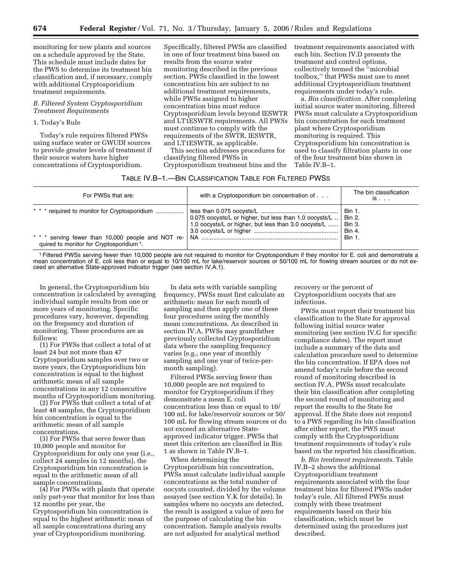monitoring for new plants and sources on a schedule approved by the State. This schedule must include dates for the PWS to determine its treatment bin classification and, if necessary, comply with additional Cryptosporidium treatment requirements.

## *B. Filtered System Cryptosporidium Treatment Requirements*

1. Today's Rule

Today's rule requires filtered PWSs using surface water or GWUDI sources to provide greater levels of treatment if their source waters have higher concentrations of Cryptosporidium.

Specifically, filtered PWSs are classified in one of four treatment bins based on results from the source water monitoring described in the previous section. PWSs classified in the lowest concentration bin are subject to no additional treatment requirements, while PWSs assigned to higher concentration bins must reduce Cryptosporidium levels beyond IESWTR and LT1ESWTR requirements. All PWSs must continue to comply with the requirements of the SWTR, IESWTR, and LT1ESWTR, as applicable.

This section addresses procedures for classifying filtered PWSs in Cryptosporidium treatment bins and the treatment requirements associated with each bin. Section IV.D presents the treatment and control options, collectively termed the ''microbial toolbox,'' that PWSs must use to meet additional Cryptosporidium treatment requirements under today's rule.

a. *Bin classification.* After completing initial source water monitoring, filtered PWSs must calculate a Cryptosporidium bin concentration for each treatment plant where Cryptosporidium monitoring is required. This Cryptosporidium bin concentration is used to classify filtration plants in one of the four treatment bins shown in Table IV.B–1.

## TABLE IV.B–1.—BIN CLASSIFICATION TABLE FOR FILTERED PWSS

| For PWSs that are:                                                                                                                                          | with a Cryptosporidium bin concentration of                                                                       | The bin classification<br>is                                                           |
|-------------------------------------------------------------------------------------------------------------------------------------------------------------|-------------------------------------------------------------------------------------------------------------------|----------------------------------------------------------------------------------------|
| * * * required to monitor for Cryptosporidium<br>* * * serving fewer than 10,000 people and NOT re-<br>quired to monitor for Cryptosporidium <sup>1</sup> . | 0.075 oocysts/L or higher, but less than 1.0 oocysts/L   <br>1.0 oocysts/L or higher, but less than 3.0 oocysts/L | <b>Bin 1.</b><br>$\mathsf{B}$ in 2.<br><b>Bin 3.</b><br><b>Bin 4.</b><br><b>Bin 1.</b> |

1Filtered PWSs serving fewer than 10,000 people are not required to monitor for Cryptosporidium if they monitor for E. coli and demonstrate a mean concentration of E. coli less than or equal to 10/100 mL for lake/reservoir sources or 50/100 mL for flowing stream sources or do not exceed an alternative State-approved indicator trigger (see section IV.A.1).

In general, the Cryptosporidium bin concentration is calculated by averaging individual sample results from one or more years of monitoring. Specific procedures vary, however, depending on the frequency and duration of monitoring. These procedures are as follows:

(1) For PWSs that collect a total of at least 24 but not more than 47 Cryptosporidium samples over two or more years, the Cryptosporidium bin concentration is equal to the highest arithmetic mean of all sample concentrations in any 12 consecutive months of Cryptosporidium monitoring.

(2) For PWSs that collect a total of at least 48 samples, the Cryptosporidium bin concentration is equal to the arithmetic mean of all sample concentrations.

(3) For PWSs that serve fewer than 10,000 people and monitor for Cryptosporidium for only one year (i.e., collect 24 samples in 12 months), the Cryptosporidium bin concentration is equal to the arithmetic mean of all sample concentrations.

(4) For PWSs with plants that operate only part-year that monitor for less than 12 months per year, the Cryptosporidium bin concentration is equal to the highest arithmetic mean of all sample concentrations during any year of Cryptosporidium monitoring.

In data sets with variable sampling frequency, PWSs must first calculate an arithmetic mean for each month of sampling and then apply one of these four procedures using the monthly mean concentrations. As described in section IV.A, PWSs may grandfather previously collected Cryptosporidium data where the sampling frequency varies (e.g., one year of monthly sampling and one year of twice-permonth sampling).

Filtered PWSs serving fewer than 10,000 people are not required to monitor for Cryptosporidium if they demonstrate a mean E. coli concentration less than or equal to 10/ 100 mL for lake/reservoir sources or 50/ 100 mL for flowing stream sources or do not exceed an alternative Stateapproved indicator trigger. PWSs that meet this criterion are classified in Bin 1 as shown in Table IV.B–1.

When determining the Cryptosporidium bin concentration, PWSs must calculate individual sample concentrations as the total number of oocysts counted, divided by the volume assayed (see section V.K for details). In samples where no oocysts are detected, the result is assigned a value of zero for the purpose of calculating the bin concentration. Sample analysis results are not adjusted for analytical method

recovery or the percent of Cryptosporidium oocysts that are infectious.

PWSs must report their treatment bin classification to the State for approval following initial source water monitoring (see section IV.G for specific compliance dates). The report must include a summary of the data and calculation procedure used to determine the bin concentration. If EPA does not amend today's rule before the second round of monitoring described in section IV.A, PWSs must recalculate their bin classification after completing the second round of monitoring and report the results to the State for approval. If the State does not respond to a PWS regarding its bin classification after either report, the PWS must comply with the Cryptosporidium treatment requirements of today's rule based on the reported bin classification.

*b. Bin treatment requirements.* Table IV.B–2 shows the additional Cryptosporidium treatment requirements associated with the four treatment bins for filtered PWSs under today's rule. All filtered PWSs must comply with these treatment requirements based on their bin classification, which must be determined using the procedures just described.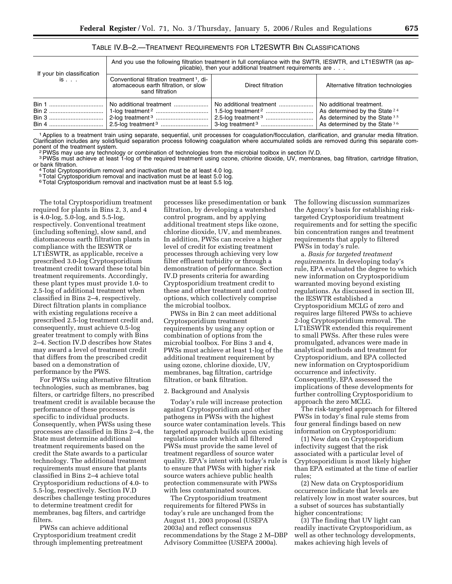|                                          | And you use the following filtration treatment in full compliance with the SWTR, IESWTR, and LT1ESWTR (as ap-<br>plicable), then your additional treatment requirements are |                         |                                                                                                                                   |
|------------------------------------------|-----------------------------------------------------------------------------------------------------------------------------------------------------------------------------|-------------------------|-----------------------------------------------------------------------------------------------------------------------------------|
| If your bin classification<br>$is \dots$ | Conventional filtration treatment <sup>1</sup> , di-<br>atomaceous earth filtration, or slow<br>sand filtration                                                             | Direct filtration       | Alternative filtration technologies                                                                                               |
|                                          | No additional treatment                                                                                                                                                     | No additional treatment | No additional treatment.<br>As determined by the State $24$<br>As determined by the State $35$<br>As determined by the State $36$ |

| TABLE IV.B-2.—TREATMENT REQUIREMENTS FOR LT2ESWTR BIN CLASSIFICATIONS |  |
|-----------------------------------------------------------------------|--|
|-----------------------------------------------------------------------|--|

1Applies to a treatment train using separate, sequential, unit processes for coagulation/flocculation, clarification, and granular media filtration. Clarification includes any solid/liquid separation process following coagulation where accumulated solids are removed during this separate com-<br>ponent of the treatment system.

<sup>2</sup> PWSs may use any technology or combination of technologies from the microbial toolbox in section IV.D.

<sup>3</sup>PWSs must achieve at least 1-log of the required treatment using ozone, chlorine dioxide, UV, membranes, bag filtration, cartridge filtration, cartridge filtration,

<sup>4</sup> Total Cryptosporidium removal and inactivation must be at least 4.0 log.

5Total Cryptosporidium removal and inactivation must be at least 5.0 log.

<sup>6</sup> Total Cryptosporidium removal and inactivation must be at least 5.5 log.

The total Cryptosporidium treatment required for plants in Bins 2, 3, and 4 is 4.0-log, 5.0-log, and 5.5-log, respectively. Conventional treatment (including softening), slow sand, and diatomaceous earth filtration plants in compliance with the IESWTR or LT1ESWTR, as applicable, receive a prescribed 3.0-log Cryptosporidium treatment credit toward these total bin treatment requirements. Accordingly, these plant types must provide 1.0- to 2.5-log of additional treatment when classified in Bins 2–4, respectively. Direct filtration plants in compliance with existing regulations receive a prescribed 2.5-log treatment credit and, consequently, must achieve 0.5-log greater treatment to comply with Bins 2–4. Section IV.D describes how States may award a level of treatment credit that differs from the prescribed credit based on a demonstration of performance by the PWS.

For PWSs using alternative filtration technologies, such as membranes, bag filters, or cartridge filters, no prescribed treatment credit is available because the performance of these processes is specific to individual products. Consequently, when PWSs using these processes are classified in Bins 2–4, the State must determine additional treatment requirements based on the credit the State awards to a particular technology. The additional treatment requirements must ensure that plants classified in Bins 2–4 achieve total Cryptosporidium reductions of 4.0- to 5.5-log, respectively. Section IV.D describes challenge testing procedures to determine treatment credit for membranes, bag filters, and cartridge filters.

PWSs can achieve additional Cryptosporidium treatment credit through implementing pretreatment processes like presedimentation or bank filtration, by developing a watershed control program, and by applying additional treatment steps like ozone, chlorine dioxide, UV, and membranes. In addition, PWSs can receive a higher level of credit for existing treatment processes through achieving very low filter effluent turbidity or through a demonstration of performance. Section IV.D presents criteria for awarding Cryptosporidium treatment credit to these and other treatment and control options, which collectively comprise the microbial toolbox.

PWSs in Bin 2 can meet additional Cryptosporidium treatment requirements by using any option or combination of options from the microbial toolbox. For Bins 3 and 4, PWSs must achieve at least 1-log of the additional treatment requirement by using ozone, chlorine dioxide, UV, membranes, bag filtration, cartridge filtration, or bank filtration.

#### 2. Background and Analysis

Today's rule will increase protection against Cryptosporidium and other pathogens in PWSs with the highest source water contamination levels. This targeted approach builds upon existing regulations under which all filtered PWSs must provide the same level of treatment regardless of source water quality. EPA's intent with today's rule is to ensure that PWSs with higher risk source waters achieve public health protection commensurate with PWSs with less contaminated sources.

The Cryptosporidium treatment requirements for filtered PWSs in today's rule are unchanged from the August 11, 2003 proposal (USEPA 2003a) and reflect consensus recommendations by the Stage 2 M–DBP Advisory Committee (USEPA 2000a).

The following discussion summarizes the Agency's basis for establishing risktargeted Cryptosporidium treatment requirements and for setting the specific bin concentration ranges and treatment requirements that apply to filtered PWSs in today's rule.

a. *Basis for targeted treatment requirements.* In developing today's rule, EPA evaluated the degree to which new information on Cryptosporidium warranted moving beyond existing regulations. As discussed in section III, the IESWTR established a Cryptosporidium MCLG of zero and requires large filtered PWSs to achieve 2-log Cryptosporidium removal. The LT1ESWTR extended this requirement to small PWSs. After these rules were promulgated, advances were made in analytical methods and treatment for Cryptosporidium, and EPA collected new information on Cryptosporidium occurrence and infectivity. Consequently, EPA assessed the implications of these developments for further controlling Cryptosporidium to approach the zero MCLG.

The risk-targeted approach for filtered PWSs in today's final rule stems from four general findings based on new information on Cryptosporidium:

(1) New data on Cryptosporidium infectivity suggest that the risk associated with a particular level of Cryptosporidium is most likely higher than EPA estimated at the time of earlier rules;

(2) New data on Cryptosporidium occurrence indicate that levels are relatively low in most water sources, but a subset of sources has substantially higher concentrations;

(3) The finding that UV light can readily inactivate Cryptosporidium, as well as other technology developments, makes achieving high levels of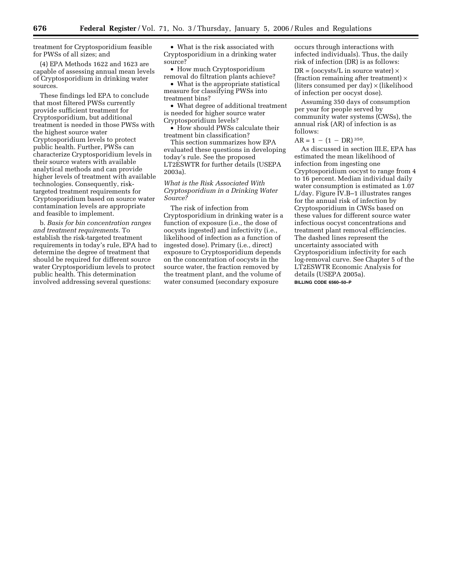treatment for Cryptosporidium feasible for PWSs of all sizes; and

(4) EPA Methods 1622 and 1623 are capable of assessing annual mean levels of Cryptosporidium in drinking water sources.

These findings led EPA to conclude that most filtered PWSs currently provide sufficient treatment for Cryptosporidium, but additional treatment is needed in those PWSs with the highest source water Cryptosporidium levels to protect public health. Further, PWSs can characterize Cryptosporidium levels in their source waters with available analytical methods and can provide higher levels of treatment with available technologies. Consequently, risktargeted treatment requirements for Cryptosporidium based on source water contamination levels are appropriate and feasible to implement.

b. *Basis for bin concentration ranges and treatment requirements.* To establish the risk-targeted treatment requirements in today's rule, EPA had to determine the degree of treatment that should be required for different source water Cryptosporidium levels to protect public health. This determination involved addressing several questions:

• What is the risk associated with Cryptosporidium in a drinking water source?

• How much Cryptosporidium removal do filtration plants achieve?

• What is the appropriate statistical measure for classifying PWSs into treatment bins?

• What degree of additional treatment is needed for higher source water Cryptosporidium levels?

• How should PWSs calculate their treatment bin classification?

This section summarizes how EPA evaluated these questions in developing today's rule. See the proposed LT2ESWTR for further details (USEPA 2003a).

## *What is the Risk Associated With Cryptosporidium in a Drinking Water Source?*

The risk of infection from Cryptosporidium in drinking water is a function of exposure (i.e., the dose of oocysts ingested) and infectivity (i.e., likelihood of infection as a function of ingested dose). Primary (i.e., direct) exposure to Cryptosporidium depends on the concentration of oocysts in the source water, the fraction removed by the treatment plant, and the volume of water consumed (secondary exposure

occurs through interactions with infected individuals). Thus, the daily risk of infection (DR) is as follows:  $DR = (oocvsts/L in source water) \times$ (fraction remaining after treatment)  $\times$ (liters consumed per day) × (likelihood of infection per oocyst dose).

Assuming 350 days of consumption per year for people served by community water systems (CWSs), the annual risk (AR) of infection is as follows:

## $AR = 1 - (1 - DR)^{350}$ .

As discussed in section III.E, EPA has estimated the mean likelihood of infection from ingesting one Cryptosporidium oocyst to range from 4 to 16 percent. Median individual daily water consumption is estimated as 1.07 L/day. Figure IV.B–1 illustrates ranges for the annual risk of infection by Cryptosporidium in CWSs based on these values for different source water infectious oocyst concentrations and treatment plant removal efficiencies. The dashed lines represent the uncertainty associated with Cryptosporidium infectivity for each log-removal curve. See Chapter 5 of the LT2ESWTR Economic Analysis for details (USEPA 2005a). **BILLING CODE 6560–50–P**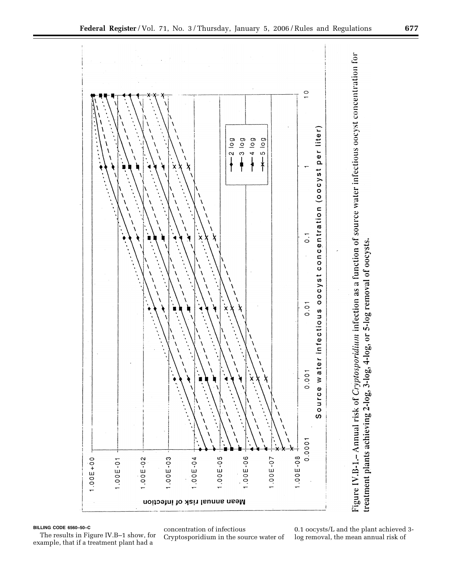

**BILLING CODE 6560–50–C** 

The results in Figure IV.B–1 show, for example, that if a treatment plant had a

concentration of infectious Cryptosporidium in the source water of

0.1 oocysts/L and the plant achieved 3 log removal, the mean annual risk of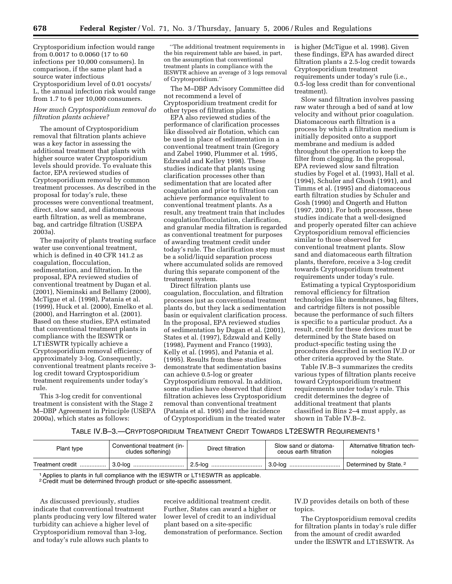Cryptosporidium infection would range from 0.0017 to 0.0060 (17 to 60 infections per 10,000 consumers). In comparison, if the same plant had a source water infectious Cryptosporidium level of 0.01 oocysts/ L, the annual infection risk would range from 1.7 to 6 per 10,000 consumers.

## *How much Cryptosporidium removal do filtration plants achieve?*

The amount of Cryptosporidium removal that filtration plants achieve was a key factor in assessing the additional treatment that plants with higher source water Cryptosporidium levels should provide. To evaluate this factor, EPA reviewed studies of Cryptosporidium removal by common treatment processes. As described in the proposal for today's rule, these processes were conventional treatment, direct, slow sand, and diatomaceous earth filtration, as well as membrane, bag, and cartridge filtration (USEPA 2003a).

The majority of plants treating surface water use conventional treatment, which is defined in 40 CFR 141.2 as coagulation, flocculation, sedimentation, and filtration. In the proposal, EPA reviewed studies of conventional treatment by Dugan et al. (2001), Nieminski and Bellamy (2000), McTigue et al. (1998), Patania et al. (1999), Huck et al. (2000), Emelko et al. (2000), and Harrington et al. (2001). Based on these studies, EPA estimated that conventional treatment plants in compliance with the IESWTR or LT1ESWTR typically achieve a Cryptosporidium removal efficiency of approximately 3-log. Consequently, conventional treatment plants receive 3 log credit toward Cryptosporidium treatment requirements under today's rule.

This 3-log credit for conventional treatment is consistent with the Stage 2 M–DBP Agreement in Principle (USEPA 2000a), which states as follows:

''The additional treatment requirements in the bin requirement table are based, in part, on the assumption that conventional treatment plants in compliance with the IESWTR achieve an average of 3 logs removal of Cryptosporidium.''

The M–DBP Advisory Committee did not recommend a level of Cryptosporidium treatment credit for other types of filtration plants.

EPA also reviewed studies of the performance of clarification processes like dissolved air flotation, which can be used in place of sedimentation in a conventional treatment train (Gregory and Zabel 1990, Plummer et al. 1995, Edzwald and Kelley 1998). These studies indicate that plants using clarification processes other than sedimentation that are located after coagulation and prior to filtration can achieve performance equivalent to conventional treatment plants. As a result, any treatment train that includes coagulation/flocculation, clarification, and granular media filtration is regarded as conventional treatment for purposes of awarding treatment credit under today's rule. The clarification step must be a solid/liquid separation process where accumulated solids are removed during this separate component of the treatment system.

Direct filtration plants use coagulation, flocculation, and filtration processes just as conventional treatment plants do, but they lack a sedimentation basin or equivalent clarification process. In the proposal, EPA reviewed studies of sedimentation by Dugan et al. (2001), States et al. (1997), Edzwald and Kelly (1998), Payment and Franco (1993), Kelly et al. (1995), and Patania et al. (1995). Results from these studies demonstrate that sedimentation basins can achieve 0.5-log or greater Cryptosporidium removal. In addition, some studies have observed that direct filtration achieves less Cryptosporidium removal than conventional treatment (Patania et al. 1995) and the incidence of Cryptosporidium in the treated water

is higher (McTigue et al. 1998). Given these findings, EPA has awarded direct filtration plants a 2.5-log credit towards Cryptosporidium treatment requirements under today's rule (i.e., 0.5-log less credit than for conventional treatment).

Slow sand filtration involves passing raw water through a bed of sand at low velocity and without prior coagulation. Diatomaceous earth filtration is a process by which a filtration medium is initially deposited onto a support membrane and medium is added throughout the operation to keep the filter from clogging. In the proposal, EPA reviewed slow sand filtration studies by Fogel et al. (1993), Hall et al. (1994), Schuler and Ghosh (1991), and Timms et al. (1995) and diatomaceous earth filtration studies by Schuler and Gosh (1990) and Ongerth and Hutton (1997, 2001). For both processes, these studies indicate that a well-designed and properly operated filter can achieve Cryptosporidium removal efficiencies similar to those observed for conventional treatment plants. Slow sand and diatomaceous earth filtration plants, therefore, receive a 3-log credit towards Cryptosporidium treatment requirements under today's rule.

Estimating a typical Cryptosporidium removal efficiency for filtration technologies like membranes, bag filters, and cartridge filters is not possible because the performance of such filters is specific to a particular product. As a result, credit for these devices must be determined by the State based on product-specific testing using the procedures described in section IV.D or other criteria approved by the State.

Table IV.B–3 summarizes the credits various types of filtration plants receive toward Cryptosporidium treatment requirements under today's rule. This credit determines the degree of additional treatment that plants classified in Bins 2–4 must apply, as shown in Table IV.B–2.

#### TABLE IV.B–3.—CRYPTOSPORIDIUM TREATMENT CREDIT TOWARDS LT2ESWTR REQUIREMENTS 1

| Plant type       | Conventional treatment (in-<br>cludes softening) | Direct filtration | Slow sand or diatoma-<br>ceous earth filtration | Alternative filtration tech-<br>nologies |
|------------------|--------------------------------------------------|-------------------|-------------------------------------------------|------------------------------------------|
| Treatment credit |                                                  |                   |                                                 | Determined by State. <sup>2</sup>        |

1Applies to plants in full compliance with the IESWTR or LT1ESWTR as applicable.

2 Credit must be determined through product or site-specific assessment.

As discussed previously, studies indicate that conventional treatment plants producing very low filtered water turbidity can achieve a higher level of Cryptosporidium removal than 3-log, and today's rule allows such plants to

receive additional treatment credit. Further, States can award a higher or lower level of credit to an individual plant based on a site-specific demonstration of performance. Section IV.D provides details on both of these topics.

The Cryptosporidium removal credits for filtration plants in today's rule differ from the amount of credit awarded under the IESWTR and LT1ESWTR. As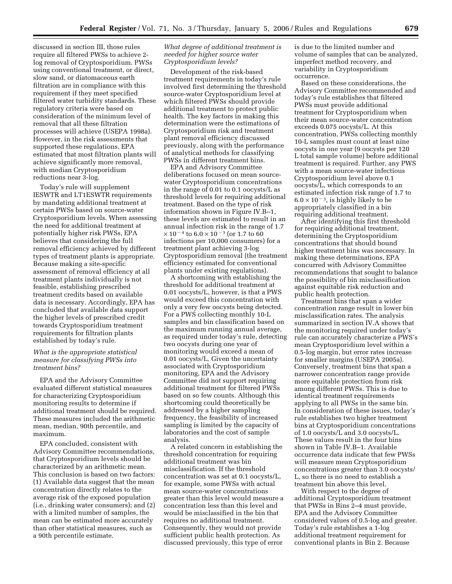discussed in section III, those rules require all filtered PWSs to achieve 2 log removal of Cryptosporidium. PWSs using conventional treatment, or direct, slow sand, or diatomaceous earth filtration are in compliance with this requirement if they meet specified filtered water turbidity standards. These regulatory criteria were based on consideration of the minimum level of removal that all these filtration processes will achieve (USEPA 1998a). However, in the risk assessments that supported these regulations, EPA estimated that most filtration plants will achieve significantly more removal, with median Cryptosporidium reductions near 3-log.

Today's rule will supplement IESWTR and LT1ESWTR requirements by mandating additional treatment at certain PWSs based on source-water Cryptosporidium levels. When assessing the need for additional treatment at potentially higher risk PWSs, EPA believes that considering the full removal efficiency achieved by different types of treatment plants is appropriate. Because making a site-specific assessment of removal efficiency at all treatment plants individually is not feasible, establishing prescribed treatment credits based on available data is necessary. Accordingly, EPA has concluded that available data support the higher levels of prescribed credit towards Cryptosporidium treatment requirements for filtration plants established by today's rule.

## *What is the appropriate statistical measure for classifying PWSs into treatment bins?*

EPA and the Advisory Committee evaluated different statistical measures for characterizing Cryptosporidium monitoring results to determine if additional treatment should be required. These measures included the arithmetic mean, median, 90th percentile, and maximum.

EPA concluded, consistent with Advisory Committee recommendations, that Cryptosporidium levels should be characterized by an arithmetic mean. This conclusion is based on two factors: (1) Available data suggest that the mean concentration directly relates to the average risk of the exposed population (i.e., drinking water consumers); and (2) with a limited number of samples, the mean can be estimated more accurately than other statistical measures, such as a 90th percentile estimate.

## *What degree of additional treatment is needed for higher source water Cryptosporidium levels?*

Development of the risk-based treatment requirements in today's rule involved first determining the threshold source-water Cryptosporidium level at which filtered PWSs should provide additional treatment to protect public health. The key factors in making this determination were the estimations of Cryptosporidium risk and treatment plant removal efficiency discussed previously, along with the performance of analytical methods for classifying PWSs in different treatment bins.

EPA and Advisory Committee deliberations focused on mean sourcewater Cryptosporidium concentrations in the range of 0.01 to 0.1 oocysts/L as threshold levels for requiring additional treatment. Based on the type of risk information shown in Figure IV.B–1, these levels are estimated to result in an annual infection risk in the range of 1.7  $\times$  10<sup>-4</sup> to 6.0  $\times$  10<sup>-3</sup> (or 1.7 to 60 infections per 10,000 consumers) for a treatment plant achieving 3-log Cryptosporidium removal (the treatment efficiency estimated for conventional plants under existing regulations).

A shortcoming with establishing the threshold for additional treatment at 0.01 oocysts/L, however, is that a PWS would exceed this concentration with only a very few oocysts being detected. For a PWS collecting monthly 10-L samples and bin classification based on the maximum running annual average, as required under today's rule, detecting two oocysts during one year of monitoring would exceed a mean of 0.01 oocysts/L. Given the uncertainty associated with Cryptosporidium monitoring, EPA and the Advisory Committee did not support requiring additional treatment for filtered PWSs based on so few counts. Although this shortcoming could theoretically be addressed by a higher sampling frequency, the feasibility of increased sampling is limited by the capacity of laboratories and the cost of sample analysis.

A related concern in establishing the threshold concentration for requiring additional treatment was bin misclassification. If the threshold concentration was set at 0.1 oocysts/L, for example, some PWSs with actual mean source-water concentrations greater than this level would measure a concentration less than this level and would be misclassified in the bin that requires no additional treatment. Consequently, they would not provide sufficient public health protection. As discussed previously, this type of error

is due to the limited number and volume of samples that can be analyzed, imperfect method recovery, and variability in Cryptosporidium occurrence.

Based on these considerations, the Advisory Committee recommended and today's rule establishes that filtered PWSs must provide additional treatment for Cryptosporidium when their mean source-water concentration exceeds 0.075 oocysts/L. At this concentration, PWSs collecting monthly 10-L samples must count at least nine oocysts in one year (9 oocysts per 120 L total sample volume) before additional treatment is required. Further, any PWS with a mean source-water infectious Cryptosporidium level above 0.1 oocysts/L, which corresponds to an estimated infection risk range of 1.7 to  $6.0 \times 10^{-3}$ , is highly likely to be appropriately classified in a bin requiring additional treatment.

After identifying this first threshold for requiring additional treatment, determining the Cryptosporidium concentrations that should bound higher treatment bins was necessary. In making these determinations, EPA concurred with Advisory Committee recommendations that sought to balance the possibility of bin misclassification against equitable risk reduction and public health protection.

Treatment bins that span a wider concentration range result in lower bin misclassification rates. The analysis summarized in section IV.A shows that the monitoring required under today's rule can accurately characterize a PWS's mean Cryptosporidium level within a 0.5-log margin, but error rates increase for smaller margins (USEPA 2005a). Conversely, treatment bins that span a narrower concentration range provide more equitable protection from risk among different PWSs. This is due to identical treatment requirements applying to all PWSs in the same bin. In consideration of these issues, today's rule establishes two higher treatment bins at Cryptosporidium concentrations of 1.0 oocysts/L and 3.0 oocysts/L. These values result in the four bins shown in Table IV.B–1. Available occurrence data indicate that few PWSs will measure mean Cryptosporidium concentrations greater than 3.0 oocysts/ L, so there is no need to establish a treatment bin above this level.

With respect to the degree of additional Cryptosporidium treatment that PWSs in Bins 2–4 must provide, EPA and the Advisory Committee considered values of 0.5-log and greater. Today's rule establishes a 1-log additional treatment requirement for conventional plants in Bin 2. Because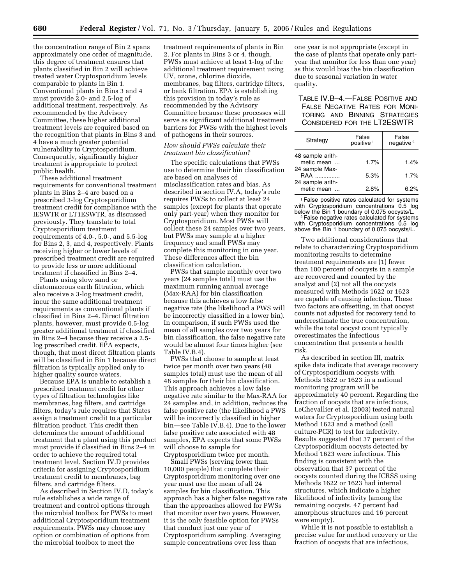the concentration range of Bin 2 spans approximately one order of magnitude, this degree of treatment ensures that plants classified in Bin 2 will achieve treated water Cryptosporidium levels comparable to plants in Bin 1. Conventional plants in Bins 3 and 4 must provide 2.0- and 2.5-log of additional treatment, respectively. As recommended by the Advisory Committee, these higher additional treatment levels are required based on the recognition that plants in Bins 3 and 4 have a much greater potential vulnerability to Cryptosporidium. Consequently, significantly higher treatment is appropriate to protect public health.

These additional treatment requirements for conventional treatment plants in Bins 2–4 are based on a prescribed 3-log Cryptosporidium treatment credit for compliance with the IESWTR or LT1ESWTR, as discussed previously. They translate to total Cryptosporidium treatment requirements of 4.0-, 5.0-, and 5.5-log for Bins 2, 3, and 4, respectively. Plants receiving higher or lower levels of prescribed treatment credit are required to provide less or more additional treatment if classified in Bins 2–4.

Plants using slow sand or diatomaceous earth filtration, which also receive a 3-log treatment credit, incur the same additional treatment requirements as conventional plants if classified in Bins 2–4. Direct filtration plants, however, must provide 0.5-log greater additional treatment if classified in Bins 2–4 because they receive a 2.5 log prescribed credit. EPA expects, though, that most direct filtration plants will be classified in Bin 1 because direct filtration is typically applied only to higher quality source waters.

Because EPA is unable to establish a prescribed treatment credit for other types of filtration technologies like membranes, bag filters, and cartridge filters, today's rule requires that States assign a treatment credit to a particular filtration product. This credit then determines the amount of additional treatment that a plant using this product must provide if classified in Bins 2–4 in order to achieve the required total treatment level. Section IV.D provides criteria for assigning Cryptosporidium treatment credit to membranes, bag filters, and cartridge filters.

As described in Section IV.D, today's rule establishes a wide range of treatment and control options through the microbial toolbox for PWSs to meet additional Cryptosporidium treatment requirements. PWSs may choose any option or combination of options from the microbial toolbox to meet the

treatment requirements of plants in Bin 2. For plants in Bins 3 or 4, though, PWSs must achieve at least 1-log of the additional treatment requirement using UV, ozone, chlorine dioxide, membranes, bag filters, cartridge filters, or bank filtration. EPA is establishing this provision in today's rule as recommended by the Advisory Committee because these processes will serve as significant additional treatment barriers for PWSs with the highest levels of pathogens in their sources.

## *How should PWSs calculate their treatment bin classification?*

The specific calculations that PWSs use to determine their bin classification are based on analyses of misclassification rates and bias. As described in section IV.A, today's rule requires PWSs to collect at least 24 samples (except for plants that operate only part-year) when they monitor for Cryptosporidium. Most PWSs will collect these 24 samples over two years, but PWSs may sample at a higher frequency and small PWSs may complete this monitoring in one year. These differences affect the bin classification calculation.

PWSs that sample monthly over two years (24 samples total) must use the maximum running annual average (Max-RAA) for bin classification because this achieves a low false negative rate (the likelihood a PWS will be incorrectly classified in a lower bin). In comparison, if such PWSs used the mean of all samples over two years for bin classification, the false negative rate would be almost four times higher (see Table IV.B.4).

PWSs that choose to sample at least twice per month over two years (48 samples total) must use the mean of all 48 samples for their bin classification. This approach achieves a low false negative rate similar to the Max-RAA for 24 samples and, in addition, reduces the false positive rate (the likelihood a PWS will be incorrectly classified in higher bin—see Table IV.B.4). Due to the lower false positive rate associated with 48 samples, EPA expects that some PWSs will choose to sample for Cryptosporidium twice per month.

Small PWSs (serving fewer than 10,000 people) that complete their Cryptosporidium monitoring over one year must use the mean of all 24 samples for bin classification. This approach has a higher false negative rate than the approaches allowed for PWSs that monitor over two years. However, it is the only feasible option for PWSs that conduct just one year of Cryptosporidium sampling. Averaging sample concentrations over less than

one year is not appropriate (except in the case of plants that operate only partyear that monitor for less than one year) as this would bias the bin classification due to seasonal variation in water quality.

## TABLE IV.B–4.—FALSE POSITIVE AND FALSE NEGATIVE RATES FOR MONI-TORING AND BINNING STRATEGIES CONSIDERED FOR THE LT2ESWTR

| Strategy                                  | False<br>positive <sup>1</sup> | False<br>negative <sup>2</sup> |
|-------------------------------------------|--------------------------------|--------------------------------|
| 48 sample arith-<br>metic mean            | 1.7%                           | 1.4%                           |
| 24 sample Max-<br>RAA<br>24 sample arith- | 5.3%                           | 1.7%                           |
| metic mean                                | 2.8%                           | 6.2%                           |

<sup>1</sup> False positive rates calculated for systems with Cryptosporidium concentrations 0.5 log<br>below the Bin 1 boundary of 0.075 oocysts/L.  $2$  False negative rates calculated for systems

with Cryptosporidium concentrations 0.5 log above the Bin 1 boundary of 0.075 oocysts/L.

Two additional considerations that relate to characterizing Cryptosporidium monitoring results to determine treatment requirements are (1) fewer than 100 percent of oocysts in a sample are recovered and counted by the analyst and (2) not all the oocysts measured with Methods 1622 or 1623 are capable of causing infection. These two factors are offsetting, in that oocyst counts not adjusted for recovery tend to underestimate the true concentration, while the total oocyst count typically overestimates the infectious concentration that presents a health risk.

As described in section III, matrix spike data indicate that average recovery of Cryptosporidium oocysts with Methods 1622 or 1623 in a national monitoring program will be approximately 40 percent. Regarding the fraction of oocysts that are infectious, LeChevallier et al. (2003) tested natural waters for Cryptosporidium using both Method 1623 and a method (cell culture-PCR) to test for infectivity. Results suggested that 37 percent of the Cryptosporidium oocysts detected by Method 1623 were infectious. This finding is consistent with the observation that 37 percent of the oocysts counted during the ICRSS using Methods 1622 or 1623 had internal structures, which indicate a higher likelihood of infectivity (among the remaining oocysts, 47 percent had amorphous structures and 16 percent were empty).

While it is not possible to establish a precise value for method recovery or the fraction of oocysts that are infectious,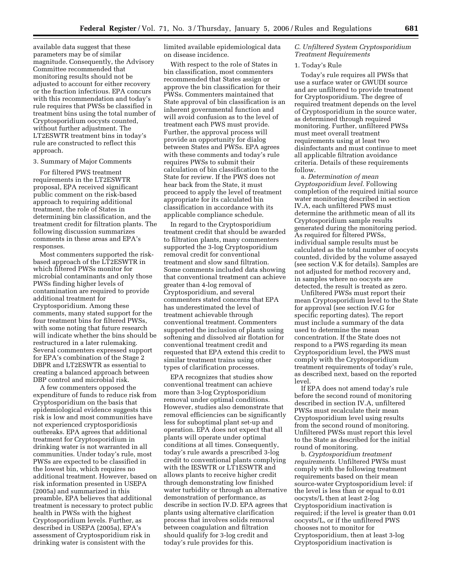available data suggest that these parameters may be of similar magnitude. Consequently, the Advisory Committee recommended that monitoring results should not be adjusted to account for either recovery or the fraction infectious. EPA concurs with this recommendation and today's rule requires that PWSs be classified in treatment bins using the total number of Cryptosporidium oocysts counted, without further adjustment. The LT2ESWTR treatment bins in today's rule are constructed to reflect this approach.

#### 3. Summary of Major Comments

For filtered PWS treatment requirements in the LT2ESWTR proposal, EPA received significant public comment on the risk-based approach to requiring additional treatment, the role of States in determining bin classification, and the treatment credit for filtration plants. The following discussion summarizes comments in these areas and EPA's responses.

Most commenters supported the riskbased approach of the LT2ESWTR in which filtered PWSs monitor for microbial contaminants and only those PWSs finding higher levels of contamination are required to provide additional treatment for Cryptosporidium. Among these comments, many stated support for the four treatment bins for filtered PWSs, with some noting that future research will indicate whether the bins should be restructured in a later rulemaking. Several commenters expressed support for EPA's combination of the Stage 2 DBPR and LT2ESWTR as essential to creating a balanced approach between DBP control and microbial risk.

A few commenters opposed the expenditure of funds to reduce risk from Cryptosporidium on the basis that epidemiological evidence suggests this risk is low and most communities have not experienced cryptosporidiosis outbreaks. EPA agrees that additional treatment for Cryptosporidium in drinking water is not warranted in all communities. Under today's rule, most PWSs are expected to be classified in the lowest bin, which requires no additional treatment. However, based on risk information presented in USEPA (2005a) and summarized in this preamble, EPA believes that additional treatment is necessary to protect public health in PWSs with the highest Cryptosporidium levels. Further, as described in USEPA (2005a), EPA's assessment of Cryptosporidium risk in drinking water is consistent with the

limited available epidemiological data on disease incidence.

With respect to the role of States in bin classification, most commenters recommended that States assign or approve the bin classification for their PWSs. Commenters maintained that State approval of bin classification is an inherent governmental function and will avoid confusion as to the level of treatment each PWS must provide. Further, the approval process will provide an opportunity for dialog between States and PWSs. EPA agrees with these comments and today's rule requires PWSs to submit their calculation of bin classification to the State for review. If the PWS does not hear back from the State, it must proceed to apply the level of treatment appropriate for its calculated bin classification in accordance with its applicable compliance schedule.

In regard to the Cryptosporidium treatment credit that should be awarded to filtration plants, many commenters supported the 3-log Cryptosporidium removal credit for conventional treatment and slow sand filtration. Some comments included data showing that conventional treatment can achieve greater than 4-log removal of Cryptosporidium, and several commenters stated concerns that EPA has underestimated the level of treatment achievable through conventional treatment. Commenters supported the inclusion of plants using softening and dissolved air flotation for conventional treatment credit and requested that EPA extend this credit to similar treatment trains using other types of clarification processes.

EPA recognizes that studies show conventional treatment can achieve more than 3-log Cryptosporidium removal under optimal conditions. However, studies also demonstrate that removal efficiencies can be significantly less for suboptimal plant set-up and operation. EPA does not expect that all plants will operate under optimal conditions at all times. Consequently, today's rule awards a prescribed 3-log credit to conventional plants complying with the IESWTR or LT1ESWTR and allows plants to receive higher credit through demonstrating low finished water turbidity or through an alternative demonstration of performance, as describe in section IV.D. EPA agrees that plants using alternative clarification process that involves solids removal between coagulation and filtration should qualify for 3-log credit and today's rule provides for this.

## *C. Unfiltered System Cryptosporidium Treatment Requirements*

#### 1. Today's Rule

Today's rule requires all PWSs that use a surface water or GWUDI source and are unfiltered to provide treatment for Cryptosporidium. The degree of required treatment depends on the level of Cryptosporidium in the source water, as determined through required monitoring. Further, unfiltered PWSs must meet overall treatment requirements using at least two disinfectants and must continue to meet all applicable filtration avoidance criteria. Details of these requirements follow.

a. *Determination of mean Cryptosporidium level.* Following completion of the required initial source water monitoring described in section IV.A, each unfiltered PWS must determine the arithmetic mean of all its Cryptosporidium sample results generated during the monitoring period. As required for filtered PWSs, individual sample results must be calculated as the total number of oocysts counted, divided by the volume assayed (see section V.K for details). Samples are not adjusted for method recovery and, in samples where no oocysts are detected, the result is treated as zero.

Unfiltered PWSs must report their mean Cryptosporidium level to the State for approval (see section IV.G for specific reporting dates). The report must include a summary of the data used to determine the mean concentration. If the State does not respond to a PWS regarding its mean Cryptosporidium level, the PWS must comply with the Cryptosporidium treatment requirements of today's rule, as described next, based on the reported level.

If EPA does not amend today's rule before the second round of monitoring described in section IV.A, unfiltered PWSs must recalculate their mean Cryptosporidium level using results from the second round of monitoring. Unfiltered PWSs must report this level to the State as described for the initial round of monitoring.

b. *Cryptosporidium treatment requirements.* Unfiltered PWSs must comply with the following treatment requirements based on their mean source-water Cryptosporidium level: if the level is less than or equal to 0.01 oocysts/L then at least 2-log Cryptosporidium inactivation is required; if the level is greater than 0.01 oocysts/L, or if the unfiltered PWS chooses not to monitor for Cryptosporidium, then at least 3-log Cryptosporidium inactivation is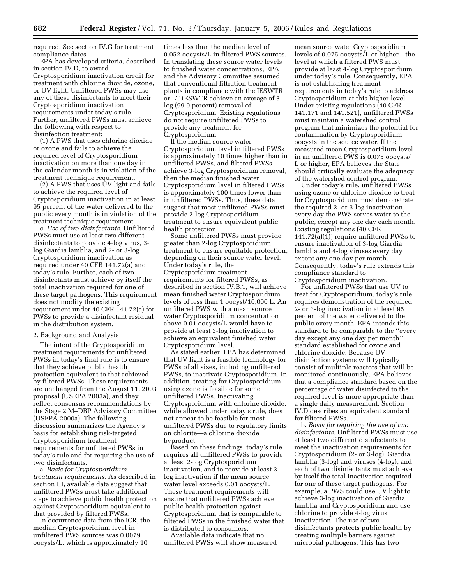required. See section IV.G for treatment compliance dates.

EPA has developed criteria, described in section IV.D, to award Cryptosporidium inactivation credit for treatment with chlorine dioxide, ozone, or UV light. Unfiltered PWSs may use any of these disinfectants to meet their Cryptosporidium inactivation requirements under today's rule. Further, unfiltered PWSs must achieve the following with respect to disinfection treatment:

(1) A PWS that uses chlorine dioxide or ozone and fails to achieve the required level of Cryptosporidium inactivation on more than one day in the calendar month is in violation of the treatment technique requirement.

(2) A PWS that uses UV light and fails to achieve the required level of Cryptosporidium inactivation in at least 95 percent of the water delivered to the public every month is in violation of the treatment technique requirement.

c. *Use of two disinfectants.* Unfiltered PWSs must use at least two different disinfectants to provide 4-log virus, 3 log Giardia lamblia, and 2- or 3-log Cryptosporidium inactivation as required under 40 CFR 141.72(a) and today's rule. Further, each of two disinfectants must achieve by itself the total inactivation required for one of these target pathogens. This requirement does not modify the existing requirement under 40 CFR 141.72(a) for PWSs to provide a disinfectant residual in the distribution system.

## 2. Background and Analysis

The intent of the Cryptosporidium treatment requirements for unfiltered PWSs in today's final rule is to ensure that they achieve public health protection equivalent to that achieved by filtered PWSs. These requirements are unchanged from the August 11, 2003 proposal (USEPA 2003a), and they reflect consensus recommendations by the Stage 2 M–DBP Advisory Committee (USEPA 2000a). The following discussion summarizes the Agency's basis for establishing risk-targeted Cryptosporidium treatment requirements for unfiltered PWSs in today's rule and for requiring the use of two disinfectants.

a. *Basis for Cryptosporidium treatment requirements.* As described in section III, available data suggest that unfiltered PWSs must take additional steps to achieve public health protection against Cryptosporidium equivalent to that provided by filtered PWSs.

In occurrence data from the ICR, the median Cryptosporidium level in unfiltered PWS sources was 0.0079 oocysts/L, which is approximately 10

times less than the median level of 0.052 oocysts/L in filtered PWS sources. In translating these source water levels to finished water concentrations, EPA and the Advisory Committee assumed that conventional filtration treatment plants in compliance with the IESWTR or LT1ESWTR achieve an average of 3 log (99.9 percent) removal of Cryptosporidium. Existing regulations do not require unfiltered PWSs to provide any treatment for Cryptosporidium.

If the median source water Cryptosporidium level in filtered PWSs is approximately 10 times higher than in unfiltered PWSs, and filtered PWSs achieve 3-log Cryptosporidium removal, then the median finished water Cryptosporidium level in filtered PWSs is approximately 100 times lower than in unfiltered PWSs. Thus, these data suggest that most unfiltered PWSs must provide 2-log Cryptosporidium treatment to ensure equivalent public health protection.

Some unfiltered PWSs must provide greater than 2-log Cryptosporidium treatment to ensure equitable protection, depending on their source water level. Under today's rule, the Cryptosporidium treatment requirements for filtered PWSs, as described in section IV.B.1, will achieve mean finished water Cryptosporidium levels of less than 1 oocyst/10,000 L. An unfiltered PWS with a mean source water Cryptosporidium concentration above 0.01 oocysts/L would have to provide at least 3-log inactivation to achieve an equivalent finished water Cryptosporidium level.

As stated earlier, EPA has determined that UV light is a feasible technology for PWSs of all sizes, including unfiltered PWSs, to inactivate Cryptosporidium. In addition, treating for Cryptosporidium using ozone is feasible for some unfiltered PWSs. Inactivating Cryptosporidium with chlorine dioxide, while allowed under today's rule, does not appear to be feasible for most unfiltered PWSs due to regulatory limits on chlorite—a chlorine dioxide byproduct.

Based on these findings, today's rule requires all unfiltered PWSs to provide at least 2-log Cryptosporidium inactivation, and to provide at least 3 log inactivation if the mean source water level exceeds 0.01 oocysts/L. These treatment requirements will ensure that unfiltered PWSs achieve public health protection against Cryptosporidium that is comparable to filtered PWSs in the finished water that is distributed to consumers.

Available data indicate that no unfiltered PWSs will show measured

mean source water Cryptosporidium levels of 0.075 oocysts/L or higher—the level at which a filtered PWS must provide at least 4-log Cryptosporidium under today's rule. Consequently, EPA is not establishing treatment requirements in today's rule to address Cryptosporidium at this higher level. Under existing regulations (40 CFR 141.171 and 141.521), unfiltered PWSs must maintain a watershed control program that minimizes the potential for contamination by Cryptosporidium oocysts in the source water. If the measured mean Cryptosporidium level in an unfiltered PWS is 0.075 oocysts/ L or higher, EPA believes the State should critically evaluate the adequacy of the watershed control program.

Under today's rule, unfiltered PWSs using ozone or chlorine dioxide to treat for Cryptosporidium must demonstrate the required 2- or 3-log inactivation every day the PWS serves water to the public, except any one day each month. Existing regulations (40 CFR 141.72(a)(1)) require unfiltered PWSs to ensure inactivation of 3-log Giardia lamblia and 4-log viruses every day except any one day per month. Consequently, today's rule extends this compliance standard to Cryptosporidium inactivation.

For unfiltered PWSs that use UV to treat for Cryptosporidium, today's rule requires demonstration of the required 2- or 3-log inactivation in at least 95 percent of the water delivered to the public every month. EPA intends this standard to be comparable to the ''every day except any one day per month'' standard established for ozone and chlorine dioxide. Because UV disinfection systems will typically consist of multiple reactors that will be monitored continuously, EPA believes that a compliance standard based on the percentage of water disinfected to the required level is more appropriate than a single daily measurement. Section IV.D describes an equivalent standard for filtered PWSs.

b. *Basis for requiring the use of two disinfectants.* Unfiltered PWSs must use at least two different disinfectants to meet the inactivation requirements for Cryptosporidium (2- or 3-log), Giardia lamblia (3-log) and viruses (4-log), and each of two disinfectants must achieve by itself the total inactivation required for one of these target pathogens. For example, a PWS could use UV light to achieve 3-log inactivation of Giardia lamblia and Cryptosporidium and use chlorine to provide 4-log virus inactivation. The use of two disinfectants protects public health by creating multiple barriers against microbial pathogens. This has two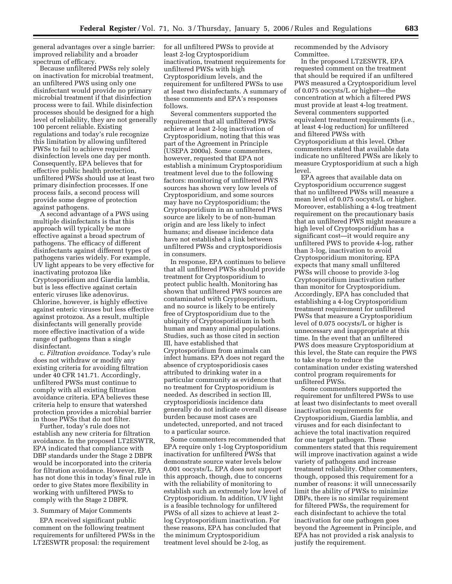general advantages over a single barrier: improved reliability and a broader spectrum of efficacy.

Because unfiltered PWSs rely solely on inactivation for microbial treatment, an unfiltered PWS using only one disinfectant would provide no primary microbial treatment if that disinfection process were to fail. While disinfection processes should be designed for a high level of reliability, they are not generally 100 percent reliable. Existing regulations and today's rule recognize this limitation by allowing unfiltered PWSs to fail to achieve required disinfection levels one day per month. Consequently, EPA believes that for effective public health protection, unfiltered PWSs should use at least two primary disinfection processes. If one process fails, a second process will provide some degree of protection against pathogens.

A second advantage of a PWS using multiple disinfectants is that this approach will typically be more effective against a broad spectrum of pathogens. The efficacy of different disinfectants against different types of pathogens varies widely. For example, UV light appears to be very effective for inactivating protozoa like Cryptosporidium and Giardia lamblia, but is less effective against certain enteric viruses like adenovirus. Chlorine, however, is highly effective against enteric viruses but less effective against protozoa. As a result, multiple disinfectants will generally provide more effective inactivation of a wide range of pathogens than a single disinfectant.

c. *Filtration avoidance.* Today's rule does not withdraw or modify any existing criteria for avoiding filtration under 40 CFR 141.71. Accordingly, unfiltered PWSs must continue to comply with all existing filtration avoidance criteria. EPA believes these criteria help to ensure that watershed protection provides a microbial barrier in those PWSs that do not filter.

Further, today's rule does not establish any new criteria for filtration avoidance. In the proposed LT2ESWTR, EPA indicated that compliance with DBP standards under the Stage 2 DBPR would be incorporated into the criteria for filtration avoidance. However, EPA has not done this in today's final rule in order to give States more flexibility in working with unfiltered PWSs to comply with the Stage 2 DBPR.

## 3. Summary of Major Comments

EPA received significant public comment on the following treatment requirements for unfiltered PWSs in the LT2ESWTR proposal: the requirement

for all unfiltered PWSs to provide at least 2-log Cryptosporidium inactivation, treatment requirements for unfiltered PWSs with high Cryptosporidium levels, and the requirement for unfiltered PWSs to use at least two disinfectants. A summary of these comments and EPA's responses follows.

Several commenters supported the requirement that all unfiltered PWSs achieve at least 2-log inactivation of Cryptosporidium, noting that this was part of the Agreement in Principle (USEPA 2000a). Some commenters, however, requested that EPA not establish a minimum Cryptosporidium treatment level due to the following factors: monitoring of unfiltered PWS sources has shown very low levels of Cryptosporidium, and some sources may have no Cryptosporidium; the Cryptosporidium in an unfiltered PWS source are likely to be of non-human origin and are less likely to infect humans; and disease incidence data have not established a link between unfiltered PWSs and cryptosporidiosis in consumers.

In response, EPA continues to believe that all unfiltered PWSs should provide treatment for Cryptosporidium to protect public health. Monitoring has shown that unfiltered PWS sources are contaminated with Cryptosporidium, and no source is likely to be entirely free of Cryptosporidium due to the ubiquity of Cryptosporidium in both human and many animal populations. Studies, such as those cited in section III, have established that Cryptosporidium from animals can infect humans. EPA does not regard the absence of cryptosporidiosis cases attributed to drinking water in a particular community as evidence that no treatment for Cryptosporidium is needed. As described in section III, cryptosporidiosis incidence data generally do not indicate overall disease burden because most cases are undetected, unreported, and not traced to a particular source.

Some commenters recommended that EPA require only 1-log Cryptosporidium inactivation for unfiltered PWSs that demonstrate source water levels below 0.001 oocysts/L. EPA does not support this approach, though, due to concerns with the reliability of monitoring to establish such an extremely low level of Cryptosporidium. In addition, UV light is a feasible technology for unfiltered PWSs of all sizes to achieve at least 2 log Cryptosporidium inactivation. For these reasons, EPA has concluded that the minimum Cryptosporidium treatment level should be 2-log, as

recommended by the Advisory Committee.

In the proposed LT2ESWTR, EPA requested comment on the treatment that should be required if an unfiltered PWS measured a Cryptosporidium level of 0.075 oocysts/L or higher—the concentration at which a filtered PWS must provide at least 4-log treatment. Several commenters supported equivalent treatment requirements (i.e., at least 4-log reduction) for unfiltered and filtered PWSs with Cryptosporidium at this level. Other commenters stated that available data indicate no unfiltered PWSs are likely to measure Cryptosporidium at such a high level.

EPA agrees that available data on Cryptosporidium occurrence suggest that no unfiltered PWSs will measure a mean level of 0.075 oocysts/L or higher. Moreover, establishing a 4-log treatment requirement on the precautionary basis that an unfiltered PWS might measure a high level of Cryptosporidium has a significant cost—it would require any unfiltered PWS to provide 4-log, rather than 3-log, inactivation to avoid Cryptosporidium monitoring. EPA expects that many small unfiltered PWSs will choose to provide 3-log Cryptosporidium inactivation rather than monitor for Cryptosporidium. Accordingly, EPA has concluded that establishing a 4-log Cryptosporidium treatment requirement for unfiltered PWSs that measure a Cryptosporidium level of 0.075 oocysts/L or higher is unnecessary and inappropriate at this time. In the event that an unfiltered PWS does measure Cryptosporidium at this level, the State can require the PWS to take steps to reduce the contamination under existing watershed control program requirements for unfiltered PWSs.

Some commenters supported the requirement for unfiltered PWSs to use at least two disinfectants to meet overall inactivation requirements for Cryptosporidium, Giardia lamblia, and viruses and for each disinfectant to achieve the total inactivation required for one target pathogen. These commenters stated that this requirement will improve inactivation against a wide variety of pathogens and increase treatment reliability. Other commenters, though, opposed this requirement for a number of reasons: it will unnecessarily limit the ability of PWSs to minimize DBPs, there is no similar requirement for filtered PWSs, the requirement for each disinfectant to achieve the total inactivation for one pathogen goes beyond the Agreement in Principle, and EPA has not provided a risk analysis to justify the requirement.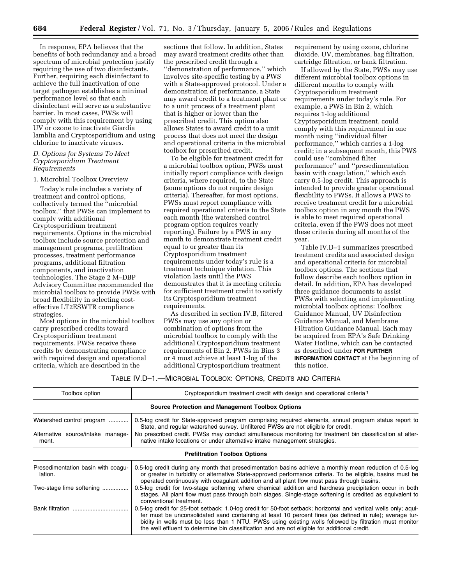In response, EPA believes that the benefits of both redundancy and a broad spectrum of microbial protection justify requiring the use of two disinfectants. Further, requiring each disinfectant to achieve the full inactivation of one target pathogen establishes a minimal performance level so that each disinfectant will serve as a substantive barrier. In most cases, PWSs will comply with this requirement by using UV or ozone to inactivate Giardia lamblia and Cryptosporidium and using chlorine to inactivate viruses.

## *D. Options for Systems To Meet Cryptosporidium Treatment Requirements*

#### 1. Microbial Toolbox Overview

Today's rule includes a variety of treatment and control options, collectively termed the ''microbial toolbox,'' that PWSs can implement to comply with additional Cryptosporidium treatment requirements. Options in the microbial toolbox include source protection and management programs, prefiltration processes, treatment performance programs, additional filtration components, and inactivation technologies. The Stage 2 M–DBP Advisory Committee recommended the microbial toolbox to provide PWSs with broad flexibility in selecting costeffective LT2ESWTR compliance strategies.

Most options in the microbial toolbox carry prescribed credits toward Cryptosporidium treatment requirements. PWSs receive these credits by demonstrating compliance with required design and operational criteria, which are described in the

sections that follow. In addition, States may award treatment credits other than the prescribed credit through a ''demonstration of performance,'' which involves site-specific testing by a PWS with a State-approved protocol. Under a demonstration of performance, a State may award credit to a treatment plant or to a unit process of a treatment plant that is higher or lower than the prescribed credit. This option also allows States to award credit to a unit process that does not meet the design and operational criteria in the microbial toolbox for prescribed credit.

To be eligible for treatment credit for a microbial toolbox option, PWSs must initially report compliance with design criteria, where required, to the State (some options do not require design criteria). Thereafter, for most options, PWSs must report compliance with required operational criteria to the State each month (the watershed control program option requires yearly reporting). Failure by a PWS in any month to demonstrate treatment credit equal to or greater than its Cryptosporidium treatment requirements under today's rule is a treatment technique violation. This violation lasts until the PWS demonstrates that it is meeting criteria for sufficient treatment credit to satisfy its Cryptosporidium treatment requirements.

As described in section IV.B, filtered PWSs may use any option or combination of options from the microbial toolbox to comply with the additional Cryptosporidium treatment requirements of Bin 2. PWSs in Bins 3 or 4 must achieve at least 1-log of the additional Cryptosporidium treatment

requirement by using ozone, chlorine dioxide, UV, membranes, bag filtration, cartridge filtration, or bank filtration.

If allowed by the State, PWSs may use different microbial toolbox options in different months to comply with Cryptosporidium treatment requirements under today's rule. For example, a PWS in Bin 2, which requires 1-log additional Cryptosporidium treatment, could comply with this requirement in one month using ''individual filter performance,'' which carries a 1-log credit; in a subsequent month, this PWS could use ''combined filter performance'' and ''presedimentation basin with coagulation,'' which each carry 0.5-log credit. This approach is intended to provide greater operational flexibility to PWSs. It allows a PWS to receive treatment credit for a microbial toolbox option in any month the PWS is able to meet required operational criteria, even if the PWS does not meet these criteria during all months of the year.

Table IV.D–1 summarizes prescribed treatment credits and associated design and operational criteria for microbial toolbox options. The sections that follow describe each toolbox option in detail. In addition, EPA has developed three guidance documents to assist PWSs with selecting and implementing microbial toolbox options: Toolbox Guidance Manual, UV Disinfection Guidance Manual, and Membrane Filtration Guidance Manual. Each may be acquired from EPA's Safe Drinking Water Hotline, which can be contacted as described under **FOR FURTHER INFORMATION CONTACT** at the beginning of this notice.

## TABLE IV.D–1.—MICROBIAL TOOLBOX: OPTIONS, CREDITS AND CRITERIA

| Toolbox option                                          | Cryptosporidium treatment credit with design and operational criteria <sup>1</sup>                                                                                                                                                                                                                                                                                                                                                      |  |  |  |
|---------------------------------------------------------|-----------------------------------------------------------------------------------------------------------------------------------------------------------------------------------------------------------------------------------------------------------------------------------------------------------------------------------------------------------------------------------------------------------------------------------------|--|--|--|
| <b>Source Protection and Management Toolbox Options</b> |                                                                                                                                                                                                                                                                                                                                                                                                                                         |  |  |  |
| Watershed control program                               | 0.5-log credit for State-approved program comprising required elements, annual program status report to<br>State, and regular watershed survey. Unfiltered PWSs are not eligible for credit.                                                                                                                                                                                                                                            |  |  |  |
| Alternative source/intake manage-<br>ment.              | No prescribed credit. PWSs may conduct simultaneous monitoring for treatment bin classification at alter-<br>native intake locations or under alternative intake management strategies.                                                                                                                                                                                                                                                 |  |  |  |
| <b>Prefiltration Toolbox Options</b>                    |                                                                                                                                                                                                                                                                                                                                                                                                                                         |  |  |  |
| Presedimentation basin with coagu-<br>lation.           | 0.5-log credit during any month that presedimentation basins achieve a monthly mean reduction of 0.5-log<br>or greater in turbidity or alternative State-approved performance criteria. To be eligible, basins must be<br>operated continuously with coagulant addition and all plant flow must pass through basins.                                                                                                                    |  |  |  |
| Two-stage lime softening                                | 0.5-log credit for two-stage softening where chemical addition and hardness precipitation occur in both<br>stages. All plant flow must pass through both stages. Single-stage softening is credited as equivalent to<br>conventional treatment.                                                                                                                                                                                         |  |  |  |
|                                                         | 0.5-log credit for 25-foot setback; 1.0-log credit for 50-foot setback; horizontal and vertical wells only; aqui-<br>fer must be unconsolidated sand containing at least 10 percent fines (as defined in rule); average tur-<br>bidity in wells must be less than 1 NTU. PWSs using existing wells followed by filtration must monitor<br>the well effluent to determine bin classification and are not eligible for additional credit. |  |  |  |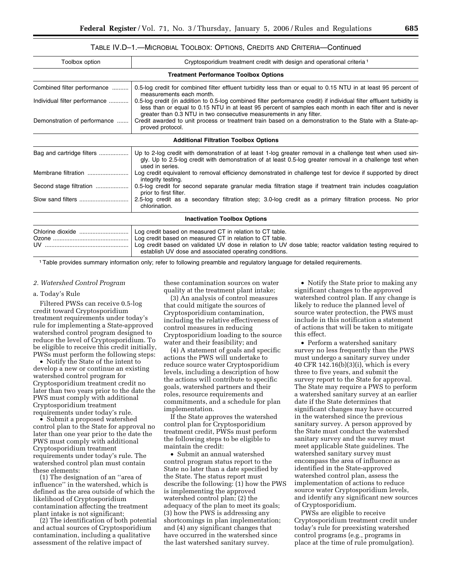| Toolbox option                | Cryptosporidium treatment credit with design and operational criteria <sup>1</sup>                                                                                                                                                                                                                      |  |
|-------------------------------|---------------------------------------------------------------------------------------------------------------------------------------------------------------------------------------------------------------------------------------------------------------------------------------------------------|--|
|                               | <b>Treatment Performance Toolbox Options</b>                                                                                                                                                                                                                                                            |  |
| Combined filter performance   | 0.5-log credit for combined filter effluent turbidity less than or equal to 0.15 NTU in at least 95 percent of<br>measurements each month.                                                                                                                                                              |  |
| Individual filter performance | 0.5-log credit (in addition to 0.5-log combined filter performance credit) if individual filter effluent turbidity is<br>less than or equal to 0.15 NTU in at least 95 percent of samples each month in each filter and is never<br>greater than 0.3 NTU in two consecutive measurements in any filter. |  |
| Demonstration of performance  | Credit awarded to unit process or treatment train based on a demonstration to the State with a State-ap-<br>proved protocol.                                                                                                                                                                            |  |
|                               | <b>Additional Filtration Toolbox Options</b>                                                                                                                                                                                                                                                            |  |
| Bag and cartridge filters     | Up to 2-log credit with demonstration of at least 1-log greater removal in a challenge test when used sin-<br>gly. Up to 2.5-log credit with demonstration of at least 0.5-log greater removal in a challenge test when<br>used in series.                                                              |  |
| Membrane filtration           | Log credit equivalent to removal efficiency demonstrated in challenge test for device if supported by direct<br>integrity testing.                                                                                                                                                                      |  |
| Second stage filtration       | 0.5-log credit for second separate granular media filtration stage if treatment train includes coagulation<br>prior to first filter.                                                                                                                                                                    |  |
| Slow sand filters             | 2.5-log credit as a secondary filtration step; 3.0-log credit as a primary filtration process. No prior<br>chlorination.                                                                                                                                                                                |  |
|                               | <b>Inactivation Toolbox Options</b>                                                                                                                                                                                                                                                                     |  |
|                               | Log credit based on measured CT in relation to CT table.<br>Log credit based on measured CT in relation to CT table.<br>Log credit based on validated UV dose in relation to UV dose table; reactor validation testing required to<br>establish UV dose and associated operating conditions.            |  |

1Table provides summary information only; refer to following preamble and regulatory language for detailed requirements.

#### *2. Watershed Control Program*

#### a. Today's Rule

Filtered PWSs can receive 0.5-log credit toward Cryptosporidium treatment requirements under today's rule for implementing a State-approved watershed control program designed to reduce the level of Cryptosporidium. To be eligible to receive this credit initially, PWSs must perform the following steps:

• Notify the State of the intent to develop a new or continue an existing watershed control program for Cryptosporidium treatment credit no later than two years prior to the date the PWS must comply with additional Cryptosporidium treatment requirements under today's rule.

• Submit a proposed watershed control plan to the State for approval no later than one year prior to the date the PWS must comply with additional Cryptosporidium treatment requirements under today's rule. The watershed control plan must contain these elements:

(1) The designation of an ''area of influence'' in the watershed, which is defined as the area outside of which the likelihood of Cryptosporidium contamination affecting the treatment plant intake is not significant;

(2) The identification of both potential and actual sources of Cryptosporidium contamination, including a qualitative assessment of the relative impact of

these contamination sources on water quality at the treatment plant intake;

(3) An analysis of control measures that could mitigate the sources of Cryptosporidium contamination, including the relative effectiveness of control measures in reducing Cryptosporidium loading to the source water and their feasibility; and

(4) A statement of goals and specific actions the PWS will undertake to reduce source water Cryptosporidium levels, including a description of how the actions will contribute to specific goals, watershed partners and their roles, resource requirements and commitments, and a schedule for plan implementation.

If the State approves the watershed control plan for Cryptosporidium treatment credit, PWSs must perform the following steps to be eligible to maintain the credit:

• Submit an annual watershed control program status report to the State no later than a date specified by the State. The status report must describe the following: (1) how the PWS is implementing the approved watershed control plan; (2) the adequacy of the plan to meet its goals; (3) how the PWS is addressing any shortcomings in plan implementation; and (4) any significant changes that have occurred in the watershed since the last watershed sanitary survey.

• Notify the State prior to making any significant changes to the approved watershed control plan. If any change is likely to reduce the planned level of source water protection, the PWS must include in this notification a statement of actions that will be taken to mitigate this effect.

• Perform a watershed sanitary survey no less frequently than the PWS must undergo a sanitary survey under 40 CFR 142.16(b)(3)(i), which is every three to five years, and submit the survey report to the State for approval. The State may require a PWS to perform a watershed sanitary survey at an earlier date if the State determines that significant changes may have occurred in the watershed since the previous sanitary survey. A person approved by the State must conduct the watershed sanitary survey and the survey must meet applicable State guidelines. The watershed sanitary survey must encompass the area of influence as identified in the State-approved watershed control plan, assess the implementation of actions to reduce source water Cryptosporidium levels, and identify any significant new sources of Cryptosporidium.

PWSs are eligible to receive Cryptosporidium treatment credit under today's rule for preexisting watershed control programs (e.g., programs in place at the time of rule promulgation).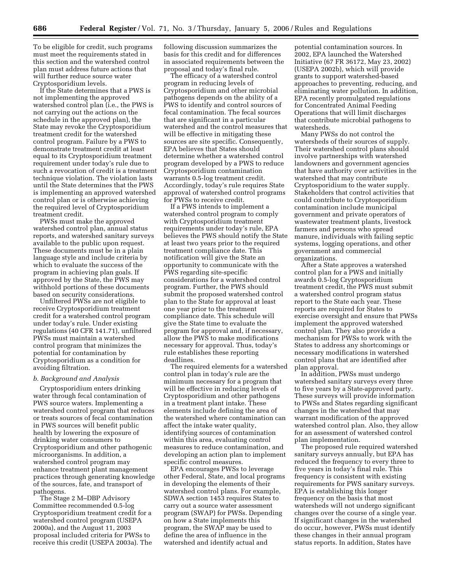To be eligible for credit, such programs must meet the requirements stated in this section and the watershed control plan must address future actions that will further reduce source water Cryptosporidium levels.

If the State determines that a PWS is not implementing the approved watershed control plan (i.e., the PWS is not carrying out the actions on the schedule in the approved plan), the State may revoke the Cryptosporidium treatment credit for the watershed control program. Failure by a PWS to demonstrate treatment credit at least equal to its Cryptosporidium treatment requirement under today's rule due to such a revocation of credit is a treatment technique violation. The violation lasts until the State determines that the PWS is implementing an approved watershed control plan or is otherwise achieving the required level of Cryptosporidium treatment credit.

PWSs must make the approved watershed control plan, annual status reports, and watershed sanitary surveys available to the public upon request. These documents must be in a plain language style and include criteria by which to evaluate the success of the program in achieving plan goals. If approved by the State, the PWS may withhold portions of these documents based on security considerations.

Unfiltered PWSs are not eligible to receive Cryptosporidium treatment credit for a watershed control program under today's rule. Under existing regulations (40 CFR 141.71), unfiltered PWSs must maintain a watershed control program that minimizes the potential for contamination by Cryptosporidium as a condition for avoiding filtration.

#### *b. Background and Analysis*

Cryptosporidium enters drinking water through fecal contamination of PWS source waters. Implementing a watershed control program that reduces or treats sources of fecal contamination in PWS sources will benefit public health by lowering the exposure of drinking water consumers to Cryptosporidium and other pathogenic microorganisms. In addition, a watershed control program may enhance treatment plant management practices through generating knowledge of the sources, fate, and transport of pathogens.

The Stage 2 M–DBP Advisory Committee recommended 0.5-log Cryptosporidium treatment credit for a watershed control program (USEPA 2000a), and the August 11, 2003 proposal included criteria for PWSs to receive this credit (USEPA 2003a). The following discussion summarizes the basis for this credit and for differences in associated requirements between the proposal and today's final rule.

The efficacy of a watershed control program in reducing levels of Cryptosporidium and other microbial pathogens depends on the ability of a PWS to identify and control sources of fecal contamination. The fecal sources that are significant in a particular watershed and the control measures that will be effective in mitigating these sources are site specific. Consequently, EPA believes that States should determine whether a watershed control program developed by a PWS to reduce Cryptosporidium contamination warrants 0.5-log treatment credit. Accordingly, today's rule requires State approval of watershed control programs for PWSs to receive credit.

If a PWS intends to implement a watershed control program to comply with Cryptosporidium treatment requirements under today's rule, EPA believes the PWS should notify the State at least two years prior to the required treatment compliance date. This notification will give the State an opportunity to communicate with the PWS regarding site-specific considerations for a watershed control program. Further, the PWS should submit the proposed watershed control plan to the State for approval at least one year prior to the treatment compliance date. This schedule will give the State time to evaluate the program for approval and, if necessary, allow the PWS to make modifications necessary for approval. Thus, today's rule establishes these reporting deadlines.

The required elements for a watershed control plan in today's rule are the minimum necessary for a program that will be effective in reducing levels of Cryptosporidium and other pathogens in a treatment plant intake. These elements include defining the area of the watershed where contamination can affect the intake water quality, identifying sources of contamination within this area, evaluating control measures to reduce contamination, and developing an action plan to implement specific control measures.

EPA encourages PWSs to leverage other Federal, State, and local programs in developing the elements of their watershed control plans. For example, SDWA section 1453 requires States to carry out a source water assessment program (SWAP) for PWSs. Depending on how a State implements this program, the SWAP may be used to define the area of influence in the watershed and identify actual and

potential contamination sources. In 2002, EPA launched the Watershed Initiative (67 FR 36172, May 23, 2002) (USEPA 2002b), which will provide grants to support watershed-based approaches to preventing, reducing, and eliminating water pollution. In addition, EPA recently promulgated regulations for Concentrated Animal Feeding Operations that will limit discharges that contribute microbial pathogens to watersheds.

Many PWSs do not control the watersheds of their sources of supply. Their watershed control plans should involve partnerships with watershed landowners and government agencies that have authority over activities in the watershed that may contribute Cryptosporidium to the water supply. Stakeholders that control activities that could contribute to Cryptosporidium contamination include municipal government and private operators of wastewater treatment plants, livestock farmers and persons who spread manure, individuals with failing septic systems, logging operations, and other government and commercial organizations.

After a State approves a watershed control plan for a PWS and initially awards 0.5-log Cryptosporidium treatment credit, the PWS must submit a watershed control program status report to the State each year. These reports are required for States to exercise oversight and ensure that PWSs implement the approved watershed control plan. They also provide a mechanism for PWSs to work with the States to address any shortcomings or necessary modifications in watershed control plans that are identified after plan approval.

In addition, PWSs must undergo watershed sanitary surveys every three to five years by a State-approved party. These surveys will provide information to PWSs and States regarding significant changes in the watershed that may warrant modification of the approved watershed control plan. Also, they allow for an assessment of watershed control plan implementation.

The proposed rule required watershed sanitary surveys annually, but EPA has reduced the frequency to every three to five years in today's final rule. This frequency is consistent with existing requirements for PWS sanitary surveys. EPA is establishing this longer frequency on the basis that most watersheds will not undergo significant changes over the course of a single year. If significant changes in the watershed do occur, however, PWSs must identify these changes in their annual program status reports. In addition, States have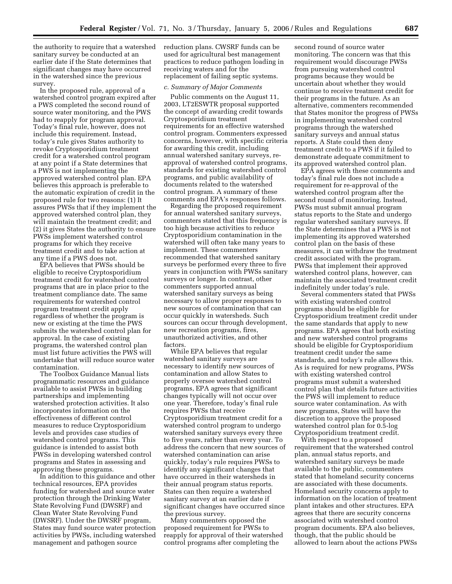the authority to require that a watershed sanitary survey be conducted at an earlier date if the State determines that significant changes may have occurred in the watershed since the previous survey.

In the proposed rule, approval of a watershed control program expired after a PWS completed the second round of source water monitoring, and the PWS had to reapply for program approval. Today's final rule, however, does not include this requirement. Instead, today's rule gives States authority to revoke Cryptosporidium treatment credit for a watershed control program at any point if a State determines that a PWS is not implementing the approved watershed control plan. EPA believes this approach is preferable to the automatic expiration of credit in the proposed rule for two reasons: (1) It assures PWSs that if they implement the approved watershed control plan, they will maintain the treatment credit; and (2) it gives States the authority to ensure PWSs implement watershed control programs for which they receive treatment credit and to take action at any time if a PWS does not.

EPA believes that PWSs should be eligible to receive Cryptosporidium treatment credit for watershed control programs that are in place prior to the treatment compliance date. The same requirements for watershed control program treatment credit apply regardless of whether the program is new or existing at the time the PWS submits the watershed control plan for approval. In the case of existing programs, the watershed control plan must list future activities the PWS will undertake that will reduce source water contamination.

The Toolbox Guidance Manual lists programmatic resources and guidance available to assist PWSs in building partnerships and implementing watershed protection activities. It also incorporates information on the effectiveness of different control measures to reduce Cryptosporidium levels and provides case studies of watershed control programs. This guidance is intended to assist both PWSs in developing watershed control programs and States in assessing and approving these programs.

In addition to this guidance and other technical resources, EPA provides funding for watershed and source water protection through the Drinking Water State Revolving Fund (DWSRF) and Clean Water State Revolving Fund (DWSRF). Under the DWSRF program, States may fund source water protection activities by PWSs, including watershed management and pathogen source

reduction plans. CWSRF funds can be used for agricultural best management practices to reduce pathogen loading in receiving waters and for the replacement of failing septic systems.

#### *c. Summary of Major Comments*

Public comments on the August 11, 2003, LT2ESWTR proposal supported the concept of awarding credit towards Cryptosporidium treatment requirements for an effective watershed control program. Commenters expressed concerns, however, with specific criteria for awarding this credit, including annual watershed sanitary surveys, reapproval of watershed control programs, standards for existing watershed control programs, and public availability of documents related to the watershed control program. A summary of these comments and EPA's responses follows.

Regarding the proposed requirement for annual watershed sanitary surveys, commenters stated that this frequency is too high because activities to reduce Cryptosporidium contamination in the watershed will often take many years to implement. These commenters recommended that watershed sanitary surveys be performed every three to five years in conjunction with PWSs sanitary surveys or longer. In contrast, other commenters supported annual watershed sanitary surveys as being necessary to allow proper responses to new sources of contamination that can occur quickly in watersheds. Such sources can occur through development, new recreation programs, fires, unauthorized activities, and other factors.

While EPA believes that regular watershed sanitary surveys are necessary to identify new sources of contamination and allow States to properly oversee watershed control programs, EPA agrees that significant changes typically will not occur over one year. Therefore, today's final rule requires PWSs that receive Cryptosporidium treatment credit for a watershed control program to undergo watershed sanitary surveys every three to five years, rather than every year. To address the concern that new sources of watershed contamination can arise quickly, today's rule requires PWSs to identify any significant changes that have occurred in their watersheds in their annual program status reports. States can then require a watershed sanitary survey at an earlier date if significant changes have occurred since the previous survey.

Many commenters opposed the proposed requirement for PWSs to reapply for approval of their watershed control programs after completing the

second round of source water monitoring. The concern was that this requirement would discourage PWSs from pursuing watershed control programs because they would be uncertain about whether they would continue to receive treatment credit for their programs in the future. As an alternative, commenters recommended that States monitor the progress of PWSs in implementing watershed control programs through the watershed sanitary surveys and annual status reports. A State could then deny treatment credit to a PWS if it failed to demonstrate adequate commitment to its approved watershed control plan.

EPA agrees with these comments and today's final rule does not include a requirement for re-approval of the watershed control program after the second round of monitoring. Instead, PWSs must submit annual program status reports to the State and undergo regular watershed sanitary surveys. If the State determines that a PWS is not implementing its approved watershed control plan on the basis of these measures, it can withdraw the treatment credit associated with the program. PWSs that implement their approved watershed control plans, however, can maintain the associated treatment credit indefinitely under today's rule.

Several commenters stated that PWSs with existing watershed control programs should be eligible for Cryptosporidium treatment credit under the same standards that apply to new programs. EPA agrees that both existing and new watershed control programs should be eligible for Cryptosporidium treatment credit under the same standards, and today's rule allows this. As is required for new programs, PWSs with existing watershed control programs must submit a watershed control plan that details future activities the PWS will implement to reduce source water contamination. As with new programs, States will have the discretion to approve the proposed watershed control plan for 0.5-log Cryptosporidium treatment credit.

With respect to a proposed requirement that the watershed control plan, annual status reports, and watershed sanitary surveys be made available to the public, commenters stated that homeland security concerns are associated with these documents. Homeland security concerns apply to information on the location of treatment plant intakes and other structures. EPA agrees that there are security concerns associated with watershed control program documents. EPA also believes, though, that the public should be allowed to learn about the actions PWSs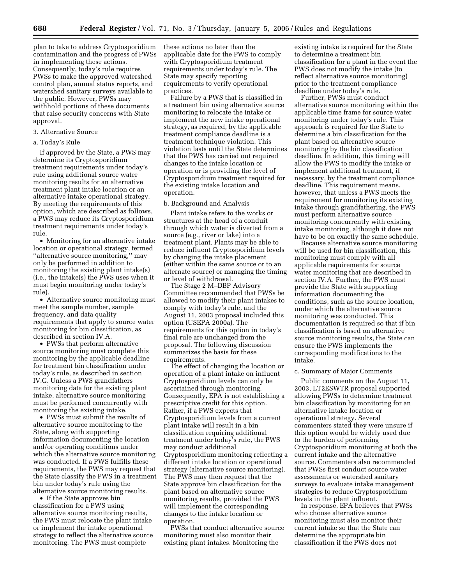plan to take to address Cryptosporidium contamination and the progress of PWSs in implementing these actions. Consequently, today's rule requires PWSs to make the approved watershed control plan, annual status reports, and watershed sanitary surveys available to the public. However, PWSs may withhold portions of these documents that raise security concerns with State approval.

## 3. Alternative Source

## a. Today's Rule

If approved by the State, a PWS may determine its Cryptosporidium treatment requirements under today's rule using additional source water monitoring results for an alternative treatment plant intake location or an alternative intake operational strategy. By meeting the requirements of this option, which are described as follows, a PWS may reduce its Cryptosporidium treatment requirements under today's rule.

• Monitoring for an alternative intake location or operational strategy, termed ''alternative source monitoring,'' may only be performed in addition to monitoring the existing plant intake(s) (i.e., the intake(s) the PWS uses when it must begin monitoring under today's rule).

• Alternative source monitoring must meet the sample number, sample frequency, and data quality requirements that apply to source water monitoring for bin classification, as described in section IV.A.

• PWSs that perform alternative source monitoring must complete this monitoring by the applicable deadline for treatment bin classification under today's rule, as described in section IV.G. Unless a PWS grandfathers monitoring data for the existing plant intake, alternative source monitoring must be performed concurrently with monitoring the existing intake.

• PWSs must submit the results of alternative source monitoring to the State, along with supporting information documenting the location and/or operating conditions under which the alternative source monitoring was conducted. If a PWS fulfills these requirements, the PWS may request that the State classify the PWS in a treatment bin under today's rule using the alternative source monitoring results.

• If the State approves bin classification for a PWS using alternative source monitoring results, the PWS must relocate the plant intake or implement the intake operational strategy to reflect the alternative source monitoring. The PWS must complete

these actions no later than the applicable date for the PWS to comply with Cryptosporidium treatment requirements under today's rule. The State may specify reporting requirements to verify operational practices.

Failure by a PWS that is classified in a treatment bin using alternative source monitoring to relocate the intake or implement the new intake operational strategy, as required, by the applicable treatment compliance deadline is a treatment technique violation. This violation lasts until the State determines that the PWS has carried out required changes to the intake location or operation or is providing the level of Cryptosporidium treatment required for the existing intake location and operation.

#### b. Background and Analysis

Plant intake refers to the works or structures at the head of a conduit through which water is diverted from a source (e.g., river or lake) into a treatment plant. Plants may be able to reduce influent Cryptosporidium levels by changing the intake placement (either within the same source or to an alternate source) or managing the timing or level of withdrawal.

The Stage 2 M–DBP Advisory Committee recommended that PWSs be allowed to modify their plant intakes to comply with today's rule, and the August 11, 2003 proposal included this option (USEPA 2000a). The requirements for this option in today's final rule are unchanged from the proposal. The following discussion summarizes the basis for these requirements.

The effect of changing the location or operation of a plant intake on influent Cryptosporidium levels can only be ascertained through monitoring. Consequently, EPA is not establishing a prescriptive credit for this option. Rather, if a PWS expects that Cryptosporidium levels from a current plant intake will result in a bin classification requiring additional treatment under today's rule, the PWS may conduct additional Cryptosporidium monitoring reflecting a different intake location or operational strategy (alternative source monitoring). The PWS may then request that the State approve bin classification for the plant based on alternative source monitoring results, provided the PWS will implement the corresponding changes to the intake location or operation.

PWSs that conduct alternative source monitoring must also monitor their existing plant intakes. Monitoring the

existing intake is required for the State to determine a treatment bin classification for a plant in the event the PWS does not modify the intake (to reflect alternative source monitoring) prior to the treatment compliance deadline under today's rule.

Further, PWSs must conduct alternative source monitoring within the applicable time frame for source water monitoring under today's rule. This approach is required for the State to determine a bin classification for the plant based on alternative source monitoring by the bin classification deadline. In addition, this timing will allow the PWS to modify the intake or implement additional treatment, if necessary, by the treatment compliance deadline. This requirement means, however, that unless a PWS meets the requirement for monitoring its existing intake through grandfathering, the PWS must perform alternative source monitoring concurrently with existing intake monitoring, although it does not have to be on exactly the same schedule.

Because alternative source monitoring will be used for bin classification, this monitoring must comply with all applicable requirements for source water monitoring that are described in section IV.A. Further, the PWS must provide the State with supporting information documenting the conditions, such as the source location, under which the alternative source monitoring was conducted. This documentation is required so that if bin classification is based on alternative source monitoring results, the State can ensure the PWS implements the corresponding modifications to the intake.

#### c. Summary of Major Comments

Public comments on the August 11, 2003, LT2ESWTR proposal supported allowing PWSs to determine treatment bin classification by monitoring for an alternative intake location or operational strategy. Several commenters stated they were unsure if this option would be widely used due to the burden of performing Cryptosporidium monitoring at both the current intake and the alternative source. Commenters also recommended that PWSs first conduct source water assessments or watershed sanitary surveys to evaluate intake management strategies to reduce Cryptosporidium levels in the plant influent.

In response, EPA believes that PWSs who choose alternative source monitoring must also monitor their current intake so that the State can determine the appropriate bin classification if the PWS does not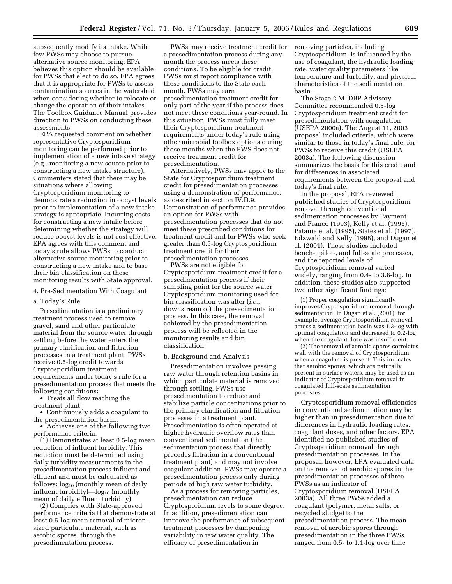subsequently modify its intake. While few PWSs may choose to pursue alternative source monitoring, EPA believes this option should be available for PWSs that elect to do so. EPA agrees that it is appropriate for PWSs to assess contamination sources in the watershed when considering whether to relocate or change the operation of their intakes. The Toolbox Guidance Manual provides direction to PWSs on conducting these assessments.

EPA requested comment on whether representative Cryptosporidium monitoring can be performed prior to implementation of a new intake strategy (e.g., monitoring a new source prior to constructing a new intake structure). Commenters stated that there may be situations where allowing Cryptosporidium monitoring to demonstrate a reduction in oocyst levels prior to implementation of a new intake strategy is appropriate. Incurring costs for constructing a new intake before determining whether the strategy will reduce oocyst levels is not cost effective. EPA agrees with this comment and today's rule allows PWSs to conduct alternative source monitoring prior to constructing a new intake and to base their bin classification on these monitoring results with State approval.

## 4. Pre-Sedimentation With Coagulant

#### a. Today's Rule

Presedimentation is a preliminary treatment process used to remove gravel, sand and other particulate material from the source water through settling before the water enters the primary clarification and filtration processes in a treatment plant. PWSs receive 0.5-log credit towards Cryptosporidium treatment requirements under today's rule for a presedimentation process that meets the following conditions:

• Treats all flow reaching the treatment plant;

• Continuously adds a coagulant to the presedimentation basin;

• Achieves one of the following two performance criteria:

(1) Demonstrates at least 0.5-log mean reduction of influent turbidity. This reduction must be determined using daily turbidity measurements in the presedimentation process influent and effluent and must be calculated as follows:  $log_{10}$  (monthly mean of daily influent turbidity)— $log_{10}$  (monthly mean of daily effluent turbidity).

(2) Complies with State-approved performance criteria that demonstrate at least 0.5-log mean removal of micronsized particulate material, such as aerobic spores, through the presedimentation process.

PWSs may receive treatment credit for a presedimentation process during any month the process meets these conditions. To be eligible for credit, PWSs must report compliance with these conditions to the State each month. PWSs may earn presedimentation treatment credit for only part of the year if the process does not meet these conditions year-round. In this situation, PWSs must fully meet their Cryptosporidium treatment requirements under today's rule using other microbial toolbox options during those months when the PWS does not receive treatment credit for presedimentation.

Alternatively, PWSs may apply to the State for Cryptosporidium treatment credit for presedimentation processes using a demonstration of performance, as described in section IV.D.9. Demonstration of performance provides an option for PWSs with presedimentation processes that do not meet these prescribed conditions for treatment credit and for PWSs who seek greater than 0.5-log Cryptosporidium treatment credit for their presedimentation processes.

PWSs are not eligible for Cryptosporidium treatment credit for a presedimentation process if their sampling point for the source water Cryptosporidium monitoring used for bin classification was after (*i.e.*, downstream of) the presedimentation process. In this case, the removal achieved by the presedimentation process will be reflected in the monitoring results and bin classification.

#### b. Background and Analysis

Presedimentation involves passing raw water through retention basins in which particulate material is removed through settling. PWSs use presedimentation to reduce and stabilize particle concentrations prior to the primary clarification and filtration processes in a treatment plant. Presedimentation is often operated at higher hydraulic overflow rates than conventional sedimentation (the sedimentation process that directly precedes filtration in a conventional treatment plant) and may not involve coagulant addition. PWSs may operate a presedimentation process only during periods of high raw water turbidity.

As a process for removing particles, presedimentation can reduce Cryptosporidium levels to some degree. In addition, presedimentation can improve the performance of subsequent treatment processes by dampening variability in raw water quality. The efficacy of presedimentation in

removing particles, including Cryptosporidium, is influenced by the use of coagulant, the hydraulic loading rate, water quality parameters like temperature and turbidity, and physical characteristics of the sedimentation basin.

The Stage 2 M–DBP Advisory Committee recommended 0.5-log Cryptosporidium treatment credit for presedimentation with coagulation (USEPA 2000a). The August 11, 2003 proposal included criteria, which were similar to those in today's final rule, for PWSs to receive this credit (USEPA 2003a). The following discussion summarizes the basis for this credit and for differences in associated requirements between the proposal and today's final rule.

In the proposal, EPA reviewed published studies of Cryptosporidium removal through conventional sedimentation processes by Payment and Franco (1993), Kelly et al. (1995), Patania et al. (1995), States et al. (1997), Edzwald and Kelly (1998), and Dugan et al. (2001). These studies included bench-, pilot-, and full-scale processes, and the reported levels of Cryptosporidium removal varied widely, ranging from 0.4- to 3.8-log. In addition, these studies also supported two other significant findings:

(1) Proper coagulation significantly improves Cryptosporidium removal through sedimentation. In Dugan et al. (2001), for example, average Cryptosporidium removal across a sedimentation basin was 1.3-log with optimal coagulation and decreased to 0.2-log when the coagulant dose was insufficient.

(2) The removal of aerobic spores correlates well with the removal of Cryptosporidium when a coagulant is present. This indicates that aerobic spores, which are naturally present in surface waters, may be used as an indicator of Cryptosporidium removal in coagulated full-scale sedimentation processes.

Cryptosporidium removal efficiencies in conventional sedimentation may be higher than in presedimentation due to differences in hydraulic loading rates, coagulant doses, and other factors. EPA identified no published studies of Cryptosporidium removal through presedimentation processes. In the proposal, however, EPA evaluated data on the removal of aerobic spores in the presedimentation processes of three PWSs as an indicator of Cryptosporidium removal (USEPA 2003a). All three PWSs added a coagulant (polymer, metal salts, or recycled sludge) to the presedimentation process. The mean removal of aerobic spores through presedimentation in the three PWSs ranged from 0.5- to 1.1-log over time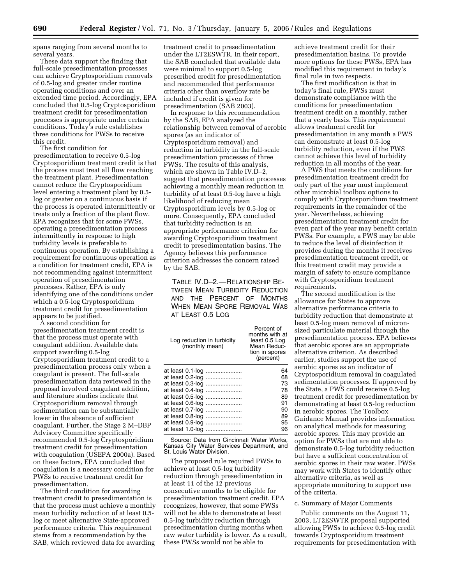spans ranging from several months to several years.

These data support the finding that full-scale presedimentation processes can achieve Cryptosporidium removals of 0.5-log and greater under routine operating conditions and over an extended time period. Accordingly, EPA concluded that 0.5-log Cryptosporidium treatment credit for presedimentation processes is appropriate under certain conditions. Today's rule establishes three conditions for PWSs to receive this credit.

The first condition for presedimentation to receive 0.5-log Cryptosporidium treatment credit is that the process must treat all flow reaching the treatment plant. Presedimentation cannot reduce the Cryptosporidium level entering a treatment plant by 0.5 log or greater on a continuous basis if the process is operated intermittently or treats only a fraction of the plant flow. EPA recognizes that for some PWSs, operating a presedimentation process intermittently in response to high turbidity levels is preferable to continuous operation. By establishing a requirement for continuous operation as a condition for treatment credit, EPA is not recommending against intermittent operation of presedimentation processes. Rather, EPA is only identifying one of the conditions under which a 0.5-log Cryptosporidium treatment credit for presedimentation appears to be justified.

A second condition for presedimentation treatment credit is that the process must operate with coagulant addition. Available data support awarding 0.5-log Cryptosporidium treatment credit to a presedimentation process only when a coagulant is present. The full-scale presedimentation data reviewed in the proposal involved coagulant addition, and literature studies indicate that Cryptosporidium removal through sedimentation can be substantially lower in the absence of sufficient coagulant. Further, the Stage 2 M–DBP Advisory Committee specifically recommended 0.5-log Cryptosporidium treatment credit for presedimentation with coagulation (USEPA 2000a). Based on these factors, EPA concluded that coagulation is a necessary condition for PWSs to receive treatment credit for presedimentation.

The third condition for awarding treatment credit to presedimentation is that the process must achieve a monthly mean turbidity reduction of at least 0.5 log or meet alternative State-approved performance criteria. This requirement stems from a recommendation by the SAB, which reviewed data for awarding

treatment credit to presedimentation under the LT2ESWTR. In their report, the SAB concluded that available data were minimal to support 0.5-log prescribed credit for presedimentation and recommended that performance criteria other than overflow rate be included if credit is given for presedimentation (SAB 2003).

In response to this recommendation by the SAB, EPA analyzed the relationship between removal of aerobic spores (as an indicator of Cryptosporidium removal) and reduction in turbidity in the full-scale presedimentation processes of three PWSs. The results of this analysis, which are shown in Table IV.D–2, suggest that presedimentation processes achieving a monthly mean reduction in turbidity of at least 0.5-log have a high likelihood of reducing mean Cryptosporidium levels by 0.5-log or more. Consequently, EPA concluded that turbidity reduction is an appropriate performance criterion for awarding Cryptosporidium treatment credit to presedimentation basins. The Agency believes this performance criterion addresses the concern raised by the SAB.

TABLE IV.D–2.—RELATIONSHIP BE-TWEEN MEAN TURBIDITY REDUCTION AND THE PERCENT OF MONTHS WHEN MEAN SPORE REMOVAL WAS AT LEAST 0.5 LOG

| Log reduction in turbidity<br>(monthly mean) | Percent of<br>months with at<br>least 0.5 Log<br>Mean Reduc-<br>tion in spores<br>(percent) |
|----------------------------------------------|---------------------------------------------------------------------------------------------|
| at least 0.1-log                             | 64                                                                                          |
| at least 0.2-log                             | 68                                                                                          |
| at least 0.3-log                             | 73                                                                                          |
| at least 0.4-log                             | 78                                                                                          |
| at least 0.5-log                             | 89                                                                                          |
| at least 0.6-log                             | 91                                                                                          |
| at least 0.7-log                             | 90                                                                                          |
| at least 0.8-log                             | 89                                                                                          |
| at least 0.9-log                             | 95                                                                                          |
| at least 1.0-log                             | 96                                                                                          |

Source: Data from Cincinnati Water Works, Kansas City Water Services Department, and St. Louis Water Division.

The proposed rule required PWSs to achieve at least 0.5-log turbidity reduction through presedimentation in at least 11 of the 12 previous consecutive months to be eligible for presedimentation treatment credit. EPA recognizes, however, that some PWSs will not be able to demonstrate at least 0.5-log turbidity reduction through presedimentation during months when raw water turbidity is lower. As a result, these PWSs would not be able to

achieve treatment credit for their presedimentation basins. To provide more options for these PWSs, EPA has modified this requirement in today's final rule in two respects.

The first modification is that in today's final rule, PWSs must demonstrate compliance with the conditions for presedimentation treatment credit on a monthly, rather that a yearly basis. This requirement allows treatment credit for presedimentation in any month a PWS can demonstrate at least 0.5-log turbidity reduction, even if the PWS cannot achieve this level of turbidity reduction in all months of the year.

A PWS that meets the conditions for presedimentation treatment credit for only part of the year must implement other microbial toolbox options to comply with Cryptosporidium treatment requirements in the remainder of the year. Nevertheless, achieving presedimentation treatment credit for even part of the year may benefit certain PWSs. For example, a PWS may be able to reduce the level of disinfection it provides during the months it receives presedimentation treatment credit, or this treatment credit may provide a margin of safety to ensure compliance with Cryptosporidium treatment requirements.

The second modification is the allowance for States to approve alternative performance criteria to turbidity reduction that demonstrate at least 0.5-log mean removal of micronsized particulate material through the presedimentation process. EPA believes that aerobic spores are an appropriate alternative criterion. As described earlier, studies support the use of aerobic spores as an indicator of Cryptosporidium removal in coagulated sedimentation processes. If approved by the State, a PWS could receive 0.5-log treatment credit for presedimentation by demonstrating at least 0.5-log reduction in aerobic spores. The Toolbox Guidance Manual provides information on analytical methods for measuring aerobic spores. This may provide an option for PWSs that are not able to demonstrate 0.5-log turbidity reduction but have a sufficient concentration of aerobic spores in their raw water. PWSs may work with States to identify other alternative criteria, as well as appropriate monitoring to support use of the criteria.

#### c. Summary of Major Comments

Public comments on the August 11, 2003, LT2ESWTR proposal supported allowing PWSs to achieve 0.5-log credit towards Cryptosporidium treatment requirements for presedimentation with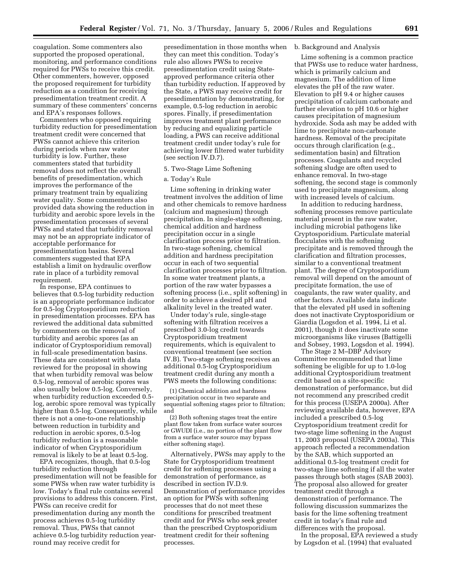coagulation. Some commenters also supported the proposed operational, monitoring, and performance conditions required for PWSs to receive this credit. Other commenters, however, opposed the proposed requirement for turbidity reduction as a condition for receiving presedimentation treatment credit. A summary of these commenters' concerns and EPA's responses follows.

Commenters who opposed requiring turbidity reduction for presedimentation treatment credit were concerned that PWSs cannot achieve this criterion during periods when raw water turbidity is low. Further, these commenters stated that turbidity removal does not reflect the overall benefits of presedimentation, which improves the performance of the primary treatment train by equalizing water quality. Some commenters also provided data showing the reduction in turbidity and aerobic spore levels in the presedimentation processes of several PWSs and stated that turbidity removal may not be an appropriate indicator of acceptable performance for presedimentation basins. Several commenters suggested that EPA establish a limit on hydraulic overflow rate in place of a turbidity removal requirement.

In response, EPA continues to believes that 0.5-log turbidity reduction is an appropriate performance indicator for 0.5-log Cryptosporidium reduction in presedimentation processes. EPA has reviewed the additional data submitted by commenters on the removal of turbidity and aerobic spores (as an indicator of Cryptosporidium removal) in full-scale presedimentation basins. These data are consistent with data reviewed for the proposal in showing that when turbidity removal was below 0.5-log, removal of aerobic spores was also usually below 0.5-log. Conversely, when turbidity reduction exceeded 0.5 log, aerobic spore removal was typically higher than  $0.5$ -log. Consequently, while there is not a one-to-one relationship between reduction in turbidity and reduction in aerobic spores, 0.5-log turbidity reduction is a reasonable indicator of when Cryptosporidium removal is likely to be at least 0.5-log.

EPA recognizes, though, that 0.5-log turbidity reduction through presedimentation will not be feasible for some PWSs when raw water turbidity is low. Today's final rule contains several provisions to address this concern. First, PWSs can receive credit for presedimentation during any month the process achieves 0.5-log turbidity removal. Thus, PWSs that cannot achieve 0.5-log turbidity reduction yearround may receive credit for

presedimentation in those months when they can meet this condition. Today's rule also allows PWSs to receive presedimentation credit using Stateapproved performance criteria other than turbidity reduction. If approved by the State, a PWS may receive credit for presedimentation by demonstrating, for example, 0.5-log reduction in aerobic spores. Finally, if presedimentation improves treatment plant performance by reducing and equalizing particle loading, a PWS can receive additional treatment credit under today's rule for achieving lower filtered water turbidity (see section IV.D.7).

## 5. Two-Stage Lime Softening

## a. Today's Rule

Lime softening in drinking water treatment involves the addition of lime and other chemicals to remove hardness (calcium and magnesium) through precipitation. In single-stage softening, chemical addition and hardness precipitation occur in a single clarification process prior to filtration. In two-stage softening, chemical addition and hardness precipitation occur in each of two sequential clarification processes prior to filtration. In some water treatment plants, a portion of the raw water bypasses a softening process (i.e., split softening) in order to achieve a desired pH and alkalinity level in the treated water.

Under today's rule, single-stage softening with filtration receives a prescribed 3.0-log credit towards Cryptosporidium treatment requirements, which is equivalent to conventional treatment (see section IV.B). Two-stage softening receives an additional 0.5-log Cryptosporidium treatment credit during any month a PWS meets the following conditions:

(1) Chemical addition and hardness precipitation occur in two separate and sequential softening stages prior to filtration; and

(2) Both softening stages treat the entire plant flow taken from surface water sources or GWUDI (i.e., no portion of the plant flow from a surface water source may bypass either softening stage).

Alternatively, PWSs may apply to the State for Cryptosporidium treatment credit for softening processes using a demonstration of performance, as described in section IV.D.9. Demonstration of performance provides an option for PWSs with softening processes that do not meet these conditions for prescribed treatment credit and for PWSs who seek greater than the prescribed Cryptosporidium treatment credit for their softening processes.

#### b. Background and Analysis

Lime softening is a common practice that PWSs use to reduce water hardness, which is primarily calcium and magnesium. The addition of lime elevates the pH of the raw water. Elevation to pH 9.4 or higher causes precipitation of calcium carbonate and further elevation to pH 10.6 or higher causes precipitation of magnesium hydroxide. Soda ash may be added with lime to precipitate non-carbonate hardness. Removal of the precipitate occurs through clarification (e.g., sedimentation basin) and filtration processes. Coagulants and recycled softening sludge are often used to enhance removal. In two-stage softening, the second stage is commonly used to precipitate magnesium, along with increased levels of calcium.

In addition to reducing hardness, softening processes remove particulate material present in the raw water, including microbial pathogens like Cryptosporidium. Particulate material flocculates with the softening precipitate and is removed through the clarification and filtration processes, similar to a conventional treatment plant. The degree of Cryptosporidium removal will depend on the amount of precipitate formation, the use of coagulants, the raw water quality, and other factors. Available data indicate that the elevated pH used in softening does not inactivate Cryptosporidium or Giardia (Logsdon et al. 1994, Li et al. 2001), though it does inactivate some microorganisms like viruses (Battigelli and Sobsey, 1993, Logsdon et al. 1994).

The Stage 2 M–DBP Advisory Committee recommended that lime softening be eligible for up to 1.0-log additional Cryptosporidium treatment credit based on a site-specific demonstration of performance, but did not recommend any prescribed credit for this process (USEPA 2000a). After reviewing available data, however, EPA included a prescribed 0.5-log Cryptosporidium treatment credit for two-stage lime softening in the August 11, 2003 proposal (USEPA 2003a). This approach reflected a recommendation by the SAB, which supported an additional 0.5-log treatment credit for two-stage lime softening if all the water passes through both stages (SAB 2003). The proposal also allowed for greater treatment credit through a demonstration of performance. The following discussion summarizes the basis for the lime softening treatment credit in today's final rule and differences with the proposal.

In the proposal, EPA reviewed a study by Logsdon et al. (1994) that evaluated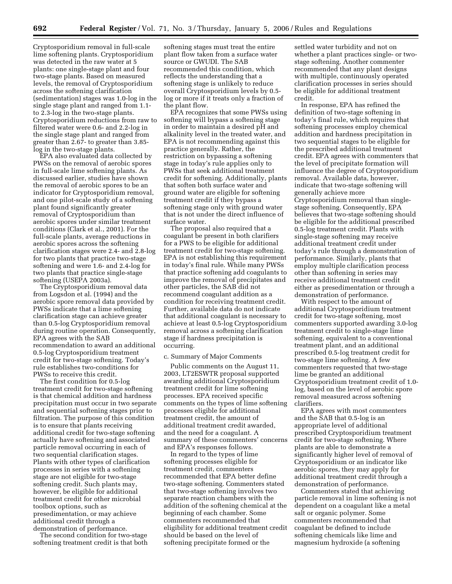Cryptosporidium removal in full-scale lime softening plants. Cryptosporidium was detected in the raw water at 5 plants: one single-stage plant and four two-stage plants. Based on measured levels, the removal of Cryptosporidium across the softening clarification (sedimentation) stages was 1.0-log in the single stage plant and ranged from 1.1 to 2.3-log in the two-stage plants. Cryptosporidium reductions from raw to filtered water were 0.6- and 2.2-log in the single stage plant and ranged from greater than 2.67- to greater than 3.85 log in the two-stage plants.

EPA also evaluated data collected by PWSs on the removal of aerobic spores in full-scale lime softening plants. As discussed earlier, studies have shown the removal of aerobic spores to be an indicator for Cryptosporidium removal, and one pilot-scale study of a softening plant found significantly greater removal of Cryptosporidium than aerobic spores under similar treatment conditions (Clark et al., 2001). For the full-scale plants, average reductions in aerobic spores across the softening clarification stages were 2.4- and 2.8-log for two plants that practice two-stage softening and were 1.6- and 2.4-log for two plants that practice single-stage softening (USEPA 2003a).

The Cryptosporidium removal data from Logsdon et al. (1994) and the aerobic spore removal data provided by PWSs indicate that a lime softening clarification stage can achieve greater than 0.5-log Cryptosporidium removal during routine operation. Consequently, EPA agrees with the SAB recommendation to award an additional 0.5-log Cryptosporidium treatment credit for two-stage softening. Today's rule establishes two-conditions for PWSs to receive this credit.

The first condition for 0.5-log treatment credit for two-stage softening is that chemical addition and hardness precipitation must occur in two separate and sequential softening stages prior to filtration. The purpose of this condition is to ensure that plants receiving additional credit for two-stage softening actually have softening and associated particle removal occurring in each of two sequential clarification stages. Plants with other types of clarification processes in series with a softening stage are not eligible for two-stage softening credit. Such plants may, however, be eligible for additional treatment credit for other microbial toolbox options, such as presedimentation, or may achieve additional credit through a demonstration of performance.

The second condition for two-stage softening treatment credit is that both

softening stages must treat the entire plant flow taken from a surface water source or GWUDI. The SAB recommended this condition, which reflects the understanding that a softening stage is unlikely to reduce overall Cryptosporidium levels by 0.5 log or more if it treats only a fraction of the plant flow.

EPA recognizes that some PWSs using softening will bypass a softening stage in order to maintain a desired pH and alkalinity level in the treated water, and EPA is not recommending against this practice generally. Rather, the restriction on bypassing a softening stage in today's rule applies only to PWSs that seek additional treatment credit for softening. Additionally, plants that soften both surface water and ground water are eligible for softening treatment credit if they bypass a softening stage only with ground water that is not under the direct influence of surface water.

The proposal also required that a coagulant be present in both clarifiers for a PWS to be eligible for additional treatment credit for two-stage softening. EPA is not establishing this requirement in today's final rule. While many PWSs that practice softening add coagulants to improve the removal of precipitates and other particles, the SAB did not recommend coagulant addition as a condition for receiving treatment credit. Further, available data do not indicate that additional coagulant is necessary to achieve at least 0.5-log Cryptosporidium removal across a softening clarification stage if hardness precipitation is occurring.

#### c. Summary of Major Comments

Public comments on the August 11, 2003, LT2ESWTR proposal supported awarding additional Cryptosporidium treatment credit for lime softening processes. EPA received specific comments on the types of lime softening processes eligible for additional treatment credit, the amount of additional treatment credit awarded, and the need for a coagulant. A summary of these commenters' concerns and EPA's responses follows.

In regard to the types of lime softening processes eligible for treatment credit, commenters recommended that EPA better define two-stage softening. Commenters stated that two-stage softening involves two separate reaction chambers with the addition of the softening chemical at the beginning of each chamber. Some commenters recommended that eligibility for additional treatment credit should be based on the level of softening precipitate formed or the

settled water turbidity and not on whether a plant practices single- or twostage softening. Another commenter recommended that any plant designs with multiple, continuously operated clarification processes in series should be eligible for additional treatment credit.

In response, EPA has refined the definition of two-stage softening in today's final rule, which requires that softening processes employ chemical addition and hardness precipitation in two sequential stages to be eligible for the prescribed additional treatment credit. EPA agrees with commenters that the level of precipitate formation will influence the degree of Cryptosporidium removal. Available data, however, indicate that two-stage softening will generally achieve more Cryptosporidium removal than singlestage softening. Consequently, EPA believes that two-stage softening should be eligible for the additional prescribed 0.5-log treatment credit. Plants with single-stage softening may receive additional treatment credit under today's rule through a demonstration of performance. Similarly, plants that employ multiple clarification process other than softening in series may receive additional treatment credit either as presedimentation or through a demonstration of performance.

With respect to the amount of additional Cryptosporidium treatment credit for two-stage softening, most commenters supported awarding 3.0-log treatment credit to single-stage lime softening, equivalent to a conventional treatment plant, and an additional prescribed 0.5-log treatment credit for two-stage lime softening. A few commenters requested that two-stage lime be granted an additional Cryptosporidium treatment credit of 1.0 log, based on the level of aerobic spore removal measured across softening clarifiers.

EPA agrees with most commenters and the SAB that 0.5-log is an appropriate level of additional prescribed Cryptosporidium treatment credit for two-stage softening. Where plants are able to demonstrate a significantly higher level of removal of Cryptosporidium or an indicator like aerobic spores, they may apply for additional treatment credit through a demonstration of performance.

Commenters stated that achieving particle removal in lime softening is not dependent on a coagulant like a metal salt or organic polymer. Some commenters recommended that coagulant be defined to include softening chemicals like lime and magnesium hydroxide (a softening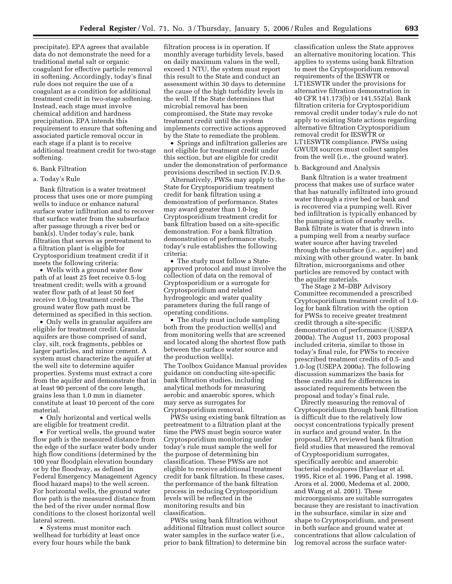precipitate). EPA agrees that available data do not demonstrate the need for a traditional metal salt or organic coagulant for effective particle removal in softening. Accordingly, today's final rule does not require the use of a coagulant as a condition for additional treatment credit in two-stage softening. Instead, each stage must involve chemical addition and hardness precipitation. EPA intends this requirement to ensure that softening and associated particle removal occur in each stage if a plant is to receive additional treatment credit for two-stage softening.

## 6. Bank Filtration

## a. Today's Rule

Bank filtration is a water treatment process that uses one or more pumping wells to induce or enhance natural surface water infiltration and to recover that surface water from the subsurface after passage through a river bed or bank(s). Under today's rule, bank filtration that serves as pretreatment to a filtration plant is eligible for Cryptosporidium treatment credit if it meets the following criteria:

• Wells with a ground water flow path of at least 25 feet receive 0.5-log treatment credit; wells with a ground water flow path of at least 50 feet receive 1.0-log treatment credit. The ground water flow path must be determined as specified in this section.

• Only wells in granular aquifers are eligible for treatment credit. Granular aquifers are those comprised of sand, clay, silt, rock fragments, pebbles or larger particles, and minor cement. A system must characterize the aquifer at the well site to determine aquifer properties. Systems must extract a core from the aquifer and demonstrate that in at least 90 percent of the core length, grains less than 1.0 mm in diameter constitute at least 10 percent of the core material.

• Only horizontal and vertical wells are eligible for treatment credit.

• For vertical wells, the ground water flow path is the measured distance from the edge of the surface water body under high flow conditions (determined by the 100 year floodplain elevation boundary or by the floodway, as defined in Federal Emergency Management Agency flood hazard maps) to the well screen. For horizontal wells, the ground water flow path is the measured distance from the bed of the river under normal flow conditions to the closest horizontal well lateral screen.

• Systems must monitor each wellhead for turbidity at least once every four hours while the bank

filtration process is in operation. If monthly average turbidity levels, based on daily maximum values in the well, exceed 1 NTU, the system must report this result to the State and conduct an assessment within 30 days to determine the cause of the high turbidity levels in the well. If the State determines that microbial removal has been compromised, the State may revoke treatment credit until the system implements corrective actions approved by the State to remediate the problem.

• Springs and infiltration galleries are not eligible for treatment credit under this section, but are eligible for credit under the demonstration of performance provisions described in section IV.D.9.

Alternatively, PWSs may apply to the State for Cryptosporidium treatment credit for bank filtration using a demonstration of performance. States may award greater than 1.0-log Cryptosporidium treatment credit for bank filtration based on a site-specific demonstration. For a bank filtration demonstration of performance study, today's rule establishes the following criteria:

• The study must follow a Stateapproved protocol and must involve the collection of data on the removal of Cryptosporidium or a surrogate for Cryptosporidium and related hydrogeologic and water quality parameters during the full range of operating conditions.

• The study must include sampling both from the production well(s) and from monitoring wells that are screened and located along the shortest flow path between the surface water source and the production well(s).

The Toolbox Guidance Manual provides guidance on conducting site-specific bank filtration studies, including analytical methods for measuring aerobic and anaerobic spores, which may serve as surrogates for Cryptosporidium removal.

PWSs using existing bank filtration as pretreatment to a filtration plant at the time the PWS must begin source water Cryptosporidium monitoring under today's rule must sample the well for the purpose of determining bin classification. These PWSs are not eligible to receive additional treatment credit for bank filtration. In these cases, the performance of the bank filtration process in reducing Cryptosporidium levels will be reflected in the monitoring results and bin classification.

PWSs using bank filtration without additional filtration must collect source water samples in the surface water (i.e., prior to bank filtration) to determine bin

classification unless the State approves an alternative monitoring location. This applies to systems using bank filtration to meet the Cryptosporidium removal requirements of the IESWTR or LT1ESWTR under the provisions for alternative filtration demonstration in 40 CFR 141.173(b) or 141.552(a). Bank filtration criteria for Cryptosporidium removal credit under today's rule do not apply to existing State actions regarding alternative filtration Cryptosporidium removal credit for IESWTR or LT1ESWTR compliance. PWSs using GWUDI sources must collect samples from the well (i.e., the ground water).

#### b. Background and Analysis

Bank filtration is a water treatment process that makes use of surface water that has naturally infiltrated into ground water through a river bed or bank and is recovered via a pumping well. River bed infiltration is typically enhanced by the pumping action of nearby wells. Bank filtrate is water that is drawn into a pumping well from a nearby surface water source after having traveled through the subsurface (i.e., aquifer) and mixing with other ground water. In bank filtration, microorganisms and other particles are removed by contact with the aquifer materials.

The Stage 2 M–DBP Advisory Committee recommended a prescribed Cryptosporidium treatment credit of 1.0 log for bank filtration with the option for PWSs to receive greater treatment credit through a site-specific demonstration of performance (USEPA 2000a). The August 11, 2003 proposal included criteria, similar to those in today's final rule, for PWSs to receive prescribed treatment credits of 0.5- and 1.0-log (USEPA 2000a). The following discussion summarizes the basis for these credits and for differences in associated requirements between the proposal and today's final rule.

Directly measuring the removal of Cryptosporidium through bank filtration is difficult due to the relatively low oocyst concentrations typically present in surface and ground water. In the proposal, EPA reviewed bank filtration field studies that measured the removal of Cryptosporidium surrogates, specifically aerobic and anaerobic bacterial endospores (Havelaar et al. 1995, Rice et al. 1996, Pang et al. 1998, Arora et al. 2000, Medema et al. 2000, and Wang et al. 2001). These microorganisms are suitable surrogates because they are resistant to inactivation in the subsurface, similar in size and shape to Cryptosporidium, and present in both surface and ground water at concentrations that allow calculation of log removal across the surface water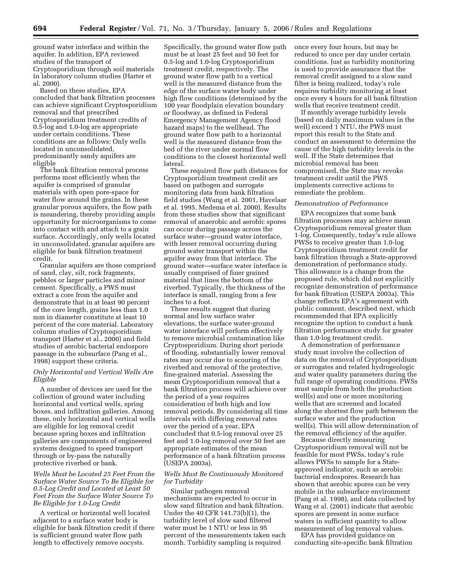ground water interface and within the aquifer. In addition, EPA reviewed studies of the transport of Cryptosporidium through soil materials in laboratory column studies (Harter et al. 2000).

Based on these studies, EPA concluded that bank filtration processes can achieve significant Cryptosporidium removal and that prescribed Cryptosporidium treatment credits of 0.5-log and 1.0-log are appropriate under certain conditions. These conditions are as follows: Only wells located in unconsolidated, predominantly sandy aquifers are eligible

The bank filtration removal process performs most efficiently when the aquifer is comprised of granular materials with open pore-space for water flow around the grains. In these granular porous aquifers, the flow path is meandering, thereby providing ample opportunity for microorganisms to come into contact with and attach to a grain surface. Accordingly, only wells located in unconsolidated, granular aquifers are eligible for bank filtration treatment credit.

Granular aquifers are those comprised of sand, clay, silt, rock fragments, pebbles or larger particles and minor cement. Specifically, a PWS must extract a core from the aquifer and demonstrate that in at least 90 percent of the core length, grains less than 1.0 mm in diameter constitute at least 10 percent of the core material. Laboratory column studies of Cryptosporidium transport (Harter et al., 2000) and field studies of aerobic bacterial endospore passage in the subsurface (Pang et al., 1998) support these criteria.

## *Only Horizontal and Vertical Wells Are Eligible*

A number of devices are used for the collection of ground water including horizontal and vertical wells, spring boxes, and infiltration galleries. Among these, only horizontal and vertical wells are eligible for log removal credit because spring boxes and infiltration galleries are components of engineered systems designed to speed transport through or by-pass the naturally protective riverbed or bank.

*Wells Must be Located 25 Feet From the Surface Water Source To Be Eligible for 0.5-Log Credit and Located at Least 50 Feet From the Surface Water Source To Be Eligible for 1.0-Log Credit* 

A vertical or horizontal well located adjacent to a surface water body is eligible for bank filtration credit if there is sufficient ground water flow path length to effectively remove oocysts.

Specifically, the ground water flow path must be at least 25 feet and 50 feet for 0.5-log and 1.0-log Cryptosporidium treatment credit, respectively. The ground water flow path to a vertical well is the measured distance from the edge of the surface water body under high flow conditions (determined by the 100 year floodplain elevation boundary or floodway, as defined in Federal Emergency Management Agency flood hazard maps) to the wellhead. The ground water flow path to a horizontal well is the measured distance from the bed of the river under normal flow conditions to the closest horizontal well lateral.

These required flow path distances for Cryptosporidium treatment credit are based on pathogen and surrogate monitoring data from bank filtration field studies (Wang et al. 2001, Havelaar et al. 1995, Medema et al. 2000). Results from these studies show that significant removal of anaerobic and aerobic spores can occur during passage across the surface water—ground water interface, with lesser removal occurring during ground water transport within the aquifer away from that interface. The ground water—surface water interface is usually comprised of finer grained material that lines the bottom of the riverbed. Typically, the thickness of the interface is small, ranging from a few inches to a foot.

These results suggest that during normal and low surface water elevations, the surface water-ground water interface will perform effectively to remove microbial contamination like Cryptosporidium. During short periods of flooding, substantially lower removal rates may occur due to scouring of the riverbed and removal of the protective, fine-grained material. Assessing the mean Cryptosporidium removal that a bank filtration process will achieve over the period of a year requires consideration of both high and low removal periods. By considering all time intervals with differing removal rates over the period of a year, EPA concluded that 0.5-log removal over 25 feet and 1.0-log removal over 50 feet are appropriate estimates of the mean performance of a bank filtration process (USEPA 2003a).

## *Wells Must Be Continuously Monitored for Turbidity*

Similar pathogen removal mechanisms are expected to occur in slow sand filtration and bank filtration. Under the 40 CFR 141.73(b)(1), the turbidity level of slow sand filtered water must be 1 NTU or less in 95 percent of the measurements taken each month. Turbidity sampling is required

once every four hours, but may be reduced to once per day under certain conditions. Just as turbidity monitoring is used to provide assurance that the removal credit assigned to a slow sand filter is being realized, today's rule requires turbidity monitoring at least once every 4 hours for all bank filtration wells that receive treatment credit.

If monthly average turbidity levels (based on daily maximum values in the well) exceed 1 NTU, the PWS must report this result to the State and conduct an assessment to determine the cause of the high turbidity levels in the well. If the State determines that microbial removal has been compromised, the State may revoke treatment credit until the PWS implements corrective actions to remediate the problem.

#### *Demonstration of Performance*

EPA recognizes that some bank filtration processes may achieve mean Cryptosporidium removal greater than 1-log. Consequently, today's rule allows PWSs to receive greater than 1.0-log Cryptosporidium treatment credit for bank filtration through a State-approved demonstration of performance study. This allowance is a change from the proposed rule, which did not explicitly recognize demonstration of performance for bank filtration (USEPA 2003a). This change reflects EPA's agreement with public comment, described next, which recommended that EPA explicitly recognize the option to conduct a bank filtration performance study for greater than 1.0-log treatment credit.

A demonstration of performance study must involve the collection of data on the removal of Cryptosporidium or surrogates and related hydrogeologic and water quality parameters during the full range of operating conditions. PWSs must sample from both the production well(s) and one or more monitoring wells that are screened and located along the shortest flow path between the surface water and the production well(s). This will allow determination of the removal efficiency of the aquifer.

Because directly measuring Cryptosporidium removal will not be feasible for most PWSs, today's rule allows PWSs to sample for a Stateapproved indicator, such as aerobic bacterial endospores. Research has shown that aerobic spores can be very mobile in the subsurface environment (Pang et al. 1998), and data collected by Wang et al. (2001) indicate that aerobic spores are present in some surface waters in sufficient quantity to allow measurement of log removal values.

EPA has provided guidance on conducting site-specific bank filtration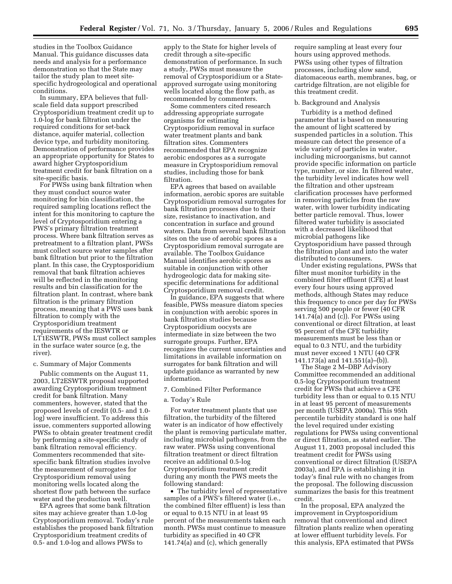studies in the Toolbox Guidance Manual. This guidance discusses data needs and analysis for a performance demonstration so that the State may tailor the study plan to meet sitespecific hydrogeological and operational conditions.

In summary, EPA believes that fullscale field data support prescribed Cryptosporidium treatment credit up to 1.0-log for bank filtration under the required conditions for set-back distance, aquifer material, collection device type, and turbidity monitoring. Demonstration of performance provides an appropriate opportunity for States to award higher Cryptosporidium treatment credit for bank filtration on a site-specific basis.

For PWSs using bank filtration when they must conduct source water monitoring for bin classification, the required sampling locations reflect the intent for this monitoring to capture the level of Cryptosporidium entering a PWS's primary filtration treatment process. Where bank filtration serves as pretreatment to a filtration plant, PWSs must collect source water samples after bank filtration but prior to the filtration plant. In this case, the Cryptosporidium removal that bank filtration achieves will be reflected in the monitoring results and bin classification for the filtration plant. In contrast, where bank filtration is the primary filtration process, meaning that a PWS uses bank filtration to comply with the Cryptosporidium treatment requirements of the IESWTR or LT1ESWTR, PWSs must collect samples in the surface water source (e.g, the river).

#### c. Summary of Major Comments

Public comments on the August 11, 2003, LT2ESWTR proposal supported awarding Cryptosporidium treatment credit for bank filtration. Many commenters, however, stated that the proposed levels of credit (0.5- and 1.0 log) were insufficient. To address this issue, commenters supported allowing PWSs to obtain greater treatment credit by performing a site-specific study of bank filtration removal efficiency. Commenters recommended that sitespecific bank filtration studies involve the measurement of surrogates for Cryptosporidium removal using monitoring wells located along the shortest flow path between the surface water and the production well.

EPA agrees that some bank filtration sites may achieve greater than 1.0-log Cryptosporidium removal. Today's rule establishes the proposed bank filtration Cryptosporidium treatment credits of 0.5- and 1.0-log and allows PWSs to

apply to the State for higher levels of credit through a site-specific demonstration of performance. In such a study, PWSs must measure the removal of Cryptosporidium or a Stateapproved surrogate using monitoring wells located along the flow path, as recommended by commenters.

Some commenters cited research addressing appropriate surrogate organisms for estimating Cryptosporidium removal in surface water treatment plants and bank filtration sites. Commenters recommended that EPA recognize aerobic endospores as a surrogate measure in Cryptosporidium removal studies, including those for bank filtration.

EPA agrees that based on available information, aerobic spores are suitable Cryptosporidium removal surrogates for bank filtration processes due to their size, resistance to inactivation, and concentration in surface and ground waters. Data from several bank filtration sites on the use of aerobic spores as a Cryptosporidium removal surrogate are available. The Toolbox Guidance Manual identifies aerobic spores as suitable in conjunction with other hydrogeologic data for making sitespecific determinations for additional Cryptosporidium removal credit.

In guidance, EPA suggests that where feasible, PWSs measure diatom species in conjunction with aerobic spores in bank filtration studies because Cryptosporidium oocysts are intermediate in size between the two surrogate groups. Further, EPA recognizes the current uncertainties and limitations in available information on surrogates for bank filtration and will update guidance as warranted by new information.

## 7. Combined Filter Performance

## a. Today's Rule

For water treatment plants that use filtration, the turbidity of the filtered water is an indicator of how effectively the plant is removing particulate matter, including microbial pathogens, from the raw water. PWSs using conventional filtration treatment or direct filtration receive an additional 0.5-log Cryptosporidium treatment credit during any month the PWS meets the following standard:

• The turbidity level of representative samples of a PWS's filtered water (i.e., the combined filter effluent) is less than or equal to 0.15 NTU in at least 95 percent of the measurements taken each month. PWSs must continue to measure turbidity as specified in 40 CFR 141.74(a) and (c), which generally

require sampling at least every four hours using approved methods. PWSs using other types of filtration processes, including slow sand, diatomaceous earth, membranes, bag, or cartridge filtration, are not eligible for this treatment credit.

#### b. Background and Analysis

Turbidity is a method defined parameter that is based on measuring the amount of light scattered by suspended particles in a solution. This measure can detect the presence of a wide variety of particles in water, including microorganisms, but cannot provide specific information on particle type, number, or size. In filtered water, the turbidity level indicates how well the filtration and other upstream clarification processes have performed in removing particles from the raw water, with lower turbidity indicating better particle removal. Thus, lower filtered water turbidity is associated with a decreased likelihood that microbial pathogens like Cryptosporidium have passed through the filtration plant and into the water distributed to consumers.

Under existing regulations, PWSs that filter must monitor turbidity in the combined filter effluent (CFE) at least every four hours using approved methods, although States may reduce this frequency to once per day for PWSs serving 500 people or fewer (40 CFR 141.74(a) and (c)). For PWSs using conventional or direct filtration, at least 95 percent of the CFE turbidity measurements must be less than or equal to 0.3 NTU, and the turbidity must never exceed 1 NTU (40 CFR 141.173(a) and 141.551(a)–(b)).

The Stage 2 M–DBP Advisory Committee recommended an additional 0.5-log Cryptosporidium treatment credit for PWSs that achieve a CFE turbidity less than or equal to 0.15 NTU in at least 95 percent of measurements per month (USEPA 2000a). This 95th percentile turbidity standard is one half the level required under existing regulations for PWSs using conventional or direct filtration, as stated earlier. The August 11, 2003 proposal included this treatment credit for PWSs using conventional or direct filtration (USEPA 2003a), and EPA is establishing it in today's final rule with no changes from the proposal. The following discussion summarizes the basis for this treatment credit.

In the proposal, EPA analyzed the improvement in Cryptosporidium removal that conventional and direct filtration plants realize when operating at lower effluent turbidity levels. For this analysis, EPA estimated that PWSs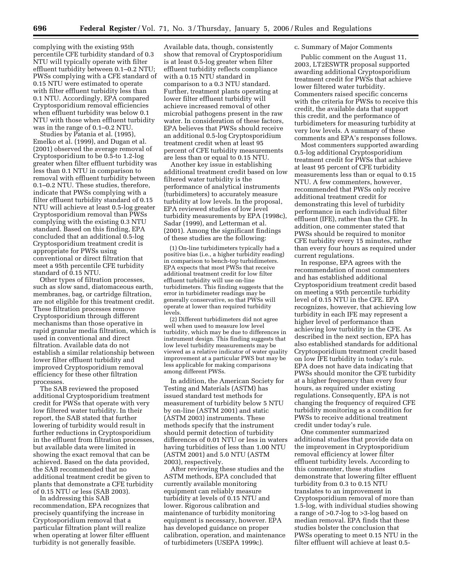complying with the existing 95th percentile CFE turbidity standard of 0.3 NTU will typically operate with filter effluent turbidity between 0.1–0.2 NTU; PWSs complying with a CFE standard of 0.15 NTU were estimated to operate with filter effluent turbidity less than 0.1 NTU. Accordingly, EPA compared Cryptosporidium removal efficiencies when effluent turbidity was below 0.1 NTU with those when effluent turbidity was in the range of 0.1–0.2 NTU.

Studies by Patania et al. (1995), Emelko et al. (1999), and Dugan et al. (2001) observed the average removal of Cryptosporidium to be 0.5-to 1.2-log greater when filter effluent turbidity was less than 0.1 NTU in comparison to removal with effluent turbidity between 0.1–0.2 NTU. These studies, therefore, indicate that PWSs complying with a filter effluent turbidity standard of 0.15 NTU will achieve at least 0.5-log greater Cryptosporidium removal than PWSs complying with the existing 0.3 NTU standard. Based on this finding, EPA concluded that an additional 0.5-log Cryptosporidium treatment credit is appropriate for PWSs using conventional or direct filtration that meet a 95th percentile CFE turbidity standard of 0.15 NTU.

Other types of filtration processes, such as slow sand, diatomaceous earth, membranes, bag, or cartridge filtration, are not eligible for this treatment credit. These filtration processes remove Cryptosporidium through different mechanisms than those operative in rapid granular media filtration, which is used in conventional and direct filtration. Available data do not establish a similar relationship between lower filter effluent turbidity and improved Cryptosporidium removal efficiency for these other filtration processes.

The SAB reviewed the proposed additional Cryptosporidium treatment credit for PWSs that operate with very low filtered water turbidity. In their report, the SAB stated that further lowering of turbidity would result in further reductions in Cryptosporidium in the effluent from filtration processes, but available data were limited in showing the exact removal that can be achieved. Based on the data provided, the SAB recommended that no additional treatment credit be given to plants that demonstrate a CFE turbidity of 0.15 NTU or less (SAB 2003).

In addressing this SAB recommendation, EPA recognizes that precisely quantifying the increase in Cryptosporidium removal that a particular filtration plant will realize when operating at lower filter effluent turbidity is not generally feasible.

Available data, though, consistently show that removal of Cryptosporidium is at least 0.5-log greater when filter effluent turbidity reflects compliance with a 0.15 NTU standard in comparison to a 0.3 NTU standard. Further, treatment plants operating at lower filter effluent turbidity will achieve increased removal of other microbial pathogens present in the raw water. In consideration of these factors, EPA believes that PWSs should receive an additional 0.5-log Cryptosporidium treatment credit when at least 95 percent of CFE turbidity measurements are less than or equal to 0.15 NTU.

Another key issue in establishing additional treatment credit based on low filtered water turbidity is the performance of analytical instruments (turbidimeters) to accurately measure turbidity at low levels. In the proposal, EPA reviewed studies of low level turbidity measurements by EPA (1998c), Sadar (1999), and Letterman et al. (2001). Among the significant findings of these studies are the following:

(1) On-line turbidimeters typically had a positive bias (i.e., a higher turbidity reading) in comparison to bench-top turbidimeters. EPA expects that most PWSs that receive additional treatment credit for low filter effluent turbidity will use on-line turbidimeters. This finding suggests that the error in turbidimeter readings may be generally conservative, so that PWSs will operate at lower than required turbidity levels.

(2) Different turbidimeters did not agree well when used to measure low level turbidity, which may be due to differences in instrument design. This finding suggests that low level turbidity measurements may be viewed as a relative indicator of water quality improvement at a particular PWS but may be less applicable for making comparisons among different PWSs.

In addition, the American Society for Testing and Materials (ASTM) has issued standard test methods for measurement of turbidity below 5 NTU by on-line (ASTM 2001) and static (ASTM 2003) instruments. These methods specify that the instrument should permit detection of turbidity differences of 0.01 NTU or less in waters having turbidities of less than 1.00 NTU (ASTM 2001) and 5.0 NTU (ASTM 2003), respectively.

After reviewing these studies and the ASTM methods, EPA concluded that currently available monitoring equipment can reliably measure turbidity at levels of 0.15 NTU and lower. Rigorous calibration and maintenance of turbidity monitoring equipment is necessary, however. EPA has developed guidance on proper calibration, operation, and maintenance of turbidimeters (USEPA 1999c).

## c. Summary of Major Comments

Public comment on the August 11, 2003, LT2ESWTR proposal supported awarding additional Cryptosporidium treatment credit for PWSs that achieve lower filtered water turbidity. Commenters raised specific concerns with the criteria for PWSs to receive this credit, the available data that support this credit, and the performance of turbidimeters for measuring turbidity at very low levels. A summary of these comments and EPA's responses follows.

Most commenters supported awarding 0.5-log additional Cryptosporidium treatment credit for PWSs that achieve at least 95 percent of CFE turbidity measurements less than or equal to 0.15 NTU. A few commenters, however, recommended that PWSs only receive additional treatment credit for demonstrating this level of turbidity performance in each individual filter effluent (IFE), rather than the CFE. In addition, one commenter stated that PWSs should be required to monitor CFE turbidity every 15 minutes, rather than every four hours as required under current regulations.

In response, EPA agrees with the recommendation of most commenters and has established additional Cryptosporidium treatment credit based on meeting a 95th percentile turbidity level of 0.15 NTU in the CFE. EPA recognizes, however, that achieving low turbidity in each IFE may represent a higher level of performance than achieving low turbidity in the CFE. As described in the next section, EPA has also established standards for additional Cryptosporidium treatment credit based on low IFE turbidity in today's rule. EPA does not have data indicating that PWSs should monitor the CFE turbidity at a higher frequency than every four hours, as required under existing regulations. Consequently, EPA is not changing the frequency of required CFE turbidity monitoring as a condition for PWSs to receive additional treatment credit under today's rule.

One commenter summarized additional studies that provide data on the improvement in Cryptosporidium removal efficiency at lower filter effluent turbidity levels. According to this commenter, these studies demonstrate that lowering filter effluent turbidity from 0.3 to 0.15 NTU translates to an improvement in Cryptosporidium removal of more than 1.5-log, with individual studies showing a range of >0.7-log to >3-log based on median removal. EPA finds that these studies bolster the conclusion that PWSs operating to meet 0.15 NTU in the filter effluent will achieve at least 0.5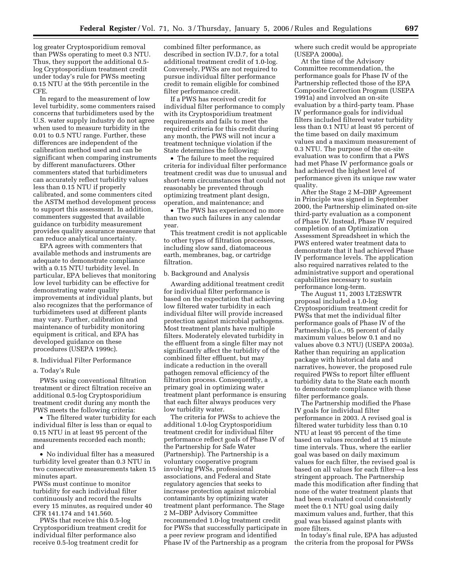log greater Cryptosporidium removal than PWSs operating to meet 0.3 NTU. Thus, they support the additional 0.5 log Cryptosporidium treatment credit under today's rule for PWSs meeting 0.15 NTU at the 95th percentile in the CFE.

In regard to the measurement of low level turbidity, some commenters raised concerns that turbidimeters used by the U.S. water supply industry do not agree when used to measure turbidity in the 0.01 to 0.5 NTU range. Further, these differences are independent of the calibration method used and can be significant when comparing instruments by different manufacturers. Other commenters stated that turbidimeters can accurately reflect turbidity values less than 0.15 NTU if properly calibrated, and some commenters cited the ASTM method development process to support this assessment. In addition, commenters suggested that available guidance on turbidity measurement provides quality assurance measure that can reduce analytical uncertainty.

EPA agrees with commenters that available methods and instruments are adequate to demonstrate compliance with a 0.15 NTU turbidity level. In particular, EPA believes that monitoring low level turbidity can be effective for demonstrating water quality improvements at individual plants, but also recognizes that the performance of turbidimeters used at different plants may vary. Further, calibration and maintenance of turbidity monitoring equipment is critical, and EPA has developed guidance on these procedures (USEPA 1999c).

#### 8. Individual Filter Performance

a. Today's Rule

PWSs using conventional filtration treatment or direct filtration receive an additional 0.5-log Cryptosporidium treatment credit during any month the PWS meets the following criteria:

• The filtered water turbidity for each individual filter is less than or equal to 0.15 NTU in at least 95 percent of the measurements recorded each month; and

• No individual filter has a measured turbidity level greater than 0.3 NTU in two consecutive measurements taken 15 minutes apart.

PWSs must continue to monitor turbidity for each individual filter continuously and record the results every 15 minutes, as required under 40 CFR 141.174 and 141.560.

PWSs that receive this 0.5-log Cryptosporidium treatment credit for individual filter performance also receive 0.5-log treatment credit for

combined filter performance, as described in section IV.D.7, for a total additional treatment credit of 1.0-log. Conversely, PWSs are not required to pursue individual filter performance credit to remain eligible for combined filter performance credit.

If a PWS has received credit for individual filter performance to comply with its Cryptosporidium treatment requirements and fails to meet the required criteria for this credit during any month, the PWS will not incur a treatment technique violation if the State determines the following:

• The failure to meet the required criteria for individual filter performance treatment credit was due to unusual and short-term circumstances that could not reasonably be prevented through optimizing treatment plant design, operation, and maintenance; and

• The PWS has experienced no more than two such failures in any calendar year.

This treatment credit is not applicable to other types of filtration processes, including slow sand, diatomaceous earth, membranes, bag, or cartridge filtration.

#### b. Background and Analysis

Awarding additional treatment credit for individual filter performance is based on the expectation that achieving low filtered water turbidity in each individual filter will provide increased protection against microbial pathogens. Most treatment plants have multiple filters. Moderately elevated turbidity in the effluent from a single filter may not significantly affect the turbidity of the combined filter effluent, but may indicate a reduction in the overall pathogen removal efficiency of the filtration process. Consequently, a primary goal in optimizing water treatment plant performance is ensuring that each filter always produces very low turbidity water.

The criteria for PWSs to achieve the additional 1.0-log Cryptosporidium treatment credit for individual filter performance reflect goals of Phase IV of the Partnership for Safe Water (Partnership). The Partnership is a voluntary cooperative program involving PWSs, professional associations, and Federal and State regulatory agencies that seeks to increase protection against microbial contaminants by optimizing water treatment plant performance. The Stage 2 M–DBP Advisory Committee recommended 1.0-log treatment credit for PWSs that successfully participate in a peer review program and identified Phase IV of the Partnership as a program where such credit would be appropriate (USEPA 2000a).

At the time of the Advisory Committee recommendation, the performance goals for Phase IV of the Partnership reflected those of the EPA Composite Correction Program (USEPA 1991a) and involved an on-site evaluation by a third-party team. Phase IV performance goals for individual filters included filtered water turbidity less than 0.1 NTU at least 95 percent of the time based on daily maximum values and a maximum measurement of 0.3 NTU. The purpose of the on-site evaluation was to confirm that a PWS had met Phase IV performance goals or had achieved the highest level of performance given its unique raw water quality.

After the Stage 2 M–DBP Agreement in Principle was signed in September 2000, the Partnership eliminated on-site third-party evaluation as a component of Phase IV. Instead, Phase IV required completion of an Optimization Assessment Spreadsheet in which the PWS entered water treatment data to demonstrate that it had achieved Phase IV performance levels. The application also required narratives related to the administrative support and operational capabilities necessary to sustain performance long-term.

The August 11, 2003 LT2ESWTR proposal included a 1.0-log Cryptosporidium treatment credit for PWSs that met the individual filter performance goals of Phase IV of the Partnership (i.e., 95 percent of daily maximum values below 0.1 and no values above 0.3 NTU) (USEPA 2003a). Rather than requiring an application package with historical data and narratives, however, the proposed rule required PWSs to report filter effluent turbidity data to the State each month to demonstrate compliance with these filter performance goals.

The Partnership modified the Phase IV goals for individual filter performance in 2003. A revised goal is filtered water turbidity less than 0.10 NTU at least 95 percent of the time based on values recorded at 15 minute time intervals. Thus, where the earlier goal was based on daily maximum values for each filter, the revised goal is based on all values for each filter—a less stringent approach. The Partnership made this modification after finding that none of the water treatment plants that had been evaluated could consistently meet the 0.1 NTU goal using daily maximum values and, further, that this goal was biased against plants with more filters.

In today's final rule, EPA has adjusted the criteria from the proposal for PWSs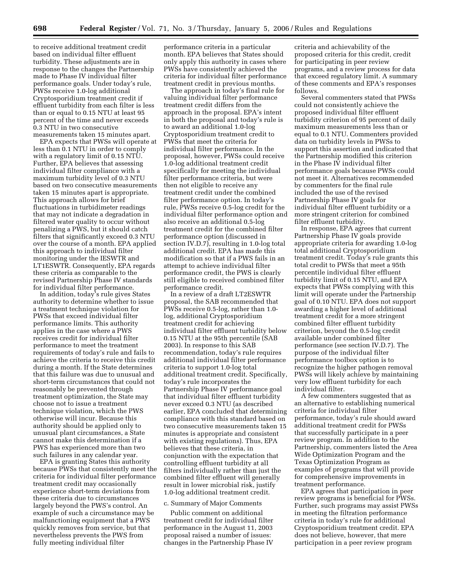to receive additional treatment credit based on individual filter effluent turbidity. These adjustments are in response to the changes the Partnership made to Phase IV individual filter performance goals. Under today's rule, PWSs receive 1.0-log additional Cryptosporidium treatment credit if effluent turbidity from each filter is less than or equal to 0.15 NTU at least 95 percent of the time and never exceeds 0.3 NTU in two consecutive measurements taken 15 minutes apart.

EPA expects that PWSs will operate at less than 0.1 NTU in order to comply with a regulatory limit of 0.15 NTU. Further, EPA believes that assessing individual filter compliance with a maximum turbidity level of 0.3 NTU based on two consecutive measurements taken 15 minutes apart is appropriate. This approach allows for brief fluctuations in turbidimeter readings that may not indicate a degradation in filtered water quality to occur without penalizing a PWS, but it should catch filters that significantly exceed 0.3 NTU over the course of a month. EPA applied this approach to individual filter monitoring under the IESWTR and LT1ESWTR. Consequently, EPA regards these criteria as comparable to the revised Partnership Phase IV standards for individual filter performance.

In addition, today's rule gives States authority to determine whether to issue a treatment technique violation for PWSs that exceed individual filter performance limits. This authority applies in the case where a PWS receives credit for individual filter performance to meet the treatment requirements of today's rule and fails to achieve the criteria to receive this credit during a month. If the State determines that this failure was due to unusual and short-term circumstances that could not reasonably be prevented through treatment optimization, the State may choose not to issue a treatment technique violation, which the PWS otherwise will incur. Because this authority should be applied only to unusual plant circumstances, a State cannot make this determination if a PWS has experienced more than two such failures in any calendar year.

EPA is granting States this authority because PWSs that consistently meet the criteria for individual filter performance treatment credit may occasionally experience short-term deviations from these criteria due to circumstances largely beyond the PWS's control. An example of such a circumstance may be malfunctioning equipment that a PWS quickly removes from service, but that nevertheless prevents the PWS from fully meeting individual filter

performance criteria in a particular month. EPA believes that States should only apply this authority in cases where PWSs have consistently achieved the criteria for individual filter performance treatment credit in previous months.

The approach in today's final rule for valuing individual filter performance treatment credit differs from the approach in the proposal. EPA's intent in both the proposal and today's rule is to award an additional 1.0-log Cryptosporidium treatment credit to PWSs that meet the criteria for individual filter performance. In the proposal, however, PWSs could receive 1.0-log additional treatment credit specifically for meeting the individual filter performance criteria, but were then not eligible to receive any treatment credit under the combined filter performance option. In today's rule, PWSs receive 0.5-log credit for the individual filter performance option and also receive an additional 0.5-log treatment credit for the combined filter performance option (discussed in section IV.D.7), resulting in 1.0-log total additional credit. EPA has made this modification so that if a PWS fails in an attempt to achieve individual filter performance credit, the PWS is clearly still eligible to received combined filter performance credit.

In a review of a draft LT2ESWTR proposal, the SAB recommended that PWSs receive 0.5-log, rather than 1.0 log, additional Cryptosporidium treatment credit for achieving individual filter effluent turbidity below 0.15 NTU at the 95th percentile (SAB 2003). In response to this SAB recommendation, today's rule requires additional individual filter performance criteria to support 1.0-log total additional treatment credit. Specifically, today's rule incorporates the Partnership Phase IV performance goal that individual filter effluent turbidity never exceed 0.3 NTU (as described earlier, EPA concluded that determining compliance with this standard based on two consecutive measurements taken 15 minutes is appropriate and consistent with existing regulations). Thus, EPA believes that these criteria, in conjunction with the expectation that controlling effluent turbidity at all filters individually rather than just the combined filter effluent will generally result in lower microbial risk, justify 1.0-log additional treatment credit.

#### c. Summary of Major Comments

Public comment on additional treatment credit for individual filter performance in the August 11, 2003 proposal raised a number of issues: changes in the Partnership Phase IV criteria and achievability of the proposed criteria for this credit, credit for participating in peer review programs, and a review process for data that exceed regulatory limit. A summary of these comments and EPA's responses follows.

Several commenters stated that PWSs could not consistently achieve the proposed individual filter effluent turbidity criterion of 95 percent of daily maximum measurements less than or equal to 0.1 NTU. Commenters provided data on turbidity levels in PWSs to support this assertion and indicated that the Partnership modified this criterion in the Phase IV individual filter performance goals because PWSs could not meet it. Alternatives recommended by commenters for the final rule included the use of the revised Partnership Phase IV goals for individual filter effluent turbidity or a more stringent criterion for combined filter effluent turbidity.

In response, EPA agrees that current Partnership Phase IV goals provide appropriate criteria for awarding 1.0-log total additional Cryptosporidium treatment credit. Today's rule grants this total credit to PWSs that meet a 95th percentile individual filter effluent turbidity limit of 0.15 NTU, and EPA expects that PWSs complying with this limit will operate under the Partnership goal of 0.10 NTU. EPA does not support awarding a higher level of additional treatment credit for a more stringent combined filter effluent turbidity criterion, beyond the 0.5-log credit available under combined filter performance (see section IV.D.7). The purpose of the individual filter performance toolbox option is to recognize the higher pathogen removal PWSs will likely achieve by maintaining very low effluent turbidity for each individual filter.

A few commenters suggested that as an alternative to establishing numerical criteria for individual filter performance, today's rule should award additional treatment credit for PWSs that successfully participate in a peer review program. In addition to the Partnership, commenters listed the Area Wide Optimization Program and the Texas Optimization Program as examples of programs that will provide for comprehensive improvements in treatment performance.

EPA agrees that participation in peer review programs is beneficial for PWSs. Further, such programs may assist PWSs in meeting the filtration performance criteria in today's rule for additional Cryptosporidium treatment credit. EPA does not believe, however, that mere participation in a peer review program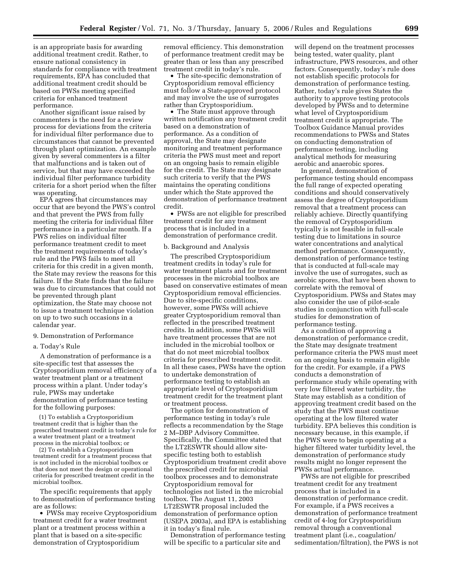is an appropriate basis for awarding additional treatment credit. Rather, to ensure national consistency in standards for compliance with treatment requirements, EPA has concluded that additional treatment credit should be based on PWSs meeting specified criteria for enhanced treatment performance.

Another significant issue raised by commenters is the need for a review process for deviations from the criteria for individual filter performance due to circumstances that cannot be prevented through plant optimization. An example given by several commenters is a filter that malfunctions and is taken out of service, but that may have exceeded the individual filter performance turbidity criteria for a short period when the filter was operating.

EPA agrees that circumstances may occur that are beyond the PWS's control and that prevent the PWS from fully meeting the criteria for individual filter performance in a particular month. If a PWS relies on individual filter performance treatment credit to meet the treatment requirements of today's rule and the PWS fails to meet all criteria for this credit in a given month, the State may review the reasons for this failure. If the State finds that the failure was due to circumstances that could not be prevented through plant optimization, the State may choose not to issue a treatment technique violation on up to two such occasions in a calendar year.

## 9. Demonstration of Performance

## a. Today's Rule

A demonstration of performance is a site-specific test that assesses the Cryptosporidium removal efficiency of a water treatment plant or a treatment process within a plant. Under today's rule, PWSs may undertake demonstration of performance testing for the following purposes:

(1) To establish a Cryptosporidium treatment credit that is higher than the prescribed treatment credit in today's rule for a water treatment plant or a treatment process in the microbial toolbox; or

(2) To establish a Cryptosporidium treatment credit for a treatment process that is not included in the microbial toolbox or that does not meet the design or operational criteria for prescribed treatment credit in the microbial toolbox.

The specific requirements that apply to demonstration of performance testing are as follows:

• PWSs may receive Cryptosporidium treatment credit for a water treatment plant or a treatment process within a plant that is based on a site-specific demonstration of Cryptosporidium

removal efficiency. This demonstration of performance treatment credit may be greater than or less than any prescribed treatment credit in today's rule.

• The site-specific demonstration of Cryptosporidium removal efficiency must follow a State-approved protocol and may involve the use of surrogates rather than Cryptosporidium.

• The State must approve through written notification any treatment credit based on a demonstration of performance. As a condition of approval, the State may designate monitoring and treatment performance criteria the PWS must meet and report on an ongoing basis to remain eligible for the credit. The State may designate such criteria to verify that the PWS maintains the operating conditions under which the State approved the demonstration of performance treatment credit.

• PWSs are not eligible for prescribed treatment credit for any treatment process that is included in a demonstration of performance credit.

#### b. Background and Analysis

The prescribed Cryptosporidium treatment credits in today's rule for water treatment plants and for treatment processes in the microbial toolbox are based on conservative estimates of mean Cryptosporidium removal efficiencies. Due to site-specific conditions, however, some PWSs will achieve greater Cryptosporidium removal than reflected in the prescribed treatment credits. In addition, some PWSs will have treatment processes that are not included in the microbial toolbox or that do not meet microbial toolbox criteria for prescribed treatment credit. In all these cases, PWSs have the option to undertake demonstration of performance testing to establish an appropriate level of Cryptosporidium treatment credit for the treatment plant or treatment process.

The option for demonstration of performance testing in today's rule reflects a recommendation by the Stage 2 M–DBP Advisory Committee. Specifically, the Committee stated that the LT2ESWTR should allow sitespecific testing both to establish Cryptosporidium treatment credit above the prescribed credit for microbial toolbox processes and to demonstrate Cryptosporidium removal for technologies not listed in the microbial toolbox. The August 11, 2003 LT2ESWTR proposal included the demonstration of performance option (USEPA 2003a), and EPA is establishing it in today's final rule.

Demonstration of performance testing will be specific to a particular site and

will depend on the treatment processes being tested, water quality, plant infrastructure, PWS resources, and other factors. Consequently, today's rule does not establish specific protocols for demonstration of performance testing. Rather, today's rule gives States the authority to approve testing protocols developed by PWSs and to determine what level of Cryptosporidium treatment credit is appropriate. The Toolbox Guidance Manual provides recommendations to PWSs and States on conducting demonstration of performance testing, including analytical methods for measuring aerobic and anaerobic spores.

In general, demonstration of performance testing should encompass the full range of expected operating conditions and should conservatively assess the degree of Cryptosporidium removal that a treatment process can reliably achieve. Directly quantifying the removal of Cryptosporidium typically is not feasible in full-scale testing due to limitations in source water concentrations and analytical method performance. Consequently, demonstration of performance testing that is conducted at full-scale may involve the use of surrogates, such as aerobic spores, that have been shown to correlate with the removal of Cryptosporidium. PWSs and States may also consider the use of pilot-scale studies in conjunction with full-scale studies for demonstration of performance testing.

As a condition of approving a demonstration of performance credit, the State may designate treatment performance criteria the PWS must meet on an ongoing basis to remain eligible for the credit. For example, if a PWS conducts a demonstration of performance study while operating with very low filtered water turbidity, the State may establish as a condition of approving treatment credit based on the study that the PWS must continue operating at the low filtered water turbidity. EPA believes this condition is necessary because, in this example, if the PWS were to begin operating at a higher filtered water turbidity level, the demonstration of performance study results might no longer represent the PWSs actual performance.

PWSs are not eligible for prescribed treatment credit for any treatment process that is included in a demonstration of performance credit. For example, if a PWS receives a demonstration of performance treatment credit of 4-log for Cryptosporidium removal through a conventional treatment plant (i.e., coagulation/ sedimentation/filtration), the PWS is not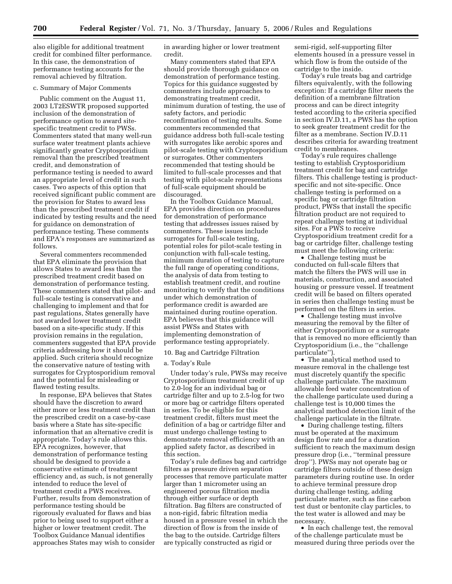also eligible for additional treatment credit for combined filter performance. In this case, the demonstration of performance testing accounts for the removal achieved by filtration.

## c. Summary of Major Comments

Public comment on the August 11, 2003 LT2ESWTR proposed supported inclusion of the demonstration of performance option to award sitespecific treatment credit to PWSs. Commenters stated that many well-run surface water treatment plants achieve significantly greater Cryptosporidium removal than the prescribed treatment credit, and demonstration of performance testing is needed to award an appropriate level of credit in such cases. Two aspects of this option that received significant public comment are the provision for States to award less than the prescribed treatment credit if indicated by testing results and the need for guidance on demonstration of performance testing. These comments and EPA's responses are summarized as follows.

Several commenters recommended that EPA eliminate the provision that allows States to award less than the prescribed treatment credit based on demonstration of performance testing. These commenters stated that pilot- and full-scale testing is conservative and challenging to implement and that for past regulations, States generally have not awarded lower treatment credit based on a site-specific study. If this provision remains in the regulation, commenters suggested that EPA provide criteria addressing how it should be applied. Such criteria should recognize the conservative nature of testing with surrogates for Cryptosporidium removal and the potential for misleading or flawed testing results.

In response, EPA believes that States should have the discretion to award either more or less treatment credit than the prescribed credit on a case-by-case basis where a State has site-specific information that an alternative credit is appropriate. Today's rule allows this. EPA recognizes, however, that demonstration of performance testing should be designed to provide a conservative estimate of treatment efficiency and, as such, is not generally intended to reduce the level of treatment credit a PWS receives. Further, results from demonstration of performance testing should be rigorously evaluated for flaws and bias prior to being used to support either a higher or lower treatment credit. The Toolbox Guidance Manual identifies approaches States may wish to consider

in awarding higher or lower treatment credit.

Many commenters stated that EPA should provide thorough guidance on demonstration of performance testing. Topics for this guidance suggested by commenters include approaches to demonstrating treatment credit, minimum duration of testing, the use of safety factors, and periodic reconfirmation of testing results. Some commenters recommended that guidance address both full-scale testing with surrogates like aerobic spores and pilot-scale testing with Cryptosporidium or surrogates. Other commenters recommended that testing should be limited to full-scale processes and that testing with pilot-scale representations of full-scale equipment should be discouraged.

In the Toolbox Guidance Manual, EPA provides direction on procedures for demonstration of performance testing that addresses issues raised by commenters. These issues include surrogates for full-scale testing, potential roles for pilot-scale testing in conjunction with full-scale testing, minimum duration of testing to capture the full range of operating conditions, the analysis of data from testing to establish treatment credit, and routine monitoring to verify that the conditions under which demonstration of performance credit is awarded are maintained during routine operation. EPA believes that this guidance will assist PWSs and States with implementing demonstration of performance testing appropriately.

## 10. Bag and Cartridge Filtration

#### a. Today's Rule

Under today's rule, PWSs may receive Cryptosporidium treatment credit of up to 2.0-log for an individual bag or cartridge filter and up to 2.5-log for two or more bag or cartridge filters operated in series. To be eligible for this treatment credit, filters must meet the definition of a bag or cartridge filter and must undergo challenge testing to demonstrate removal efficiency with an applied safety factor, as described in this section.

Today's rule defines bag and cartridge filters as pressure driven separation processes that remove particulate matter larger than 1 micrometer using an engineered porous filtration media through either surface or depth filtration. Bag filters are constructed of a non-rigid, fabric filtration media housed in a pressure vessel in which the direction of flow is from the inside of the bag to the outside. Cartridge filters are typically constructed as rigid or

semi-rigid, self-supporting filter elements housed in a pressure vessel in which flow is from the outside of the cartridge to the inside.

Today's rule treats bag and cartridge filters equivalently, with the following exception: If a cartridge filter meets the definition of a membrane filtration process and can be direct integrity tested according to the criteria specified in section IV.D.11, a PWS has the option to seek greater treatment credit for the filter as a membrane. Section IV.D.11 describes criteria for awarding treatment credit to membranes.

Today's rule requires challenge testing to establish Cryptosporidium treatment credit for bag and cartridge filters. This challenge testing is productspecific and not site-specific. Once challenge testing is performed on a specific bag or cartridge filtration product, PWSs that install the specific filtration product are not required to repeat challenge testing at individual sites. For a PWS to receive Cryptosporidium treatment credit for a bag or cartridge filter, challenge testing must meet the following criteria:

• Challenge testing must be conducted on full-scale filters that match the filters the PWS will use in materials, construction, and associated housing or pressure vessel. If treatment credit will be based on filters operated in series then challenge testing must be performed on the filters in series.

• Challenge testing must involve measuring the removal by the filter of either Cryptosporidium or a surrogate that is removed no more efficiently than Cryptosporidium (i.e., the ''challenge particulate'').

• The analytical method used to measure removal in the challenge test must discretely quantify the specific challenge particulate. The maximum allowable feed water concentration of the challenge particulate used during a challenge test is 10,000 times the analytical method detection limit of the challenge particulate in the filtrate.

• During challenge testing, filters must be operated at the maximum design flow rate and for a duration sufficient to reach the maximum design pressure drop (i.e., ''terminal pressure drop''). PWSs may not operate bag or cartridge filters outside of these design parameters during routine use. In order to achieve terminal pressure drop during challenge testing, adding particulate matter, such as fine carbon test dust or bentonite clay particles, to the test water is allowed and may be necessary.

• In each challenge test, the removal of the challenge particulate must be measured during three periods over the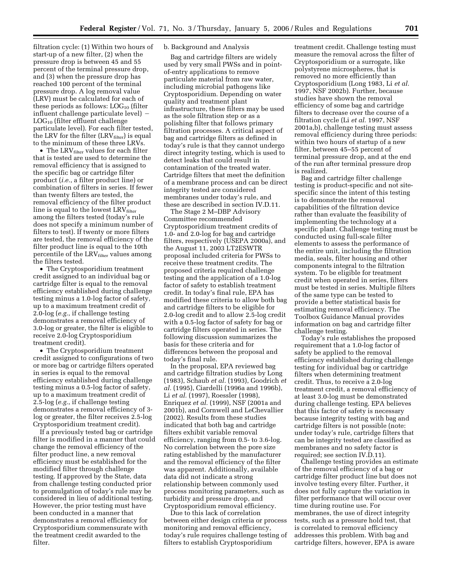filtration cycle: (1) Within two hours of start-up of a new filter, (2) when the pressure drop is between 45 and 55 percent of the terminal pressure drop, and (3) when the pressure drop has reached 100 percent of the terminal pressure drop. A log removal value (LRV) must be calculated for each of these periods as follows:  $LOG_{10}$  (filter influent challenge particulate level)  $LOG<sub>10</sub>$  (filter effluent challenge particulate level). For each filter tested, the LRV for the filter  $(LRV<sub>filter</sub>)$  is equal to the minimum of these three LRVs.

• The LRV $_{\text{filter}}$  values for each filter that is tested are used to determine the removal efficiency that is assigned to the specific bag or cartridge filter product (*i.e.*, a filter product line) or combination of filters in series. If fewer than twenty filters are tested, the removal efficiency of the filter product line is equal to the lowest LRVfilter among the filters tested (today's rule does not specify a minimum number of filters to test). If twenty or more filters are tested, the removal efficiency of the filter product line is equal to the 10th percentile of the LRV<sub>filter</sub> values among the filters tested.

• The Cryptosporidium treatment credit assigned to an individual bag or cartridge filter is equal to the removal efficiency established during challenge testing minus a 1.0-log factor of safety, up to a maximum treatment credit of 2.0-log (*e.g.*, if challenge testing demonstrates a removal efficiency of 3.0-log or greater, the filter is eligible to receive 2.0-log Cryptosporidium treatment credit).

• The Cryptosporidium treatment credit assigned to configurations of two or more bag or cartridge filters operated in series is equal to the removal efficiency established during challenge testing minus a 0.5-log factor of safety, up to a maximum treatment credit of 2.5-log (*e.g.*, if challenge testing demonstrates a removal efficiency of 3 log or greater, the filter receives 2.5-log Cryptosporidium treatment credit).

If a previously tested bag or cartridge filter is modified in a manner that could change the removal efficiency of the filter product line, a new removal efficiency must be established for the modified filter through challenge testing. If approved by the State, data from challenge testing conducted prior to promulgation of today's rule may be considered in lieu of additional testing. However, the prior testing must have been conducted in a manner that demonstrates a removal efficiency for Cryptosporidium commensurate with the treatment credit awarded to the filter.

## b. Background and Analysis

Bag and cartridge filters are widely used by very small PWSs and in pointof-entry applications to remove particulate material from raw water, including microbial pathogens like Cryptosporidium. Depending on water quality and treatment plant infrastructure, these filters may be used as the sole filtration step or as a polishing filter that follows primary filtration processes. A critical aspect of bag and cartridge filters as defined in today's rule is that they cannot undergo direct integrity testing, which is used to detect leaks that could result in contamination of the treated water. Cartridge filters that meet the definition of a membrane process and can be direct integrity tested are considered membranes under today's rule, and these are described in section IV.D.11.

The Stage 2 M–DBP Advisory Committee recommended Cryptosporidium treatment credits of 1.0- and 2.0-log for bag and cartridge filters, respectively (USEPA 2000a), and the August 11, 2003 LT2ESWTR proposal included criteria for PWSs to receive these treatment credits. The proposed criteria required challenge testing and the application of a 1.0-log factor of safety to establish treatment credit. In today's final rule, EPA has modified these criteria to allow both bag and cartridge filters to be eligible for 2.0-log credit and to allow 2.5-log credit with a 0.5-log factor of safety for bag or cartridge filters operated in series. The following discussion summarizes the basis for these criteria and for differences between the proposal and today's final rule.

In the proposal, EPA reviewed bag and cartridge filtration studies by Long (1983), Schaub *et al.* (1993), Goodrich *et al.* (1995), Ciardelli (1996a and 1996b), Li *et al.* (1997), Roessler (1998), Enriquez *et al.* (1999), NSF (2001a and 2001b), and Cornwell and LeChevallier (2002). Results from these studies indicated that both bag and cartridge filters exhibit variable removal efficiency, ranging from 0.5- to 3.6-log. No correlation between the pore size rating established by the manufacturer and the removal efficiency of the filter was apparent. Additionally, available data did not indicate a strong relationship between commonly used process monitoring parameters, such as turbidity and pressure drop, and Cryptosporidium removal efficiency.

Due to this lack of correlation between either design criteria or process monitoring and removal efficiency, today's rule requires challenge testing of filters to establish Cryptosporidium

treatment credit. Challenge testing must measure the removal across the filter of Cryptosporidium or a surrogate, like polystyrene microspheres, that is removed no more efficiently than Cryptosporidium (Long 1983, Li *et al.*  1997, NSF 2002b). Further, because studies have shown the removal efficiency of some bag and cartridge filters to decrease over the course of a filtration cycle (Li *et al.* 1997, NSF 2001a,b), challenge testing must assess removal efficiency during three periods: within two hours of startup of a new filter, between 45–55 percent of terminal pressure drop, and at the end of the run after terminal pressure drop is realized.

Bag and cartridge filter challenge testing is product-specific and not sitespecific since the intent of this testing is to demonstrate the removal capabilities of the filtration device rather than evaluate the feasibility of implementing the technology at a specific plant. Challenge testing must be conducted using full-scale filter elements to assess the performance of the entire unit, including the filtration media, seals, filter housing and other components integral to the filtration system. To be eligible for treatment credit when operated in series, filters must be tested in series. Multiple filters of the same type can be tested to provide a better statistical basis for estimating removal efficiency. The Toolbox Guidance Manual provides information on bag and cartridge filter challenge testing.

Today's rule establishes the proposed requirement that a 1.0-log factor of safety be applied to the removal efficiency established during challenge testing for individual bag or cartridge filters when determining treatment credit. Thus, to receive a 2.0-log treatment credit, a removal efficiency of at least 3.0-log must be demonstrated during challenge testing. EPA believes that this factor of safety is necessary because integrity testing with bag and cartridge filters is not possible (note: under today's rule, cartridge filters that can be integrity tested are classified as membranes and no safety factor is required; see section IV.D.11).

Challenge testing provides an estimate of the removal efficiency of a bag or cartridge filter product line but does not involve testing every filter. Further, it does not fully capture the variation in filter performance that will occur over time during routine use. For membranes, the use of direct integrity tests, such as a pressure hold test, that is correlated to removal efficiency addresses this problem. With bag and cartridge filters, however, EPA is aware